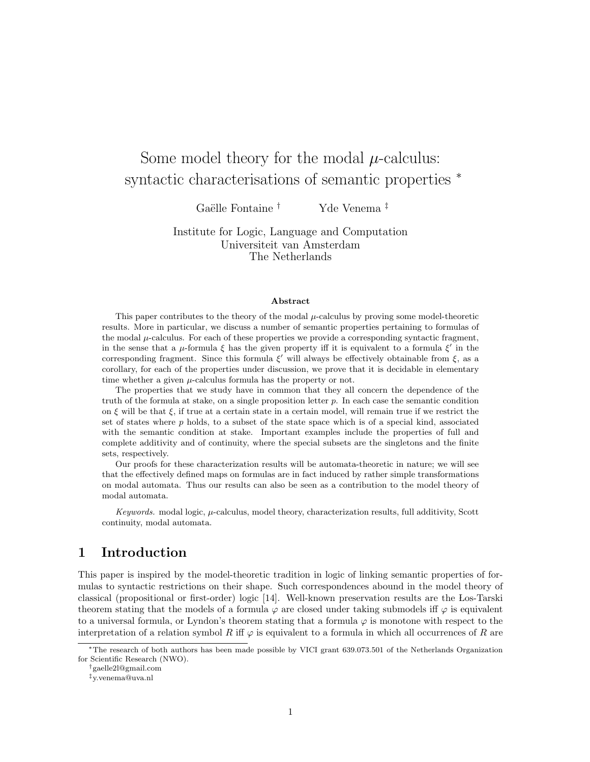# Some model theory for the modal  $\mu$ -calculus: syntactic characterisations of semantic properties  $*$

Gaëlle Fontaine † Yde Venema<sup>‡</sup>

Institute for Logic, Language and Computation Universiteit van Amsterdam The Netherlands

#### Abstract

This paper contributes to the theory of the modal  $\mu$ -calculus by proving some model-theoretic results. More in particular, we discuss a number of semantic properties pertaining to formulas of the modal  $\mu$ -calculus. For each of these properties we provide a corresponding syntactic fragment, in the sense that a  $\mu$ -formula  $\xi$  has the given property iff it is equivalent to a formula  $\xi'$  in the corresponding fragment. Since this formula  $\xi'$  will always be effectively obtainable from  $\xi$ , as a corollary, for each of the properties under discussion, we prove that it is decidable in elementary time whether a given  $\mu$ -calculus formula has the property or not.

The properties that we study have in common that they all concern the dependence of the truth of the formula at stake, on a single proposition letter  $p$ . In each case the semantic condition on  $\xi$  will be that  $\xi$ , if true at a certain state in a certain model, will remain true if we restrict the set of states where  $p$  holds, to a subset of the state space which is of a special kind, associated with the semantic condition at stake. Important examples include the properties of full and complete additivity and of continuity, where the special subsets are the singletons and the finite sets, respectively.

Our proofs for these characterization results will be automata-theoretic in nature; we will see that the effectively defined maps on formulas are in fact induced by rather simple transformations on modal automata. Thus our results can also be seen as a contribution to the model theory of modal automata.

Keywords. modal logic,  $\mu$ -calculus, model theory, characterization results, full additivity, Scott continuity, modal automata.

# 1 Introduction

This paper is inspired by the model-theoretic tradition in logic of linking semantic properties of formulas to syntactic restrictions on their shape. Such correspondences abound in the model theory of classical (propositional or first-order) logic [14]. Well-known preservation results are the Los-Tarski theorem stating that the models of a formula  $\varphi$  are closed under taking submodels iff  $\varphi$  is equivalent to a universal formula, or Lyndon's theorem stating that a formula  $\varphi$  is monotone with respect to the interpretation of a relation symbol R iff  $\varphi$  is equivalent to a formula in which all occurrences of R are

<sup>∗</sup>The research of both authors has been made possible by VICI grant 639.073.501 of the Netherlands Organization for Scientific Research (NWO).

<sup>†</sup>gaelle2l@gmail.com

<sup>‡</sup>y.venema@uva.nl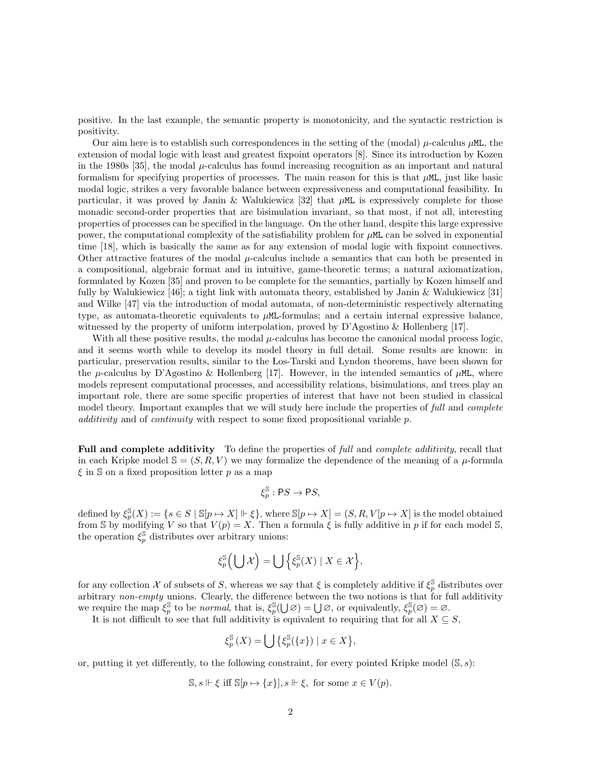positive. In the last example, the semantic property is monotonicity, and the syntactic restriction is positivity.

Our aim here is to establish such correspondences in the setting of the (modal)  $\mu$ -calculus  $\mu$ ML, the extension of modal logic with least and greatest fixpoint operators [8]. Since its introduction by Kozen in the 1980s [35], the modal  $\mu$ -calculus has found increasing recognition as an important and natural formalism for specifying properties of processes. The main reason for this is that µML, just like basic modal logic, strikes a very favorable balance between expressiveness and computational feasibility. In particular, it was proved by Janin & Walukiewicz [32] that  $\mu$ ML is expressively complete for those monadic second-order properties that are bisimulation invariant, so that most, if not all, interesting properties of processes can be specified in the language. On the other hand, despite this large expressive power, the computational complexity of the satisfiability problem for  $\mu$ ML can be solved in exponential time [18], which is basically the same as for any extension of modal logic with fixpoint connectives. Other attractive features of the modal  $\mu$ -calculus include a semantics that can both be presented in a compositional, algebraic format and in intuitive, game-theoretic terms; a natural axiomatization, formulated by Kozen [35] and proven to be complete for the semantics, partially by Kozen himself and fully by Walukiewicz [46]; a tight link with automata theory, established by Janin & Walukiewicz [31] and Wilke [47] via the introduction of modal automata, of non-deterministic respectively alternating type, as automata-theoretic equivalents to µML-formulas; and a certain internal expressive balance, witnessed by the property of uniform interpolation, proved by D'Agostino & Hollenberg [17].

With all these positive results, the modal  $\mu$ -calculus has become the canonical modal process logic, and it seems worth while to develop its model theory in full detail. Some results are known: in particular, preservation results, similar to the Los-Tarski and Lyndon theorems, have been shown for the  $\mu$ -calculus by D'Agostino & Hollenberg [17]. However, in the intended semantics of  $\mu$ ML, where models represent computational processes, and accessibility relations, bisimulations, and trees play an important role, there are some specific properties of interest that have not been studied in classical model theory. Important examples that we will study here include the properties of full and complete additivity and of continuity with respect to some fixed propositional variable  $p$ .

Full and complete additivity To define the properties of full and *complete additivity*, recall that in each Kripke model  $\mathcal{S} = (S, R, V)$  we may formalize the dependence of the meaning of a  $\mu$ -formula  $\xi$  in S on a fixed proposition letter p as a map

$$
\xi_p^{\mathbb{S}} : \mathsf{P}S \to \mathsf{P}S,
$$

defined by  $\xi_p^{\mathbb{S}}(X) := \{s \in S \mid \mathbb{S}[p \mapsto X] \Vdash \xi\}$ , where  $\mathbb{S}[p \mapsto X] = (S, R, V[p \mapsto X]$  is the model obtained from S by modifying V so that  $V(p) = X$ . Then a formula  $\xi$  is fully additive in p if for each model S, the operation  $\xi_p^{\mathbb{S}}$  distributes over arbitrary unions:

$$
\xi_p^{\mathbb{S}}\left(\bigcup\mathcal{X}\right)=\bigcup\left\{\xi_p^{\mathbb{S}}(X)\mid X\in\mathcal{X}\right\},\
$$

for any collection X of subsets of S, whereas we say that  $\xi$  is completely additive if  $\xi_p^{\S}$  distributes over arbitrary non-empty unions. Clearly, the difference between the two notions is that for full additivity we require the map  $\xi_p^{\mathbb{S}}$  to be *normal*, that is,  $\xi_p^{\mathbb{S}}(\bigcup \varnothing) = \bigcup \varnothing$ , or equivalently,  $\xi_p^{\mathbb{S}}(\varnothing) = \varnothing$ .

It is not difficult to see that full additivity is equivalent to requiring that for all  $X \subseteq S$ ,

$$
\xi_p^{\mathbb{S}}(X) = \bigcup \{ \xi_p^{\mathbb{S}}(\{x\}) \mid x \in X \},\
$$

or, putting it yet differently, to the following constraint, for every pointed Kripke model  $(\mathbb{S}, s)$ :

$$
\mathbb{S}, s \Vdash \xi \text{ iff } \mathbb{S}[p \mapsto \{x\}], s \Vdash \xi, \text{ for some } x \in V(p).
$$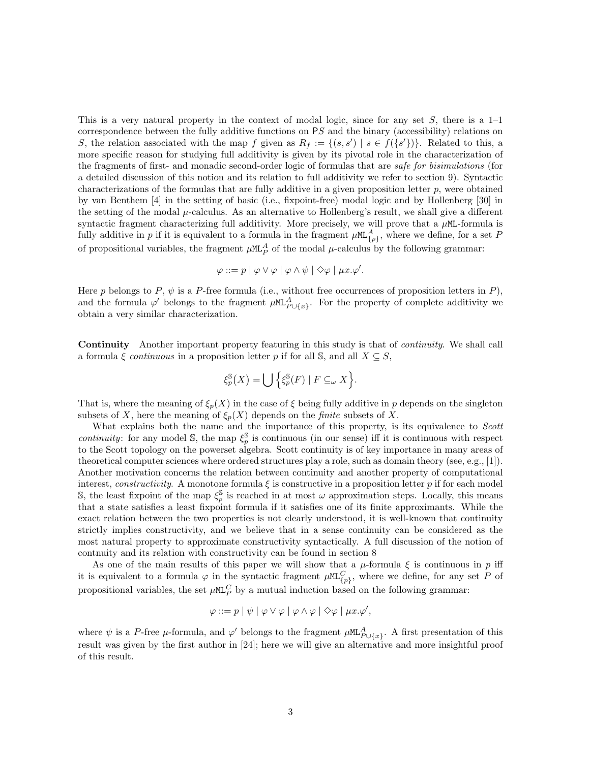This is a very natural property in the context of modal logic, since for any set  $S$ , there is a 1–1 correspondence between the fully additive functions on PS and the binary (accessibility) relations on S, the relation associated with the map f given as  $R_f := \{(s, s') | s \in f(\{s'\})\}$ . Related to this, a more specific reason for studying full additivity is given by its pivotal role in the characterization of the fragments of first- and monadic second-order logic of formulas that are safe for bisimulations (for a detailed discussion of this notion and its relation to full additivity we refer to section 9). Syntactic characterizations of the formulas that are fully additive in a given proposition letter  $p$ , were obtained by van Benthem [4] in the setting of basic (i.e., fixpoint-free) modal logic and by Hollenberg [30] in the setting of the modal  $\mu$ -calculus. As an alternative to Hollenberg's result, we shall give a different syntactic fragment characterizing full additivity. More precisely, we will prove that a  $\mu$ ML-formula is fully additive in p if it is equivalent to a formula in the fragment  $\mu M L_{\{p\}}^A$ , where we define, for a set P of propositional variables, the fragment  $\mu$ ML<sup>A</sup> of the modal  $\mu$ -calculus by the following grammar:

$$
\varphi ::= p \mid \varphi \lor \varphi \mid \varphi \land \psi \mid \Diamond \varphi \mid \mu x. \varphi'.
$$

Here p belongs to P,  $\psi$  is a P-free formula (i.e., without free occurrences of proposition letters in P), and the formula  $\varphi'$  belongs to the fragment  $\mu M L_{P \cup \{x\}}^A$ . For the property of complete additivity we obtain a very similar characterization.

Continuity Another important property featuring in this study is that of continuity. We shall call a formula  $\xi$  continuous in a proposition letter p if for all S, and all  $X \subseteq S$ ,

$$
\xi_p^{\mathbb{S}}(X) = \bigcup \left\{ \xi_p^{\mathbb{S}}(F) \mid F \subseteq_{\omega} X \right\}.
$$

That is, where the meaning of  $\xi_p(X)$  in the case of  $\xi$  being fully additive in p depends on the singleton subsets of X, here the meaning of  $\xi_p(X)$  depends on the *finite* subsets of X.

What explains both the name and the importance of this property, is its equivalence to Scott continuity: for any model S, the map  $\xi_p^{\mathbb{S}}$  is continuous (in our sense) iff it is continuous with respect to the Scott topology on the powerset algebra. Scott continuity is of key importance in many areas of theoretical computer sciences where ordered structures play a role, such as domain theory (see, e.g., [1]). Another motivation concerns the relation between continuity and another property of computational interest, *constructivity*. A monotone formula  $\xi$  is constructive in a proposition letter p if for each model S, the least fixpoint of the map  $\xi_p^{\mathbb{S}}$  is reached in at most  $\omega$  approximation steps. Locally, this means that a state satisfies a least fixpoint formula if it satisfies one of its finite approximants. While the exact relation between the two properties is not clearly understood, it is well-known that continuity strictly implies constructivity, and we believe that in a sense continuity can be considered as the most natural property to approximate constructivity syntactically. A full discussion of the notion of contnuity and its relation with constructivity can be found in section 8

As one of the main results of this paper we will show that a  $\mu$ -formula  $\xi$  is continuous in p iff it is equivalent to a formula  $\varphi$  in the syntactic fragment  $\mu M L_{\{p\}}^C$ , where we define, for any set P of propositional variables, the set  $\mu$ ML<sup>C</sup> by a mutual induction based on the following grammar:

$$
\varphi ::= p \mid \psi \mid \varphi \vee \varphi \mid \varphi \wedge \varphi \mid \Diamond \varphi \mid \mu x. \varphi',
$$

where  $\psi$  is a P-free  $\mu$ -formula, and  $\varphi'$  belongs to the fragment  $\mu M L^A_{P \cup \{x\}}$ . A first presentation of this result was given by the first author in [24]; here we will give an alternative and more insightful proof of this result.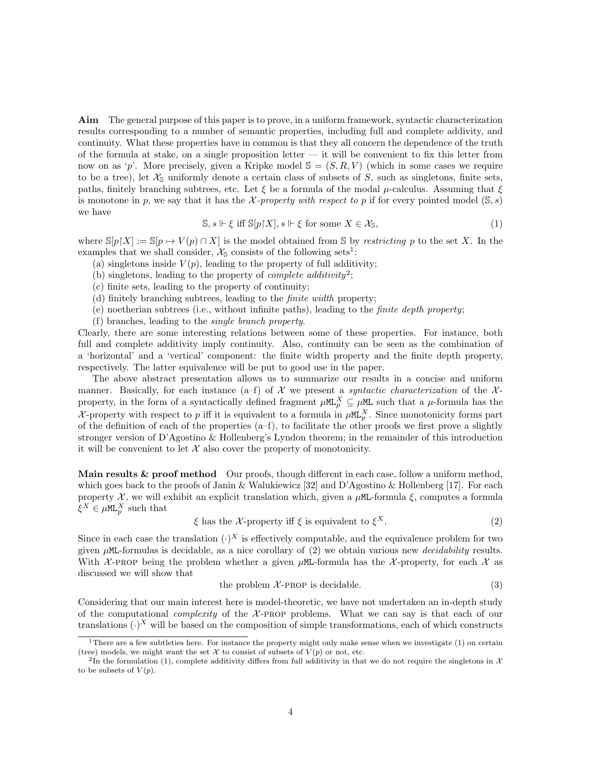Aim The general purpose of this paper is to prove, in a uniform framework, syntactic characterization results corresponding to a number of semantic properties, including full and complete addivity, and continuity. What these properties have in common is that they all concern the dependence of the truth of the formula at stake, on a single proposition letter  $-$  it will be convenient to fix this letter from now on as 'p'. More precisely, given a Kripke model  $\mathbb{S} = (S, R, V)$  (which in some cases we require to be a tree), let  $\mathcal{X}_s$  uniformly denote a certain class of subsets of S, such as singletons, finite sets, paths, finitely branching subtrees, etc. Let  $\xi$  be a formula of the modal  $\mu$ -calculus. Assuming that  $\xi$ is monotone in p, we say that it has the X-property with respect to p if for every pointed model  $(S, s)$ we have

$$
\mathbb{S}, s \Vdash \xi \text{ iff } \mathbb{S}[p|X], s \Vdash \xi \text{ for some } X \in \mathcal{X}_{\mathbb{S}}, \tag{1}
$$

where  $\mathbb{S}[p|X] := \mathbb{S}[p \mapsto V(p) \cap X]$  is the model obtained from S by restricting p to the set X. In the examples that we shall consider,  $\mathcal{X}_{\mathbb{S}}$  consists of the following sets<sup>1</sup>:

- (a) singletons inside  $V(p)$ , leading to the property of full additivity;
- (b) singletons, leading to the property of *complete additivity*<sup>2</sup>;
- (c) finite sets, leading to the property of continuity;
- (d) finitely branching subtrees, leading to the finite width property;
- (e) noetherian subtrees (i.e., without infinite paths), leading to the *finite depth property*;
- (f) branches, leading to the single branch property.

Clearly, there are some interesting relations between some of these properties. For instance, both full and complete additivity imply continuity. Also, continuity can be seen as the combination of a 'horizontal' and a 'vertical' component: the finite width property and the finite depth property, respectively. The latter equivalence will be put to good use in the paper.

The above abstract presentation allows us to summarize our results in a concise and uniform manner. Basically, for each instance (a–f) of X we present a syntactic characterization of the  $\mathcal{X}$ property, in the form of a syntactically defined fragment  $\mu M L_p^X \subseteq \mu M$  such that a  $\mu$ -formula has the X-property with respect to p iff it is equivalent to a formula in  $\mu M L_p^X$ . Since monotonicity forms part of the definition of each of the properties  $(a-f)$ , to facilitate the other proofs we first prove a slightly stronger version of D'Agostino & Hollenberg's Lyndon theorem; in the remainder of this introduction it will be convenient to let  $X$  also cover the property of monotonicity.

Main results & proof method Our proofs, though different in each case, follow a uniform method, which goes back to the proofs of Janin & Walukiewicz [32] and D'Agostino & Hollenberg [17]. For each property  $\mathcal X$ , we will exhibit an explicit translation which, given a  $\mu$ ML-formula  $\xi$ , computes a formula  $\xi^X \in \mu \mathbb{ML}_p^X$  such that

$$
\xi \text{ has the } \mathcal{X}\text{-property iff } \xi \text{ is equivalent to } \xi^X. \tag{2}
$$

Since in each case the translation  $(\cdot)^X$  is effectively computable, and the equivalence problem for two given  $\mu$ ML-formulas is decidable, as a nice corollary of (2) we obtain various new *decidability* results. With X-PROP being the problem whether a given  $\mu$ ML-formula has the X-property, for each X as discussed we will show that

the problem 
$$
\mathcal{X}
$$
-PROP is decidable.  $(3)$ 

Considering that our main interest here is model-theoretic, we have not undertaken an in-depth study of the computational *complexity* of the  $X$ -PROP problems. What we can say is that each of our translations  $(\cdot)^X$  will be based on the composition of simple transformations, each of which constructs

<sup>&</sup>lt;sup>1</sup>There are a few subtleties here. For instance the property might only make sense when we investigate  $(1)$  on certain (tree) models, we might want the set X to consist of subsets of  $V(p)$  or not, etc.

<sup>&</sup>lt;sup>2</sup>In the formulation (1), complete additivity differs from full additivity in that we do not require the singletons in  $\mathcal X$ to be subsets of  $V(p)$ .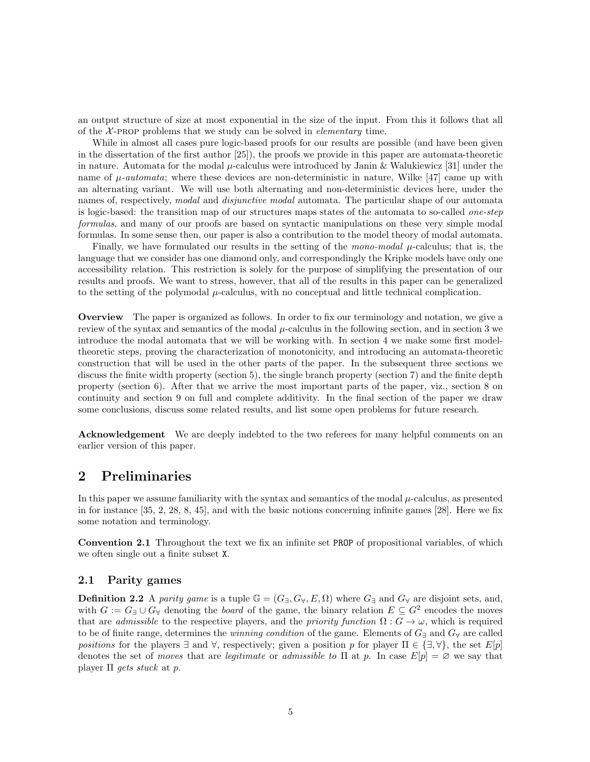an output structure of size at most exponential in the size of the input. From this it follows that all of the  $X$ -PROP problems that we study can be solved in *elementary* time.

While in almost all cases pure logic-based proofs for our results are possible (and have been given in the dissertation of the first author [25]), the proofs we provide in this paper are automata-theoretic in nature. Automata for the modal  $\mu$ -calculus were introduced by Janin & Walukiewicz [31] under the name of  $\mu$ -automata; where these devices are non-deterministic in nature, Wilke [47] came up with an alternating variant. We will use both alternating and non-deterministic devices here, under the names of, respectively, *modal* and *disjunctive modal* automata. The particular shape of our automata is logic-based: the transition map of our structures maps states of the automata to so-called one-step formulas, and many of our proofs are based on syntactic manipulations on these very simple modal formulas. In some sense then, our paper is also a contribution to the model theory of modal automata.

Finally, we have formulated our results in the setting of the mono-modal  $\mu$ -calculus; that is, the language that we consider has one diamond only, and correspondingly the Kripke models have only one accessibility relation. This restriction is solely for the purpose of simplifying the presentation of our results and proofs. We want to stress, however, that all of the results in this paper can be generalized to the setting of the polymodal  $\mu$ -calculus, with no conceptual and little technical complication.

Overview The paper is organized as follows. In order to fix our terminology and notation, we give a review of the syntax and semantics of the modal  $\mu$ -calculus in the following section, and in section 3 we introduce the modal automata that we will be working with. In section 4 we make some first modeltheoretic steps, proving the characterization of monotonicity, and introducing an automata-theoretic construction that will be used in the other parts of the paper. In the subsequent three sections we discuss the finite width property (section 5), the single branch property (section 7) and the finite depth property (section 6). After that we arrive the most important parts of the paper, viz., section 8 on continuity and section 9 on full and complete additivity. In the final section of the paper we draw some conclusions, discuss some related results, and list some open problems for future research.

Acknowledgement We are deeply indebted to the two referees for many helpful comments on an earlier version of this paper.

# 2 Preliminaries

In this paper we assume familiarity with the syntax and semantics of the modal  $\mu$ -calculus, as presented in for instance [35, 2, 28, 8, 45], and with the basic notions concerning infinite games [28]. Here we fix some notation and terminology.

Convention 2.1 Throughout the text we fix an infinite set PROP of propositional variables, of which we often single out a finite subset X.

#### 2.1 Parity games

**Definition 2.2** A parity game is a tuple  $\mathbb{G} = (G_{\exists}, G_{\forall}, E, \Omega)$  where  $G_{\exists}$  and  $G_{\forall}$  are disjoint sets, and, with  $G := G_{\exists} \cup G_{\forall}$  denoting the *board* of the game, the binary relation  $E \subseteq G^2$  encodes the moves that are *admissible* to the respective players, and the *priority function*  $\Omega: G \to \omega$ , which is required to be of finite range, determines the *winning condition* of the game. Elements of  $G_{\exists}$  and  $G_{\forall}$  are called positions for the players  $\exists$  and  $\forall$ , respectively; given a position p for player  $\Pi \in \{\exists, \forall\}$ , the set  $E[p]$ denotes the set of moves that are legitimate or admissible to  $\Pi$  at p. In case  $E[p] = \emptyset$  we say that player  $\Pi$  *gets stuck* at p.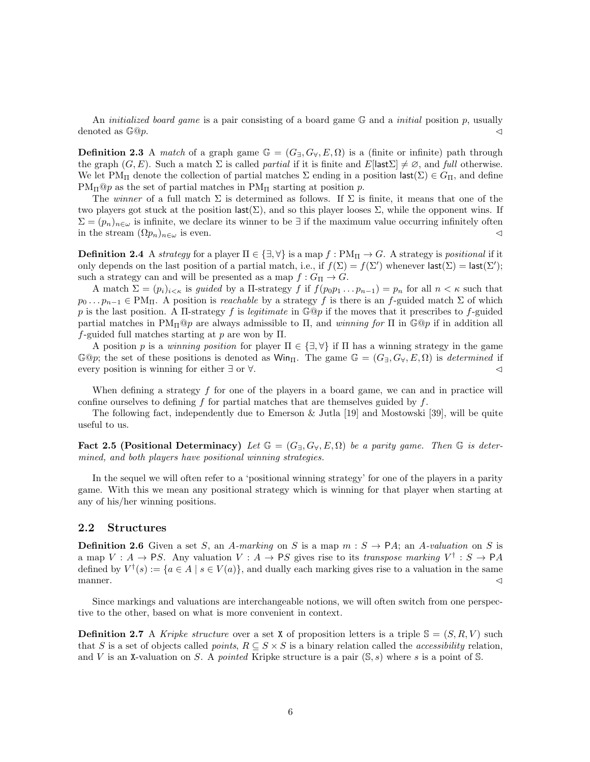An *initialized board game* is a pair consisting of a board game  $\mathbb{G}$  and a *initial* position p, usually denoted as  $\mathbb{G}^{\Omega}p$ .

**Definition 2.3** A match of a graph game  $\mathbb{G} = (G_{\exists}, G_{\forall}, E, \Omega)$  is a (finite or infinite) path through the graph  $(G, E)$ . Such a match  $\Sigma$  is called *partial* if it is finite and  $E[|ast\Sigma| \neq \emptyset$ , and *full* otherwise. We let PM<sub>Π</sub> denote the collection of partial matches  $\Sigma$  ending in a position last( $\Sigma \in G_{\Pi}$ , and define  $PM_{\Pi}$ @p as the set of partial matches in  $PM_{\Pi}$  starting at position p.

The winner of a full match  $\Sigma$  is determined as follows. If  $\Sigma$  is finite, it means that one of the two players got stuck at the position last( $\Sigma$ ), and so this player looses  $\Sigma$ , while the opponent wins. If  $\Sigma = (p_n)_{n \in \omega}$  is infinite, we declare its winner to be ∃ if the maximum value occurring infinitely often in the stream  $(\Omega p_n)_{n\in\omega}$  is even.

**Definition 2.4** A strategy for a player  $\Pi \in \{\exists, \forall\}$  is a map  $f : PM_{\Pi} \to G$ . A strategy is positional if it only depends on the last position of a partial match, i.e., if  $f(\Sigma) = f(\Sigma')$  whenever  $\textsf{last}(\Sigma) = \textsf{last}(\Sigma')$ ; such a strategy can and will be presented as a map  $f: G_{\Pi} \to G$ .

A match  $\Sigma = (p_i)_{i \leq \kappa}$  is guided by a II-strategy f if  $f(p_0p_1 \ldots p_{n-1}) = p_n$  for all  $n \leq \kappa$  such that  $p_0 \dots p_{n-1} \in PM_{\Pi}$ . A position is *reachable* by a strategy f is there is an f-guided match  $\Sigma$  of which p is the last position. A II-strategy f is legitimate in  $\mathbb{G}^{\mathbb{Q}}p$  if the moves that it prescribes to f-guided partial matches in  $\text{PM}_{\Pi}$ @p are always admissible to  $\Pi$ , and winning for  $\Pi$  in  $\mathbb{G}^{\text{op}}$  if in addition all f-guided full matches starting at p are won by  $\Pi$ .

A position p is a winning position for player  $\Pi \in \{\exists, \forall\}$  if  $\Pi$  has a winning strategy in the game  $\mathbb{G}^{\mathbb{Q}}p$ ; the set of these positions is denoted as  $\mathbb{W}$ in. The game  $\mathbb{G} = (G_{\exists}, G_{\forall}, E, \Omega)$  is *determined* if every position is winning for either ∃ or  $\forall$ .

When defining a strategy  $f$  for one of the players in a board game, we can and in practice will confine ourselves to defining  $f$  for partial matches that are themselves guided by  $f$ .

The following fact, independently due to Emerson & Jutla [19] and Mostowski [39], will be quite useful to us.

Fact 2.5 (Positional Determinacy) Let  $\mathbb{G} = (G_{\exists}, G_{\forall}, E, \Omega)$  be a parity game. Then  $\mathbb{G}$  is determined, and both players have positional winning strategies.

In the sequel we will often refer to a 'positional winning strategy' for one of the players in a parity game. With this we mean any positional strategy which is winning for that player when starting at any of his/her winning positions.

#### 2.2 Structures

**Definition 2.6** Given a set S, an A-marking on S is a map  $m : S \rightarrow PA$ ; an A-valuation on S is a map  $V: A \to PS$ . Any valuation  $V: A \to PS$  gives rise to its transpose marking  $V^{\dagger}: S \to PA$ defined by  $V^{\dagger}(s) := \{a \in A \mid s \in V(a)\}\$ , and dually each marking gives rise to a valuation in the same manner.  $\triangleleft$ 

Since markings and valuations are interchangeable notions, we will often switch from one perspective to the other, based on what is more convenient in context.

**Definition 2.7** A Kripke structure over a set X of proposition letters is a triple  $\mathbb{S} = (S, R, V)$  such that S is a set of objects called *points*,  $R \subseteq S \times S$  is a binary relation called the *accessibility* relation, and V is an X-valuation on S. A pointed Kripke structure is a pair  $(S, s)$  where s is a point of S.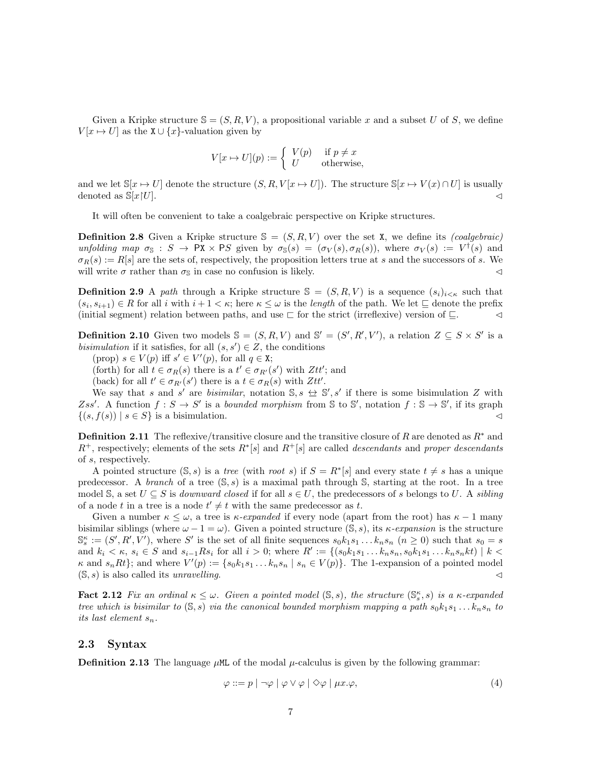Given a Kripke structure  $\mathbb{S} = (S, R, V)$ , a propositional variable x and a subset U of S, we define  $V[x \mapsto U]$  as the  $X \cup \{x\}$ -valuation given by

$$
V[x \mapsto U](p) := \begin{cases} V(p) & \text{if } p \neq x \\ U & \text{otherwise,} \end{cases}
$$

and we let  $\mathbb{S}[x \to U]$  denote the structure  $(S, R, V[x \to U])$ . The structure  $\mathbb{S}[x \to V(x) \cap U]$  is usually denoted as  $\mathbb{S}[x]U$ .

It will often be convenient to take a coalgebraic perspective on Kripke structures.

**Definition 2.8** Given a Kripke structure  $S = (S, R, V)$  over the set X, we define its *(coalgebraic)* unfolding map  $\sigma_{\mathbb{S}} : S \to \mathbb{P} \mathbb{X} \times \mathbb{P} \mathbb{S}$  given by  $\sigma_{\mathbb{S}}(s) = (\sigma_V(s), \sigma_R(s)),$  where  $\sigma_V(s) := V^{\dagger}(s)$  and  $\sigma_R(s) := R[s]$  are the sets of, respectively, the proposition letters true at s and the successors of s. We will write  $\sigma$  rather than  $\sigma_s$  in case no confusion is likely.

**Definition 2.9** A path through a Kripke structure  $S = (S, R, V)$  is a sequence  $(s_i)_{i \leq \kappa}$  such that  $(s_i, s_{i+1}) \in R$  for all i with  $i + 1 < \kappa$ ; here  $\kappa \leq \omega$  is the length of the path. We let  $\sqsubseteq$  denote the prefix (initial segment) relation between paths, and use  $\sqsubset$  for the strict (irreflexive) version of  $\sqsubseteq$ .  $\lhd$ 

**Definition 2.10** Given two models  $\mathbb{S} = (S, R, V)$  and  $\mathbb{S}' = (S', R', V')$ , a relation  $Z \subseteq S \times S'$  is a bisimulation if it satisfies, for all  $(s, s') \in Z$ , the conditions

(prop)  $s \in V(p)$  iff  $s' \in V'(p)$ , for all  $q \in \mathbf{X}$ ;

(forth) for all  $t \in \sigma_R(s)$  there is a  $t' \in \sigma_{R'}(s')$  with  $Ztt'$ ; and

(back) for all  $t' \in \sigma_{R'}(s')$  there is a  $t \in \sigma_R(s)$  with  $Ztt'$ .

We say that s and s' are bisimilar, notation  $\mathbb{S}, s \leftrightarrow \mathbb{S}', s'$  if there is some bisimulation Z with Zss'. A function  $f: S \to S'$  is a bounded morphism from S to S', notation  $f: S \to S'$ , if its graph  $\{(s, f(s)) \mid s \in S\}$  is a bisimulation.

**Definition 2.11** The reflexive/transitive closure and the transitive closure of R are denoted as  $R^*$  and  $R^+$ , respectively; elements of the sets  $R^*[s]$  and  $R^+[s]$  are called *descendants* and proper descendants of s, respectively.

A pointed structure  $(S, s)$  is a tree (with root s) if  $S = R^*[s]$  and every state  $t \neq s$  has a unique predecessor. A branch of a tree  $(S, s)$  is a maximal path through S, starting at the root. In a tree model S, a set  $U \subseteq S$  is *downward closed* if for all  $s \in U$ , the predecessors of s belongs to U. A sibling of a node t in a tree is a node  $t' \neq t$  with the same predecessor as t.

Given a number  $\kappa \leq \omega$ , a tree is  $\kappa$ -expanded if every node (apart from the root) has  $\kappa - 1$  many bisimilar siblings (where  $\omega - 1 = \omega$ ). Given a pointed structure (S, s), its  $\kappa$ -expansion is the structure  $\mathbb{S}_{s}^{\kappa} := (S', R', V')$ , where S' is the set of all finite sequences  $s_0 k_1 s_1 \dots k_n s_n$   $(n \geq 0)$  such that  $s_0 = s$ and  $k_i < \kappa$ ,  $s_i \in S$  and  $s_{i-1}Rs_i$  for all  $i > 0$ ; where  $R' := \{(s_0k_1s_1 \ldots s_ns_ns_1s_1 \ldots s_ns_nkt) \mid k <$  $\kappa$  and  $s_n R t$ ; and where  $V'(p) := \{ s_0 k_1 s_1 \dots k_n s_n \mid s_n \in V(p) \}.$  The 1-expansion of a pointed model  $(S, s)$  is also called its unravelling.

**Fact 2.12** Fix an ordinal  $\kappa \leq \omega$ . Given a pointed model  $(\mathbb{S}, s)$ , the structure  $(\mathbb{S}_s^{\kappa}, s)$  is a  $\kappa$ -expanded tree which is bisimilar to  $(S, s)$  via the canonical bounded morphism mapping a path  $s_0k_1s_1 \ldots k_ns_n$  to its last element  $s_n$ .

#### 2.3 Syntax

**Definition 2.13** The language  $\mu$ ML of the modal  $\mu$ -calculus is given by the following grammar:

$$
\varphi ::= p \mid \neg \varphi \mid \varphi \lor \varphi \mid \Diamond \varphi \mid \mu x. \varphi,
$$
\n
$$
(4)
$$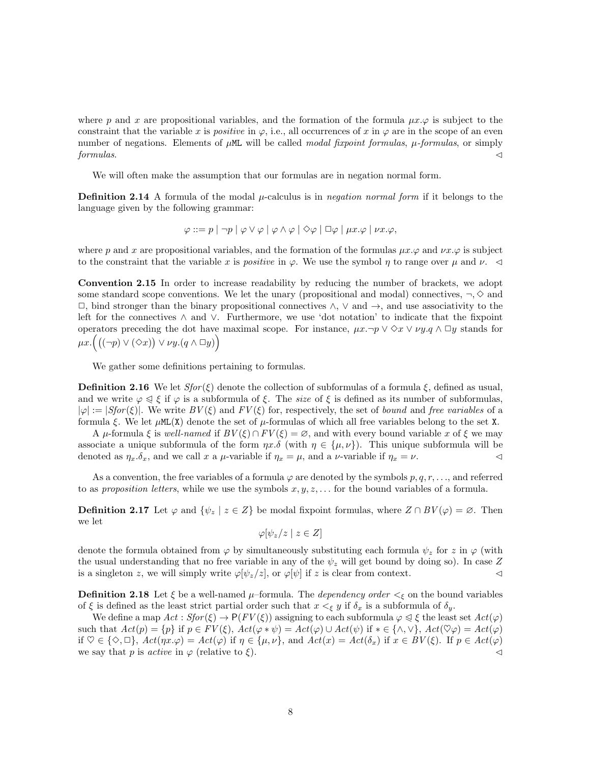where p and x are propositional variables, and the formation of the formula  $\mu x.\varphi$  is subject to the constraint that the variable x is positive in  $\varphi$ , i.e., all occurrences of x in  $\varphi$  are in the scope of an even number of negations. Elements of  $\mu$ ML will be called *modal fixpoint formulas*,  $\mu$ -formulas, or simply  $formulas.$ 

We will often make the assumption that our formulas are in negation normal form.

**Definition 2.14** A formula of the modal  $\mu$ -calculus is in *negation normal form* if it belongs to the language given by the following grammar:

$$
\varphi ::= p | \neg p | \varphi \vee \varphi | \varphi \wedge \varphi | \diamondsuit \varphi | \Box \varphi | \mu x. \varphi | \nu x. \varphi,
$$

where p and x are propositional variables, and the formation of the formulas  $\mu x.\varphi$  and  $\nu x.\varphi$  is subject to the constraint that the variable x is positive in  $\varphi$ . We use the symbol  $\eta$  to range over  $\mu$  and  $\nu$ .

Convention 2.15 In order to increase readability by reducing the number of brackets, we adopt some standard scope conventions. We let the unary (propositional and modal) connectives,  $\neg \Diamond$  and  $\Box$ , bind stronger than the binary propositional connectives  $\wedge$ ,  $\vee$  and  $\rightarrow$ , and use associativity to the left for the connectives ∧ and ∨. Furthermore, we use 'dot notation' to indicate that the fixpoint operators preceding the dot have maximal scope. For instance,  $\mu x.\neg p \vee \Diamond x \vee \nu y. q \wedge \Box y$  stands for  $\mu x. ((\neg p) \vee (\Diamond x)) \vee \nu y. (q \wedge \Box y))$ 

We gather some definitions pertaining to formulas.

**Definition 2.16** We let  $Sfor(\xi)$  denote the collection of subformulas of a formula  $\xi$ , defined as usual, and we write  $\varphi \leq \xi$  if  $\varphi$  is a subformula of  $\xi$ . The *size* of  $\xi$  is defined as its number of subformulas,  $|\varphi| := |Sfor(\xi)|$ . We write  $BV(\xi)$  and  $FV(\xi)$  for, respectively, the set of bound and free variables of a formula  $\xi$ . We let  $\mu M L(X)$  denote the set of  $\mu$ -formulas of which all free variables belong to the set X.

A  $\mu$ -formula  $\xi$  is well-named if  $BV(\xi) \cap FV(\xi) = \emptyset$ , and with every bound variable x of  $\xi$  we may associate a unique subformula of the form  $\eta x.\delta$  (with  $\eta \in {\{\mu,\nu\}}$ ). This unique subformula will be denoted as  $\eta_x.\delta_x$ , and we call x a  $\mu$ -variable if  $\eta_x = \mu$ , and a  $\nu$ -variable if  $\eta_x = \nu$ .

As a convention, the free variables of a formula  $\varphi$  are denoted by the symbols  $p, q, r, \ldots$ , and referred to as proposition letters, while we use the symbols  $x, y, z, \ldots$  for the bound variables of a formula.

**Definition 2.17** Let  $\varphi$  and  $\{\psi_z \mid z \in Z\}$  be modal fixpoint formulas, where  $Z \cap BV(\varphi) = \varnothing$ . Then we let

$$
\varphi[\psi_z/z \mid z \in Z]
$$

denote the formula obtained from  $\varphi$  by simultaneously substituting each formula  $\psi_z$  for z in  $\varphi$  (with the usual understanding that no free variable in any of the  $\psi_z$  will get bound by doing so). In case Z is a singleton z, we will simply write  $\varphi[\psi_z/z]$ , or  $\varphi[\psi]$  if z is clear from context.

**Definition 2.18** Let  $\xi$  be a well-named  $\mu$ -formula. The *dependency order*  $\lt_{\xi}$  on the bound variables of  $\xi$  is defined as the least strict partial order such that  $x <_{\xi} y$  if  $\delta_x$  is a subformula of  $\delta_y$ .

We define a map  $Act: Sfor(\xi) \to \mathsf{P}(FV(\xi))$  assigning to each subformula  $\varphi \leq \xi$  the least set  $Act(\varphi)$ such that  $Act(p) = \{p\}$  if  $p \in FV(\xi)$ ,  $Act(\varphi * \psi) = Act(\varphi) \cup Act(\psi)$  if  $* \in {\wedge, \vee\}$ ,  $Act(\heartsuit\varphi) = Act(\varphi)$ if  $\heartsuit \in \{\diamondsuit, \Box\}$ ,  $Act(\eta x.\varphi) = Act(\varphi)$  if  $\eta \in \{\mu, \nu\}$ , and  $Act(x) = Act(\delta_x)$  if  $x \in BV(\xi)$ . If  $p \in Act(\varphi)$ we say that p is *active* in  $\varphi$  (relative to  $\xi$ ).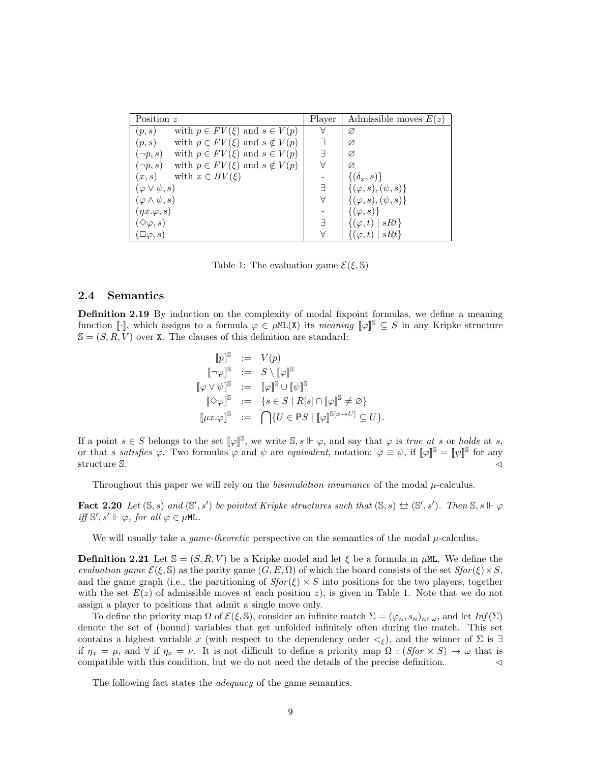| Position $z$                                              | Player | Admissible moves $E(z)$        |
|-----------------------------------------------------------|--------|--------------------------------|
| with $p \in FV(\xi)$ and $s \in V(p)$<br>(p,s)            | A      | Ø                              |
| with $p \in FV(\xi)$ and $s \notin V(p)$<br>(p,s)         | E      | Ø                              |
| with $p \in FV(\xi)$ and $s \in V(p)$<br>$(\neg p, s)$    | E      | Ø                              |
| with $p \in FV(\xi)$ and $s \notin V(p)$<br>$(\neg p, s)$ | Α      | Ø                              |
| with $x \in BV(\xi)$<br>(x,s)                             |        | $\{(\delta_x, s)\}\$           |
| $(\varphi \vee \psi, s)$                                  | F      | $\{(\varphi, s), (\psi, s)\}\$ |
| $(\varphi \wedge \psi, s)$                                | А      | $\{(\varphi, s), (\psi, s)\}\$ |
| $(\eta x.\varphi, s)$                                     |        | $\{(\varphi, s)\}\$            |
| $\langle \diamond \varphi, s \rangle$                     | E      | $\{(\varphi, t) \mid sRt\}$    |
| $\Box \varphi, s)$                                        | Α      | $ sRt\rangle$<br>$\varphi, t$  |

Table 1: The evaluation game  $\mathcal{E}(\xi, \mathbb{S})$ 

#### 2.4 Semantics

Definition 2.19 By induction on the complexity of modal fixpoint formulas, we define a meaning function [ $\cdot$ ], which assigns to a formula  $\varphi \in \muML(X)$  its meaning  $\llbracket \varphi \rrbracket^{\mathcal{S}} \subseteq S$  in any Kripke structure  $\mathbb{S} = (S, R, V)$  over X. The clauses of this definition are standard:

$$
\begin{array}{rcl}\n[p]^{\mathbb{S}} & := & V(p) \\
\llbracket \neg \varphi \rrbracket^{\mathbb{S}} & := & S \setminus \llbracket \varphi \rrbracket^{\mathbb{S}} \\
\llbracket \varphi \vee \psi \rrbracket^{\mathbb{S}} & := & \llbracket \varphi \rrbracket^{\mathbb{S}} \cup \llbracket \psi \rrbracket^{\mathbb{S}} \\
\llbracket \Diamond \varphi \rrbracket^{\mathbb{S}} & := & \{ s \in S \mid R[s] \cap \llbracket \varphi \rrbracket^{\mathbb{S}} \neq \varnothing \} \\
\llbracket \mu x. \varphi \rrbracket^{\mathbb{S}} & := & \bigcap \{ U \in \mathsf{PS} \mid \llbracket \varphi \rrbracket^{\mathbb{S}[x \mapsto U]} \subseteq U \}.\n\end{array}
$$

If a point  $s \in S$  belongs to the set  $[\![\varphi]\!]^{\mathbb{S}}$ , we write  $\mathbb{S}, s \Vdash \varphi$ , and say that  $\varphi$  is true at s or holds at s, or that s satisfies  $\varphi$ . Two formulas  $\varphi$  and  $\psi$  are equivalent, notation:  $\varphi \equiv \psi$ , if  $[\varphi]^{\mathbb{S}} = [\psi]^{\mathbb{S}}$  for any structure S.  $\triangleleft$ 

Throughout this paper we will rely on the *bisimulation invariance* of the modal  $\mu$ -calculus.

**Fact 2.20** Let  $(S, s)$  and  $(S', s')$  be pointed Kripke structures such that  $(S, s) \leftrightarrow (S', s')$ . Then  $S, s \Vdash \varphi$ iff  $\mathbb{S}', s' \Vdash \varphi$ , for all  $\varphi \in \mu \mathbb{M}$ .

We will usually take a *game-theoretic* perspective on the semantics of the modal  $\mu$ -calculus.

**Definition 2.21** Let  $\mathbb{S} = (S, R, V)$  be a Kripke model and let  $\xi$  be a formula in  $\mu$ ML. We define the evaluation game  $\mathcal{E}(\xi, \mathbb{S})$  as the parity game  $(G, E, \Omega)$  of which the board consists of the set  $Sfor(\xi) \times S$ , and the game graph (i.e., the partitioning of  $Sfor(\xi) \times S$  into positions for the two players, together with the set  $E(z)$  of admissible moves at each position z), is given in Table 1. Note that we do not assign a player to positions that admit a single move only.

To define the priority map  $\Omega$  of  $\mathcal{E}(\xi, \mathbb{S})$ , consider an infinite match  $\Sigma = (\varphi_n, s_n)_{n \in \omega}$ , and let  $Inf(\Sigma)$ denote the set of (bound) variables that get unfolded infinitely often during the match. This set contains a highest variable x (with respect to the dependency order  $\lt_{\xi}$ ), and the winner of  $\Sigma$  is  $\exists$ if  $\eta_x = \mu$ , and  $\forall$  if  $\eta_x = \nu$ . It is not difficult to define a priority map  $\Omega : (Sfor \times S) \to \omega$  that is compatible with this condition, but we do not need the details of the precise definition.  $\lhd$ 

The following fact states the *adequacy* of the game semantics.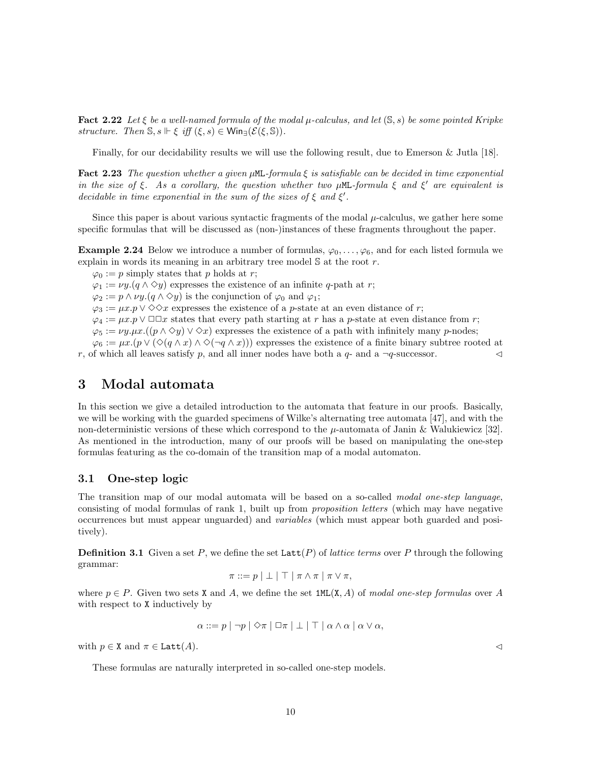**Fact 2.22** Let  $\xi$  be a well-named formula of the modal  $\mu$ -calculus, and let  $(S, s)$  be some pointed Kripke structure. Then  $\mathbb{S}, s \Vdash \xi$  iff  $(\xi, s) \in \mathsf{Win}_{\exists}(\mathcal{E}(\xi, \mathbb{S}))$ .

Finally, for our decidability results we will use the following result, due to Emerson & Jutla [18].

Fact 2.23 The question whether a given  $\mu$ ML-formula  $\xi$  is satisfiable can be decided in time exponential in the size of  $\xi$ . As a corollary, the question whether two  $\mu$ ML-formula  $\xi$  and  $\xi'$  are equivalent is decidable in time exponential in the sum of the sizes of  $\xi$  and  $\xi'$ .

Since this paper is about various syntactic fragments of the modal  $\mu$ -calculus, we gather here some specific formulas that will be discussed as (non-)instances of these fragments throughout the paper.

**Example 2.24** Below we introduce a number of formulas,  $\varphi_0, \ldots, \varphi_6$ , and for each listed formula we explain in words its meaning in an arbitrary tree model  $\mathbb S$  at the root r.

 $\varphi_0 := p$  simply states that p holds at r;  $\varphi_1 := \nu y.(q \wedge \Diamond y)$  expresses the existence of an infinite q-path at r;  $\varphi_2 := p \wedge \nu y \cdot (q \wedge \Diamond y)$  is the conjunction of  $\varphi_0$  and  $\varphi_1$ ;  $\varphi_3 := \mu x \cdot p \vee \Diamond \Diamond x$  expresses the existence of a p-state at an even distance of r;  $\varphi_4 := \mu x.p \vee \Box \Box x$  states that every path starting at r has a p-state at even distance from r;  $\varphi_5 := \nu y.\mu x.((p \wedge \Diamond y) \vee \Diamond x)$  expresses the existence of a path with infinitely many p-nodes;  $\varphi_6 := \mu x. (p \vee (\Diamond (q \wedge x) \wedge \Diamond (\neg q \wedge x)))$  expresses the existence of a finite binary subtree rooted at

r, of which all leaves satisfy p, and all inner nodes have both a  $q$ - and a  $\neg q$ -successor.

### 3 Modal automata

In this section we give a detailed introduction to the automata that feature in our proofs. Basically, we will be working with the guarded specimens of Wilke's alternating tree automata [47], and with the non-deterministic versions of these which correspond to the  $\mu$ -automata of Janin & Walukiewicz [32]. As mentioned in the introduction, many of our proofs will be based on manipulating the one-step formulas featuring as the co-domain of the transition map of a modal automaton.

#### 3.1 One-step logic

The transition map of our modal automata will be based on a so-called modal one-step language, consisting of modal formulas of rank 1, built up from proposition letters (which may have negative occurrences but must appear unguarded) and variables (which must appear both guarded and positively).

**Definition 3.1** Given a set P, we define the set  $Latt(P)$  of *lattice terms* over P through the following grammar:

$$
\pi ::= p \mid \bot \mid \top \mid \pi \wedge \pi \mid \pi \vee \pi,
$$

where  $p \in P$ . Given two sets X and A, we define the set 1ML(X, A) of modal one-step formulas over A with respect to X inductively by

$$
\alpha ::= p | \neg p | \Diamond \pi | \Box \pi | \bot | \top | \alpha \wedge \alpha | \alpha \vee \alpha,
$$

with  $p \in X$  and  $\pi \in \text{Latt}(A)$ .

These formulas are naturally interpreted in so-called one-step models.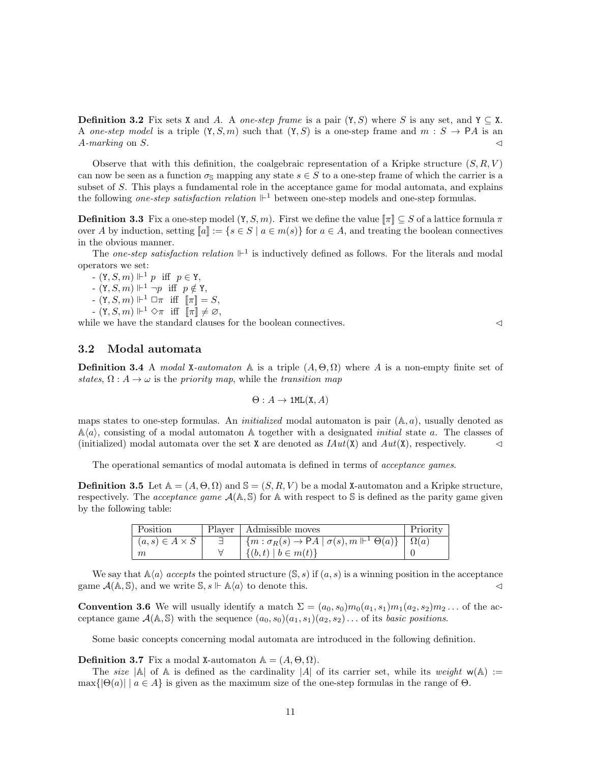**Definition 3.2** Fix sets X and A. A *one-step frame* is a pair  $(Y, S)$  where S is any set, and  $Y \subseteq X$ . A one-step model is a triple  $(Y, S, m)$  such that  $(Y, S)$  is a one-step frame and  $m : S \to \mathsf{P} A$  is an A-marking on S.  $\triangleleft$ 

Observe that with this definition, the coalgebraic representation of a Kripke structure  $(S, R, V)$ can now be seen as a function  $\sigma_s$  mapping any state  $s \in S$  to a one-step frame of which the carrier is a subset of S. This plays a fundamental role in the acceptance game for modal automata, and explains the following *one-step satisfaction relation*  $\mathbb{H}^1$  between one-step models and one-step formulas.

**Definition 3.3** Fix a one-step model  $(Y, S, m)$ . First we define the value  $\lceil \pi \rceil \subset S$  of a lattice formula  $\pi$ over A by induction, setting  $[a] := \{s \in S \mid a \in m(s)\}\$  for  $a \in A$ , and treating the boolean connectives in the obvious manner.

The one-step satisfaction relation  $\mathbb{H}^1$  is inductively defined as follows. For the literals and modal operators we set:

 $(Y, S, m) \Vdash^1 p$  iff  $p \in Y$ ,

 $(Y, S, m) \Vdash^1 \neg p$  iff  $p \notin Y$ ,

 $(Y, S, m) \Vdash^1 \Box \pi$  iff  $[\![\pi]\!] = S$ ,

 $- (\mathbf{Y}, S, m) \Vdash^1 \Diamond \pi \text{ iff } \overline{\mathbb{F}} \pi \overline{\mathbb{F}} \neq \varnothing,$ 

while we have the standard clauses for the boolean connectives.  $\lhd$ 

#### 3.2 Modal automata

**Definition 3.4** A modal X-automaton A is a triple  $(A, \Theta, \Omega)$  where A is a non-empty finite set of states,  $\Omega: A \to \omega$  is the priority map, while the transition map

$$
\Theta: A \to \text{1ML}(X, A)
$$

maps states to one-step formulas. An *initialized* modal automaton is pair  $(A, a)$ , usually denoted as  $\mathbb{A}(a)$ , consisting of a modal automaton A together with a designated *initial* state a. The classes of (initialized) modal automata over the set X are denoted as  $IAut(X)$  and  $Aut(X)$ , respectively.

The operational semantics of modal automata is defined in terms of *acceptance games*.

**Definition 3.5** Let  $\mathbb{A} = (A, \Theta, \Omega)$  and  $\mathbb{S} = (S, R, V)$  be a modal X-automaton and a Kripke structure, respectively. The *acceptance game*  $\mathcal{A}(\mathbb{A}, \mathbb{S})$  for  $\mathbb{A}$  with respect to  $\mathbb{S}$  is defined as the parity game given by the following table:

| l Position              | Player   Admissible moves                                                                     | Priority |
|-------------------------|-----------------------------------------------------------------------------------------------|----------|
| $(a, s) \in A \times S$ | $\mid \{m : \sigma_R(s) \to \mathsf{P}A \mid \sigma(s), m \Vdash^1 \Theta(a)\}\mid \Omega(a)$ |          |
| m                       | $\{(b,t)   b \in m(t)\}\$                                                                     |          |

We say that  $\mathbb{A}\langle a \rangle$  accepts the pointed structure  $(\mathbb{S}, s)$  if  $(a, s)$  is a winning position in the acceptance game  $\mathcal{A}(\mathbb{A}, \mathbb{S})$ , and we write  $\mathbb{S}, s \Vdash \mathbb{A}\langle a \rangle$  to denote this.

**Convention 3.6** We will usually identify a match  $\Sigma = (a_0, s_0) m_0(a_1, s_1) m_1(a_2, s_2) m_2 \dots$  of the acceptance game  $\mathcal{A}(\mathbb{A}, \mathbb{S})$  with the sequence  $(a_0, s_0)(a_1, s_1)(a_2, s_2) \dots$  of its basic positions.

Some basic concepts concerning modal automata are introduced in the following definition.

**Definition 3.7** Fix a modal X-automaton  $A = (A, \Theta, \Omega)$ .

The size  $|A|$  of A is defined as the cardinality  $|A|$  of its carrier set, while its weight  $w(A) :=$  $\max\{|\Theta(a)| \mid a \in A\}$  is given as the maximum size of the one-step formulas in the range of  $\Theta$ .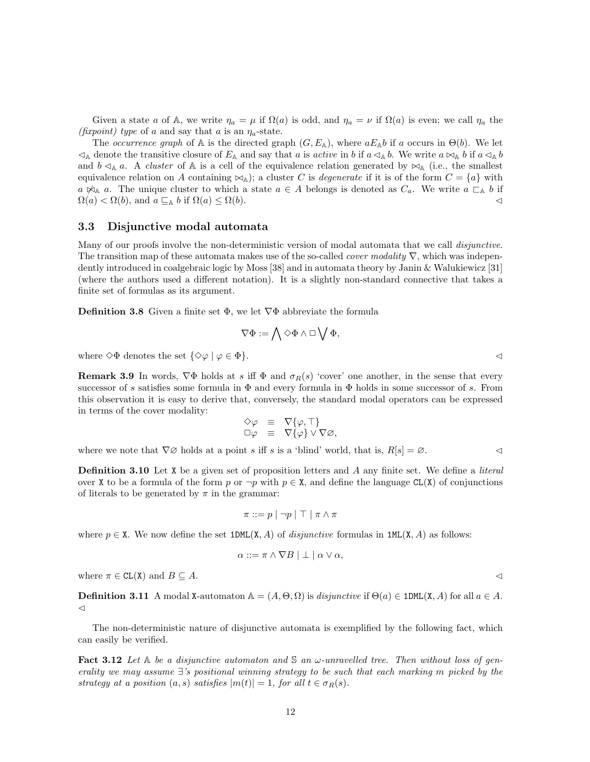Given a state a of A, we write  $\eta_a = \mu$  if  $\Omega(a)$  is odd, and  $\eta_a = \nu$  if  $\Omega(a)$  is even; we call  $\eta_a$  the (fixpoint) type of a and say that a is an  $\eta_a$ -state.

The occurrence graph of A is the directed graph  $(G, E_{\mathbb{A}})$ , where  $aE_{\mathbb{A}}b$  if a occurs in  $\Theta(b)$ . We let  $\triangleleft_A$  denote the transitive closure of  $E_A$  and say that a is active in b if  $a \triangleleft_A b$ . We write  $a \bowtie_A b$  if  $a \triangleleft_A b$ and  $b \triangleleft_A a$ . A *cluster* of  $\mathbb A$  is a cell of the equivalence relation generated by  $\boxtimes_{\mathbb A}$  (i.e., the smallest equivalence relation on A containing  $\bowtie_{\mathbb{A}}$ ); a cluster C is degenerate if it is of the form  $C = \{a\}$  with  $a \not\bowtie_A a$ . The unique cluster to which a state  $a \in A$  belongs is denoted as  $C_a$ . We write  $a \sqsubset_A b$  if  $\Omega(a) < \Omega(b)$ , and  $a \sqsubseteq_{\mathbb{A}} b$  if  $\Omega(a) \leq \Omega(b)$ .

#### 3.3 Disjunctive modal automata

Many of our proofs involve the non-deterministic version of modal automata that we call *disjunctive*. The transition map of these automata makes use of the so-called *cover modality*  $\nabla$ , which was independently introduced in coalgebraic logic by Moss [38] and in automata theory by Janin & Walukiewicz [31] (where the authors used a different notation). It is a slightly non-standard connective that takes a finite set of formulas as its argument.

**Definition 3.8** Given a finite set  $\Phi$ , we let  $\nabla \Phi$  abbreviate the formula

$$
\nabla \Phi := \bigwedge \Diamond \Phi \wedge \Box \bigvee \Phi,
$$

where  $\Diamond \Phi$  denotes the set  $\{\Diamond \varphi \mid \varphi \in \Phi\}.$ 

**Remark 3.9** In words,  $\nabla \Phi$  holds at s iff  $\Phi$  and  $\sigma_R(s)$  'cover' one another, in the sense that every successor of s satisfies some formula in  $\Phi$  and every formula in  $\Phi$  holds in some successor of s. From this observation it is easy to derive that, conversely, the standard modal operators can be expressed in terms of the cover modality:

$$
\begin{array}{rcl}\n\Diamond \varphi & \equiv & \nabla \{\varphi, \top \} \\
\Box \varphi & \equiv & \nabla \{\varphi\} \vee \nabla \varnothing,\n\end{array}
$$

where we note that  $\nabla\emptyset$  holds at a point s iff s is a 'blind' world, that is,  $R[s] = \emptyset$ .

**Definition 3.10** Let X be a given set of proposition letters and A any finite set. We define a *literal* over X to be a formula of the form p or  $\neg p$  with  $p \in X$ , and define the language CL(X) of conjunctions of literals to be generated by  $\pi$  in the grammar:

$$
\pi ::= p \mid \neg p \mid \top \mid \pi \wedge \pi
$$

where  $p \in X$ . We now define the set  $1DML(X, A)$  of *disjunctive* formulas in  $1ML(X, A)$  as follows:

$$
\alpha ::= \pi \wedge \nabla B \mid \perp \mid \alpha \vee \alpha,
$$

where  $\pi \in \text{CL}(X)$  and  $B \subseteq A$ .

**Definition 3.11** A modal X-automaton  $\mathbb{A} = (A, \Theta, \Omega)$  is disjunctive if  $\Theta(a) \in \text{1DML}(X, A)$  for all  $a \in A$ .  $\triangleleft$ 

The non-deterministic nature of disjunctive automata is exemplified by the following fact, which can easily be verified.

**Fact 3.12** Let  $A$  be a disjunctive automaton and  $S$  an  $\omega$ -unravelled tree. Then without loss of generality we may assume ∃'s positional winning strategy to be such that each marking m picked by the strategy at a position  $(a, s)$  satisfies  $|m(t)| = 1$ , for all  $t \in \sigma_R(s)$ .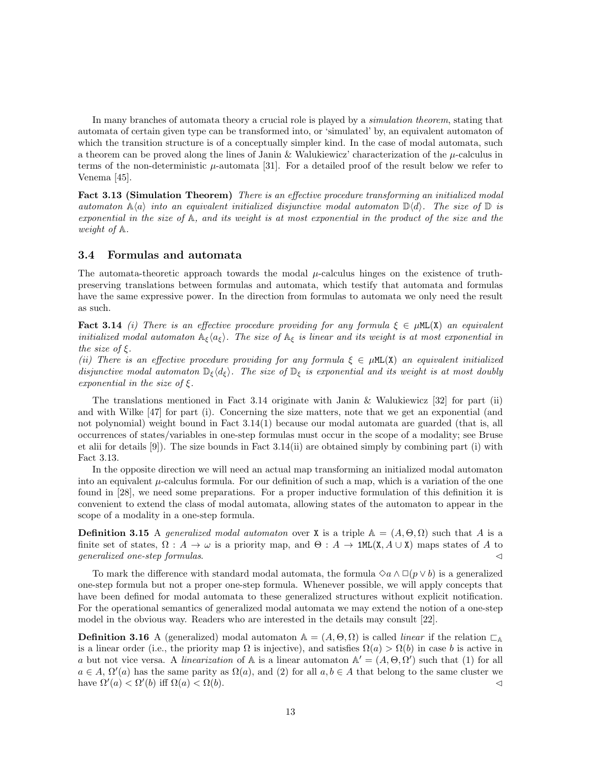In many branches of automata theory a crucial role is played by a *simulation theorem*, stating that automata of certain given type can be transformed into, or 'simulated' by, an equivalent automaton of which the transition structure is of a conceptually simpler kind. In the case of modal automata, such a theorem can be proved along the lines of Janin & Walukiewicz' characterization of the  $\mu$ -calculus in terms of the non-deterministic  $\mu$ -automata [31]. For a detailed proof of the result below we refer to Venema [45].

Fact 3.13 (Simulation Theorem) There is an effective procedure transforming an initialized modal automaton  $\mathbb{A}\langle a \rangle$  into an equivalent initialized disjunctive modal automaton  $\mathbb{D}\langle d \rangle$ . The size of  $\mathbb{D}$  is exponential in the size of A, and its weight is at most exponential in the product of the size and the weight of A.

#### 3.4 Formulas and automata

The automata-theoretic approach towards the modal  $\mu$ -calculus hinges on the existence of truthpreserving translations between formulas and automata, which testify that automata and formulas have the same expressive power. In the direction from formulas to automata we only need the result as such.

**Fact 3.14** (i) There is an effective procedure providing for any formula  $\xi \in \muML(X)$  an equivalent initialized modal automaton  $A_{\xi}\langle a_{\xi}\rangle$ . The size of  $A_{\xi}$  is linear and its weight is at most exponential in the size of  $\xi$ .

(ii) There is an effective procedure providing for any formula  $\xi \in \muML(X)$  an equivalent initialized disjunctive modal automaton  $\mathbb{D}_{\xi}\langle d_{\xi}\rangle$ . The size of  $\mathbb{D}_{\xi}$  is exponential and its weight is at most doubly exponential in the size of  $\xi$ .

The translations mentioned in Fact 3.14 originate with Janin & Walukiewicz  $[32]$  for part (ii) and with Wilke [47] for part (i). Concerning the size matters, note that we get an exponential (and not polynomial) weight bound in Fact 3.14(1) because our modal automata are guarded (that is, all occurrences of states/variables in one-step formulas must occur in the scope of a modality; see Bruse et alii for details [9]). The size bounds in Fact 3.14(ii) are obtained simply by combining part (i) with Fact 3.13.

In the opposite direction we will need an actual map transforming an initialized modal automaton into an equivalent  $\mu$ -calculus formula. For our definition of such a map, which is a variation of the one found in [28], we need some preparations. For a proper inductive formulation of this definition it is convenient to extend the class of modal automata, allowing states of the automaton to appear in the scope of a modality in a one-step formula.

**Definition 3.15** A generalized modal automaton over X is a triple  $A = (A, \Theta, \Omega)$  such that A is a finite set of states,  $\Omega : A \to \omega$  is a priority map, and  $\Theta : A \to 1ML(X, A \cup X)$  maps states of A to  $generalized\ one-step\ formulas.$ 

To mark the difference with standard modal automata, the formula  $\diamond a \wedge \Box(p \vee b)$  is a generalized one-step formula but not a proper one-step formula. Whenever possible, we will apply concepts that have been defined for modal automata to these generalized structures without explicit notification. For the operational semantics of generalized modal automata we may extend the notion of a one-step model in the obvious way. Readers who are interested in the details may consult [22].

**Definition 3.16** A (generalized) modal automaton  $A = (A, \Theta, \Omega)$  is called *linear* if the relation  $\Box$ is a linear order (i.e., the priority map  $\Omega$  is injective), and satisfies  $\Omega(a) > \Omega(b)$  in case b is active in a but not vice versa. A linearization of A is a linear automaton  $\mathbb{A}' = (A, \Theta, \Omega')$  such that (1) for all  $a \in A$ ,  $\Omega'(a)$  has the same parity as  $\Omega(a)$ , and (2) for all  $a, b \in A$  that belong to the same cluster we have  $\Omega'(a) < \Omega'(b)$  iff  $\Omega(a) < \Omega(b)$ .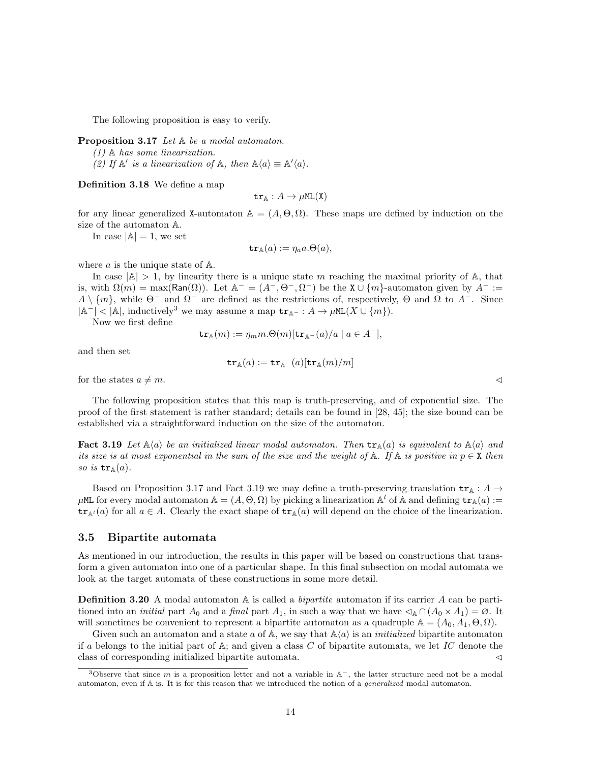The following proposition is easy to verify.

Proposition 3.17 Let  $A$  be a modal automaton.

(1) A has some linearization.

(2) If  $\mathbb{A}'$  is a linearization of  $\mathbb{A}$ , then  $\mathbb{A}\langle a \rangle \equiv \mathbb{A}'\langle a \rangle$ .

Definition 3.18 We define a map

 $tr_{A}: A \rightarrow \mu ML(X)$ 

for any linear generalized X-automaton  $A = (A, \Theta, \Omega)$ . These maps are defined by induction on the size of the automaton A.

In case  $|\mathbb{A}| = 1$ , we set

$$
\mathtt{tr}_{\mathbb{A}}(a) := \eta_a a.\Theta(a),
$$

where  $a$  is the unique state of  $A$ .

In case  $|\mathbb{A}| > 1$ , by linearity there is a unique state m reaching the maximal priority of A, that is, with  $\Omega(m) = \max(\text{Ran}(\Omega))$ . Let  $\mathbb{A}^- = (A^-, \Theta^-, \Omega^-)$  be the  $X \cup \{m\}$ -automaton given by  $A^- :=$  $A \setminus \{m\}$ , while  $\Theta^-$  and  $\Omega^-$  are defined as the restrictions of, respectively,  $\Theta$  and  $\Omega$  to  $A^-$ . Since  $|\mathbb{A}^-|$  <  $|\mathbb{A}|$ , inductively<sup>3</sup> we may assume a map  $\mathsf{tr}_{\mathbb{A}^-}: A \to \mu \texttt{ML}(X \cup \{m\}).$ 

Now we first define

$$
\operatorname{tr}_{\mathbb{A}}(m) := \eta_m m.\Theta(m)[\operatorname{tr}_{\mathbb{A}^-}(a)/a \mid a \in A^-],
$$

and then set

$$
\mathtt{tr}_\mathbb{A}(a):=\mathtt{tr}_{\mathbb{A}^-}(a)[\mathtt{tr}_\mathbb{A}(m)/m]
$$

for the states  $a \neq m$ .

The following proposition states that this map is truth-preserving, and of exponential size. The proof of the first statement is rather standard; details can be found in [28, 45]; the size bound can be established via a straightforward induction on the size of the automaton.

**Fact 3.19** Let  $\mathbb{A}\langle a \rangle$  be an initialized linear modal automaton. Then  $\text{tr}_{\mathbb{A}}(a)$  is equivalent to  $\mathbb{A}\langle a \rangle$  and its size is at most exponential in the sum of the size and the weight of  $A$ . If  $A$  is positive in  $p \in X$  then so is  $tr_{\mathbb{A}}(a)$ .

Based on Proposition 3.17 and Fact 3.19 we may define a truth-preserving translation  $tr_{A}: A \rightarrow$  $\mu$ ML for every modal automaton  $\mathbb{A} = (A, \Theta, \Omega)$  by picking a linearization  $\mathbb{A}^l$  of  $\mathbb{A}$  and defining  $\mathtt{tr}_{\mathbb{A}}(a) :=$  $\mathsf{tr}_{\mathbb{A}^l}(a)$  for all  $a \in A$ . Clearly the exact shape of  $\mathsf{tr}_{\mathbb{A}}(a)$  will depend on the choice of the linearization.

#### 3.5 Bipartite automata

As mentioned in our introduction, the results in this paper will be based on constructions that transform a given automaton into one of a particular shape. In this final subsection on modal automata we look at the target automata of these constructions in some more detail.

**Definition 3.20** A modal automaton  $\mathbb{A}$  is called a *bipartite* automaton if its carrier A can be partitioned into an *initial* part  $A_0$  and a final part  $A_1$ , in such a way that we have  $\triangleleft_A \cap (A_0 \times A_1) = \emptyset$ . It will sometimes be convenient to represent a bipartite automaton as a quadruple  $\mathbb{A} = (A_0, A_1, \Theta, \Omega)$ .

Given such an automaton and a state a of  $\mathbb{A}$ , we say that  $\mathbb{A}\langle a \rangle$  is an *initialized* bipartite automaton if a belongs to the initial part of  $\mathbb{A}$ ; and given a class C of bipartite automata, we let IC denote the class of corresponding initialized bipartite automata.

<sup>&</sup>lt;sup>3</sup>Observe that since m is a proposition letter and not a variable in  $A^-$ , the latter structure need not be a modal automaton, even if A is. It is for this reason that we introduced the notion of a generalized modal automaton.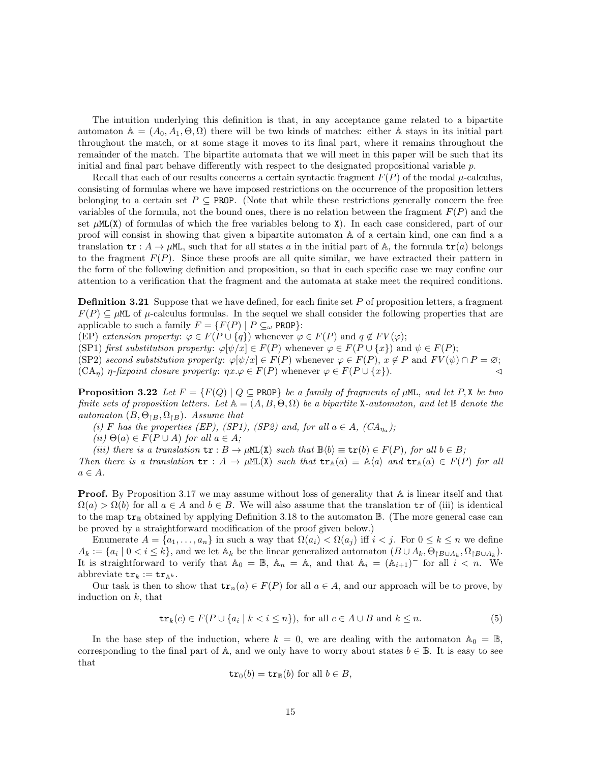The intuition underlying this definition is that, in any acceptance game related to a bipartite automaton  $\mathbb{A} = (A_0, A_1, \Theta, \Omega)$  there will be two kinds of matches: either A stays in its initial part throughout the match, or at some stage it moves to its final part, where it remains throughout the remainder of the match. The bipartite automata that we will meet in this paper will be such that its initial and final part behave differently with respect to the designated propositional variable  $p$ .

Recall that each of our results concerns a certain syntactic fragment  $F(P)$  of the modal  $\mu$ -calculus, consisting of formulas where we have imposed restrictions on the occurrence of the proposition letters belonging to a certain set  $P \subseteq \text{PROP}$ . (Note that while these restrictions generally concern the free variables of the formula, not the bound ones, there is no relation between the fragment  $F(P)$  and the set  $\mu$ ML(X) of formulas of which the free variables belong to X). In each case considered, part of our proof will consist in showing that given a bipartite automaton A of a certain kind, one can find a a translation  $tr : A \to \mu M$ , such that for all states a in the initial part of A, the formula  $tr(a)$  belongs to the fragment  $F(P)$ . Since these proofs are all quite similar, we have extracted their pattern in the form of the following definition and proposition, so that in each specific case we may confine our attention to a verification that the fragment and the automata at stake meet the required conditions.

**Definition 3.21** Suppose that we have defined, for each finite set  $P$  of proposition letters, a fragment  $F(P) \subseteq \mu M$  of  $\mu$ -calculus formulas. In the sequel we shall consider the following properties that are applicable to such a family  $F = \{F(P) \mid P \subseteq_{\omega} \text{PROP}\}\$ :

(EP) extension property:  $\varphi \in F(P \cup \{q\})$  whenever  $\varphi \in F(P)$  and  $q \notin FV(\varphi)$ ;

(SP1) first substitution property:  $\varphi[\psi/x] \in F(P)$  whenever  $\varphi \in F(P \cup \{x\})$  and  $\psi \in F(P)$ ;

(SP2) second substitution property:  $\varphi[\psi/x] \in F(P)$  whenever  $\varphi \in F(P)$ ,  $x \notin P$  and  $FV(\psi) \cap P = \varnothing$ ;

 $(CA_n)$   $\eta$ -fixpoint closure property:  $\eta x.\varphi \in F(P)$  whenever  $\varphi \in F(P \cup \{x\})$ .

**Proposition 3.22** Let  $F = \{F(Q) | Q \subseteq \text{PROP}\}\$ be a family of fragments of  $\mu$ ML, and let P, X be two finite sets of proposition letters. Let  $A = (A, B, \Theta, \Omega)$  be a bipartite X-automaton, and let  $\mathbb B$  denote the automaton  $(B, \Theta_{\restriction B}, \Omega_{\restriction B})$ . Assume that

(i) F has the properties (EP), (SP1), (SP2) and, for all  $a \in A$ , (CA<sub> $\eta_a$ </sub>);

(ii)  $\Theta(a) \in F(P \cup A)$  for all  $a \in A$ ;

(iii) there is a translation  $tr : B \to \mu ML(X)$  such that  $\mathbb{B}\langle b \rangle \equiv tr(b) \in F(P)$ , for all  $b \in B$ ;

Then there is a translation  $tr : A \to \mu ML(X)$  such that  $tr_A(a) \equiv A\langle a \rangle$  and  $tr_A(a) \in F(P)$  for all  $a \in A$ .

**Proof.** By Proposition 3.17 we may assume without loss of generality that  $A$  is linear itself and that  $\Omega(a) > \Omega(b)$  for all  $a \in A$  and  $b \in B$ . We will also assume that the translation  $\mathbf{tr}$  of (iii) is identical to the map  $tr_{\mathbb{B}}$  obtained by applying Definition 3.18 to the automaton  $\mathbb{B}$ . (The more general case can be proved by a straightforward modification of the proof given below.)

Enumerate  $A = \{a_1, \ldots, a_n\}$  in such a way that  $\Omega(a_i) < \Omega(a_i)$  iff  $i < j$ . For  $0 \leq k \leq n$  we define  $A_k := \{a_i \mid 0 \leq i \leq k\}$ , and we let  $\mathbb{A}_k$  be the linear generalized automaton  $(B \cup A_k, \Theta_{\vert B \cup A_k}, \Omega_{\vert B \cup A_k}).$ It is straightforward to verify that  $\mathbb{A}_0 = \mathbb{B}$ ,  $\mathbb{A}_n = \mathbb{A}$ , and that  $\mathbb{A}_i = (\mathbb{A}_{i+1})$ <sup>-</sup> for all  $i < n$ . We abbreviate  $\text{tr}_k := \text{tr}_{\mathbb{A}^k}$ .

Our task is then to show that  $tr_n(a) \in F(P)$  for all  $a \in A$ , and our approach will be to prove, by induction on  $k$ , that

$$
\operatorname{tr}_k(c) \in F(P \cup \{a_i \mid k < i \le n\}), \text{ for all } c \in A \cup B \text{ and } k \le n. \tag{5}
$$

In the base step of the induction, where  $k = 0$ , we are dealing with the automaton  $\mathbb{A}_0 = \mathbb{B}$ , corresponding to the final part of A, and we only have to worry about states  $b \in \mathbb{B}$ . It is easy to see that

$$
\operatorname{tr}_0(b) = \operatorname{tr}_{\mathbb{B}}(b) \text{ for all } b \in B,
$$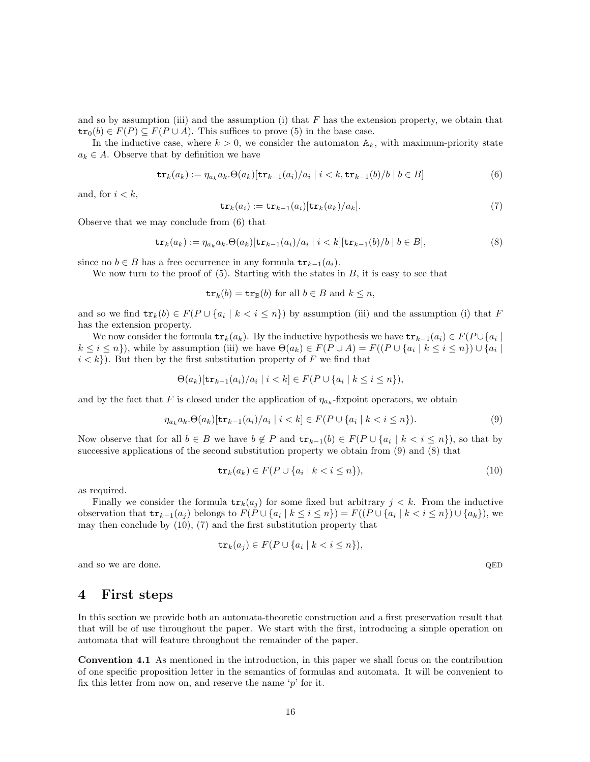and so by assumption (iii) and the assumption (i) that  $F$  has the extension property, we obtain that  $tr_0(b) \in F(P) \subseteq F(P \cup A)$ . This suffices to prove (5) in the base case.

In the inductive case, where  $k > 0$ , we consider the automaton  $\mathbb{A}_k$ , with maximum-priority state  $a_k \in A$ . Observe that by definition we have

$$
\operatorname{tr}_k(a_k) := \eta_{a_k} a_k \cdot \Theta(a_k) [\operatorname{tr}_{k-1}(a_i)/a_i \mid i < k, \operatorname{tr}_{k-1}(b)/b \mid b \in B] \tag{6}
$$

and, for  $i < k$ ,

$$
\operatorname{tr}_k(a_i) := \operatorname{tr}_{k-1}(a_i)[\operatorname{tr}_k(a_k)/a_k].
$$
\n(7)

Observe that we may conclude from (6) that

$$
\operatorname{tr}_k(a_k) := \eta_{a_k} a_k \cdot \Theta(a_k) [\operatorname{tr}_{k-1}(a_i)/a_i \mid i < k] [\operatorname{tr}_{k-1}(b)/b \mid b \in B],\tag{8}
$$

since no  $b \in B$  has a free occurrence in any formula  $tr_{k-1}(a_i)$ .

We now turn to the proof of  $(5)$ . Starting with the states in  $B$ , it is easy to see that

 $tr_k(b) = tr_{\mathbb{B}}(b)$  for all  $b \in B$  and  $k \leq n$ ,

and so we find  $tr_k(b) \in F(P \cup \{a_i \mid k < i \leq n\})$  by assumption (iii) and the assumption (i) that F has the extension property.

We now consider the formula  $tr_k(a_k)$ . By the inductive hypothesis we have  $tr_{k-1}(a_i) \in F(P \cup \{a_i \mid \mathcal{C} \in \mathcal{C} \setminus \{a_i\})$  $k \leq i \leq n$ , while by assumption (iii) we have  $\Theta(a_k) \in F(P \cup A) = F((P \cup \{a_i \mid k \leq i \leq n\}) \cup \{a_i \mid k \leq n\})$  $i < k$ . But then by the first substitution property of F we find that

$$
\Theta(a_k)[\text{tr}_{k-1}(a_i)/a_i \mid i < k] \in F(P \cup \{a_i \mid k \le i \le n\}),
$$

and by the fact that F is closed under the application of  $\eta_{a_k}$ -fixpoint operators, we obtain

$$
\eta_{a_k} a_k \cdot \Theta(a_k) [\text{tr}_{k-1}(a_i)/a_i \mid i < k] \in F(P \cup \{a_i \mid k < i \le n\}).\tag{9}
$$

Now observe that for all  $b \in B$  we have  $b \notin P$  and  $tr_{k-1}(b) \in F(P \cup \{a_i \mid k < i \leq n\})$ , so that by successive applications of the second substitution property we obtain from (9) and (8) that

$$
\operatorname{tr}_k(a_k) \in F(P \cup \{a_i \mid k < i \le n\}),\tag{10}
$$

as required.

Finally we consider the formula  $tr_k(a_i)$  for some fixed but arbitrary  $j < k$ . From the inductive observation that  $tr_{k-1}(a_j)$  belongs to  $F(P \cup \{a_i \mid k \leq i \leq n\}) = F((P \cup \{a_i \mid k < i \leq n\}) \cup \{a_k\})$ , we may then conclude by  $(10)$ ,  $(7)$  and the first substitution property that

$$
\operatorname{tr}_k(a_j) \in F(P \cup \{a_i \mid k < i \le n\}),
$$

and so we are done. QED

### 4 First steps

In this section we provide both an automata-theoretic construction and a first preservation result that that will be of use throughout the paper. We start with the first, introducing a simple operation on automata that will feature throughout the remainder of the paper.

Convention 4.1 As mentioned in the introduction, in this paper we shall focus on the contribution of one specific proposition letter in the semantics of formulas and automata. It will be convenient to fix this letter from now on, and reserve the name  $\gamma$  for it.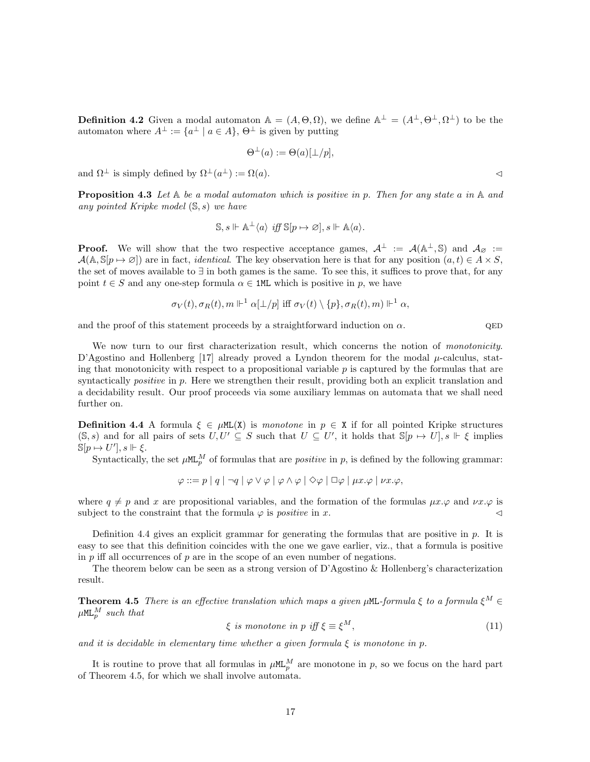**Definition 4.2** Given a modal automaton  $A = (A, \Theta, \Omega)$ , we define  $A^{\perp} = (A^{\perp}, \Theta^{\perp}, \Omega^{\perp})$  to be the automaton where  $A^{\perp} := \{a^{\perp} \mid a \in A\}, \Theta^{\perp}$  is given by putting

$$
\Theta^{\perp}(a) := \Theta(a)[\perp/p],
$$

and  $\Omega^{\perp}$  is simply defined by  $\Omega^{\perp}(a^{\perp}) := \Omega(a)$ .

**Proposition 4.3** Let  $A$  be a modal automaton which is positive in p. Then for any state a in  $A$  and any pointed Kripke model  $(S, s)$  we have

$$
\mathbb{S}, s \Vdash \mathbb{A}^{\perp} \langle a \rangle \text{ iff } \mathbb{S}[p \mapsto \varnothing], s \Vdash \mathbb{A}\langle a \rangle.
$$

**Proof.** We will show that the two respective acceptance games,  $A^{\perp} := A(A^{\perp}, S)$  and  $A_{\varnothing} :=$  $\mathcal{A}(\mathbb{A}, \mathbb{S}[p \mapsto \emptyset])$  are in fact, *identical*. The key observation here is that for any position  $(a, t) \in A \times S$ , the set of moves available to ∃ in both games is the same. To see this, it suffices to prove that, for any point  $t \in S$  and any one-step formula  $\alpha \in \text{1ML}$  which is positive in p, we have

$$
\sigma_V(t), \sigma_R(t), m \Vdash^1 \alpha[\perp/p] \text{ iff } \sigma_V(t) \setminus \{p\}, \sigma_R(t), m) \Vdash^1 \alpha,
$$

and the proof of this statement proceeds by a straightforward induction on  $\alpha$ . QED

We now turn to our first characterization result, which concerns the notion of *monotonicity*. D'Agostino and Hollenberg [17] already proved a Lyndon theorem for the modal  $\mu$ -calculus, stating that monotonicity with respect to a propositional variable  $p$  is captured by the formulas that are syntactically *positive* in p. Here we strengthen their result, providing both an explicit translation and a decidability result. Our proof proceeds via some auxiliary lemmas on automata that we shall need further on.

**Definition 4.4** A formula  $\xi \in \muML(X)$  is monotone in  $p \in X$  if for all pointed Kripke structures  $(S, s)$  and for all pairs of sets  $U, U' \subseteq S$  such that  $U \subseteq U'$ , it holds that  $S[p \mapsto U], s \Vdash \xi$  implies  $\mathbb{S}[p \mapsto U'], s \Vdash \xi.$ 

Syntactically, the set  $\mu$ ML<sup>M</sup> of formulas that are *positive* in p, is defined by the following grammar:

 $\varphi ::= p \mid q \mid \neg q \mid \varphi \vee \varphi \mid \varphi \wedge \varphi \mid \Diamond \varphi \mid \Box \varphi \mid \mu x. \varphi \mid \nu x. \varphi,$ 

where  $q \neq p$  and x are propositional variables, and the formation of the formulas  $\mu x.\varphi$  and  $\nu x.\varphi$  is subject to the constraint that the formula  $\varphi$  is *positive* in x.

Definition 4.4 gives an explicit grammar for generating the formulas that are positive in  $p$ . It is easy to see that this definition coincides with the one we gave earlier, viz., that a formula is positive in  $p$  iff all occurrences of  $p$  are in the scope of an even number of negations.

The theorem below can be seen as a strong version of D'Agostino & Hollenberg's characterization result.

**Theorem 4.5** There is an effective translation which maps a given  $\mu$ ML-formula  $\xi$  to a formula  $\xi^M \in$  $\mu$ ML $_p^M$  such that

 $\xi$  is monotone in p iff  $\xi \equiv \xi^M$ ,  $M,$  (11)

and it is decidable in elementary time whether a given formula  $\xi$  is monotone in p.

It is routine to prove that all formulas in  $\mu M_{p}^{M}$  are monotone in p, so we focus on the hard part of Theorem 4.5, for which we shall involve automata.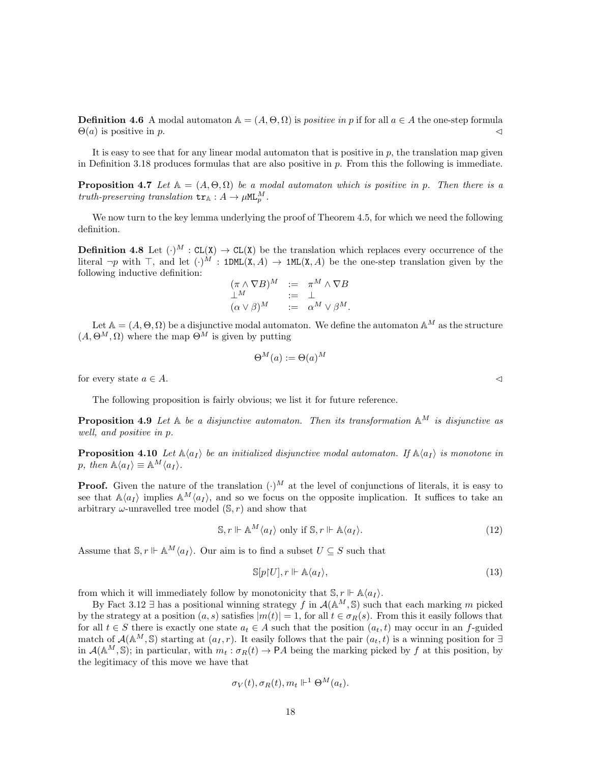**Definition 4.6** A modal automaton  $\mathbb{A} = (A, \Theta, \Omega)$  is *positive in p* if for all  $a \in A$  the one-step formula  $\Theta(a)$  is positive in p.

It is easy to see that for any linear modal automaton that is positive in  $p$ , the translation map given in Definition 3.18 produces formulas that are also positive in  $p$ . From this the following is immediate.

**Proposition 4.7** Let  $A = (A, \Theta, \Omega)$  be a modal automaton which is positive in p. Then there is a truth-preserving translation  $tr_{\mathbb{A}}: A \to \mu \mathsf{ML}_{p}^{M}$ .

We now turn to the key lemma underlying the proof of Theorem 4.5, for which we need the following definition.

**Definition 4.8** Let  $(\cdot)^M$ :  $CL(X) \rightarrow CL(X)$  be the translation which replaces every occurrence of the literal  $\neg p$  with  $\top$ , and let  $(\cdot)^{\tilde{M}}$ : 1DML $(X, A) \rightarrow 1$ ML $(X, A)$  be the one-step translation given by the following inductive definition:

$$
\begin{array}{rcl}\n(\pi \wedge \nabla B)^M & := & \pi^M \wedge \nabla B \\
\perp^M & := & \perp \\
(\alpha \vee \beta)^M & := & \alpha^M \vee \beta^M.\n\end{array}
$$

Let  $\mathbb{A} = (A, \Theta, \Omega)$  be a disjunctive modal automaton. We define the automaton  $\mathbb{A}^M$  as the structure  $(A, \Theta^M, \Omega)$  where the map  $\Theta^M$  is given by putting

$$
\Theta^M(a) := \Theta(a)^M
$$

for every state  $a \in A$ .

The following proposition is fairly obvious; we list it for future reference.

**Proposition 4.9** Let  $A$  be a disjunctive automaton. Then its transformation  $A^M$  is disjunctive as well, and positive in p.

**Proposition 4.10** Let  $\mathbb{A}\langle a_I \rangle$  be an initialized disjunctive modal automaton. If  $\mathbb{A}\langle a_I \rangle$  is monotone in p, then  $\mathbb{A}\langle a_I \rangle \equiv \mathbb{A}^M \langle a_I \rangle$ .

**Proof.** Given the nature of the translation  $(\cdot)^M$  at the level of conjunctions of literals, it is easy to see that  $\mathbb{A}\langle a_I \rangle$  implies  $\mathbb{A}^M\langle a_I \rangle$ , and so we focus on the opposite implication. It suffices to take an arbitrary  $\omega$ -unravelled tree model  $(\mathbb{S}, r)$  and show that

$$
\mathbb{S}, r \Vdash \mathbb{A}^M \langle a_I \rangle \text{ only if } \mathbb{S}, r \Vdash \mathbb{A} \langle a_I \rangle. \tag{12}
$$

Assume that  $\mathbb{S}, r \Vdash \mathbb{A}^M \langle a_I \rangle$ . Our aim is to find a subset  $U \subseteq S$  such that

$$
\mathbb{S}[p|U], r \Vdash \mathbb{A}\langle a_I \rangle,\tag{13}
$$

from which it will immediately follow by monotonicity that  $\mathbb{S}, r \Vdash \mathbb{A}\langle a_I \rangle$ .

By Fact 3.12 ∃ has a positional winning strategy f in  $\mathcal{A}(\mathbb{A}^M, \mathbb{S})$  such that each marking m picked by the strategy at a position  $(a, s)$  satisfies  $|m(t)| = 1$ , for all  $t \in \sigma_R(s)$ . From this it easily follows that for all  $t \in S$  there is exactly one state  $a_t \in A$  such that the position  $(a_t, t)$  may occur in an f-guided match of  $\mathcal{A}(\mathbb{A}^M, \mathbb{S})$  starting at  $(a_I, r)$ . It easily follows that the pair  $(a_t, t)$  is a winning position for  $\exists$ in  $\mathcal{A}(\mathbb{A}^M, \mathbb{S})$ ; in particular, with  $m_t : \sigma_R(t) \to \mathsf{P} A$  being the marking picked by f at this position, by the legitimacy of this move we have that

$$
\sigma_V(t), \sigma_R(t), m_t \Vdash^1 \Theta^M(a_t).
$$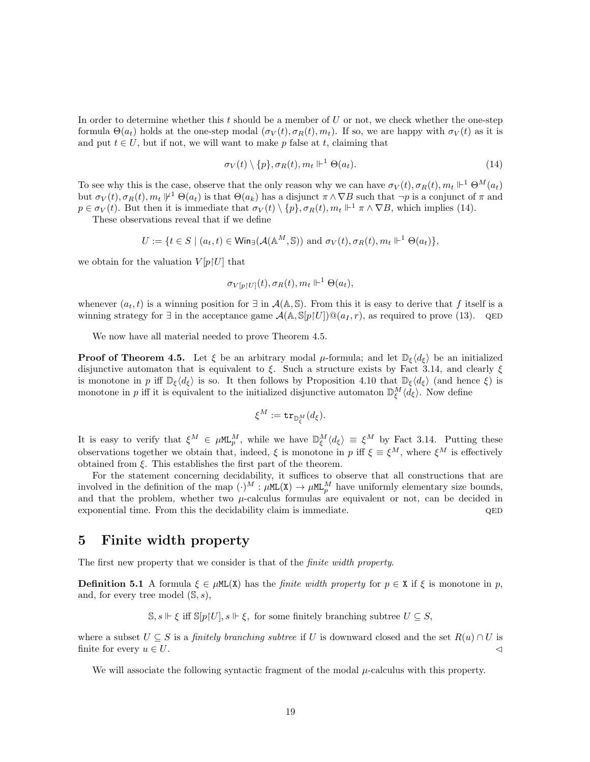In order to determine whether this  $t$  should be a member of  $U$  or not, we check whether the one-step formula  $\Theta(a_t)$  holds at the one-step modal  $(\sigma_V(t), \sigma_R(t), m_t)$ . If so, we are happy with  $\sigma_V(t)$  as it is and put  $t \in U$ , but if not, we will want to make p false at t, claiming that

$$
\sigma_V(t) \setminus \{p\}, \sigma_R(t), m_t \Vdash^1 \Theta(a_t). \tag{14}
$$

To see why this is the case, observe that the only reason why we can have  $\sigma_V(t)$ ,  $\sigma_R(t)$ ,  $m_t \Vdash^1 \Theta^M(a_t)$ but  $\sigma_V(t), \sigma_R(t), m_t \not\Vdash^1 \Theta(a_t)$  is that  $\Theta(a_k)$  has a disjunct  $\pi \wedge \nabla B$  such that  $\neg p$  is a conjunct of  $\pi$  and  $p \in \sigma_V(t)$ . But then it is immediate that  $\sigma_V(t) \setminus \{p\}, \sigma_R(t), m_t \Vdash^1 \pi \wedge \nabla B$ , which implies (14).

These observations reveal that if we define

$$
U := \{ t \in S \mid (a_t, t) \in \mathsf{Win}_{\exists}(\mathcal{A}(\mathbb{A}^M, \mathbb{S})) \text{ and } \sigma_V(t), \sigma_R(t), m_t \Vdash^1 \Theta(a_t) \},
$$

we obtain for the valuation  $V[p|U]$  that

$$
\sigma_{V[p\restriction U]}(t), \sigma_R(t), m_t \Vdash^1 \Theta(a_t),
$$

whenever  $(a_t, t)$  is a winning position for  $\exists$  in  $\mathcal{A}(\mathbb{A}, \mathbb{S})$ . From this it is easy to derive that f itself is a winning strategy for  $\exists$  in the acceptance game  $\mathcal{A}(\mathbb{A}, \mathbb{S}[p]U]) @ (a_I, r)$ , as required to prove (13). QED

We now have all material needed to prove Theorem 4.5.

**Proof of Theorem 4.5.** Let  $\xi$  be an arbitrary modal  $\mu$ -formula; and let  $\mathbb{D}_{\xi}\langle d_{\xi} \rangle$  be an initialized disjunctive automaton that is equivalent to  $\xi$ . Such a structure exists by Fact 3.14, and clearly  $\xi$ is monotone in p iff  $\mathbb{D}_{\xi}\langle d_{\xi}\rangle$  is so. It then follows by Proposition 4.10 that  $\mathbb{D}_{\xi}\langle d_{\xi}\rangle$  (and hence  $\xi$ ) is monotone in p iff it is equivalent to the initialized disjunctive automaton  $\mathbb{D}_{\xi}^{M}\langle d_{\xi}\rangle$ . Now define

$$
\xi^M:=\mathtt{tr}_{\mathbb{D}_\xi^M}(d_\xi).
$$

It is easy to verify that  $\xi^M \in \mu \mathbb{RL}_p^M$ , while we have  $\mathbb{D}_{\xi}^M \langle d_{\xi} \rangle \equiv \xi^M$  by Fact 3.14. Putting these observations together we obtain that, indeed,  $\xi$  is monotone in p iff  $\xi \equiv \xi^M$ , where  $\xi^M$  is effectively obtained from  $\xi$ . This establishes the first part of the theorem.

For the statement concerning decidability, it suffices to observe that all constructions that are involved in the definition of the map  $(\cdot)^M : \mu M L(X) \to \mu M L_p^M$  have uniformly elementary size bounds, and that the problem, whether two  $\mu$ -calculus formulas are equivalent or not, can be decided in exponential time. From this the decidability claim is immediate.  $QED$ 

### 5 Finite width property

The first new property that we consider is that of the finite width property.

**Definition 5.1** A formula  $\xi \in \muML(X)$  has the *finite width property* for  $p \in X$  if  $\xi$  is monotone in p, and, for every tree model  $(\mathbb{S}, s)$ ,

 $\mathbb{S}, s \Vdash \xi$  iff  $\mathbb{S}[p|U], s \Vdash \xi$ , for some finitely branching subtree  $U \subseteq S$ ,

where a subset  $U \subseteq S$  is a *finitely branching subtree* if U is downward closed and the set  $R(u) \cap U$  is finite for every  $u \in U$ .

We will associate the following syntactic fragment of the modal  $\mu$ -calculus with this property.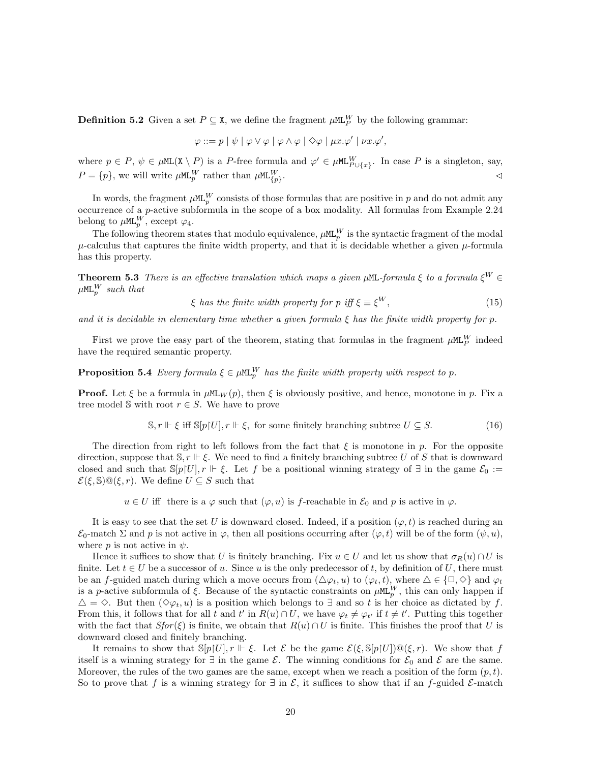**Definition 5.2** Given a set  $P \subseteq \texttt{X}$ , we define the fragment  $\mu M L_P^W$  by the following grammar:

$$
\varphi ::= p | \psi | \varphi \vee \varphi | \varphi \wedge \varphi | \diamond \varphi | \mu x. \varphi' | \nu x. \varphi',
$$

where  $p \in P$ ,  $\psi \in \mu \texttt{ML}(X \setminus P)$  is a P-free formula and  $\varphi' \in \mu \texttt{ML}_{P \cup \{x\}}^W$ . In case P is a singleton, say,  $P = \{p\}$ , we will write  $\mu$ ML $_{p}^{W}$  rather than  $\mu$ ML $_{\{p\}}^{W}$ .  $\triangle$ 

In words, the fragment  $\mu$ ML<sup>W</sup> consists of those formulas that are positive in p and do not admit any occurrence of a p-active subformula in the scope of a box modality. All formulas from Example 2.24 belong to  $\mu$ ML $_p^W$ , except  $\varphi_4$ .

The following theorem states that modulo equivalence,  $\mu M_{p}^{W}$  is the syntactic fragment of the modal  $\mu$ -calculus that captures the finite width property, and that it is decidable whether a given  $\mu$ -formula has this property.

**Theorem 5.3** There is an effective translation which maps a given  $\mu$ ML-formula  $\xi$  to a formula  $\xi^W \in$  $\mu$ ML $_{p}^{W}$  such that

$$
\xi \text{ has the finite width property for } p \text{ iff } \xi \equiv \xi^W,
$$
\n(15)

and it is decidable in elementary time whether a given formula  $\xi$  has the finite width property for p.

First we prove the easy part of the theorem, stating that formulas in the fragment  $\mu$ ML<sup>W</sup> indeed have the required semantic property.

**Proposition 5.4** Every formula  $\xi \in \mu \mathbb{m}$  has the finite width property with respect to p.

**Proof.** Let  $\xi$  be a formula in  $\mu M_{\text{L}_W}(p)$ , then  $\xi$  is obviously positive, and hence, monotone in p. Fix a tree model S with root  $r \in S$ . We have to prove

$$
\mathbb{S}, r \Vdash \xi \text{ iff } \mathbb{S}[p|U], r \Vdash \xi, \text{ for some finitely branching subtree } U \subseteq S. \tag{16}
$$

The direction from right to left follows from the fact that  $\xi$  is monotone in p. For the opposite direction, suppose that  $\mathbb{S}, r \Vdash \xi$ . We need to find a finitely branching subtree U of S that is downward closed and such that  $\mathbb{S}[p]U, r \Vdash \xi$ . Let f be a positional winning strategy of  $\exists$  in the game  $\mathcal{E}_0 :=$  $\mathcal{E}(\xi, \mathbb{S}) \mathbb{Q}(\xi, r)$ . We define  $U \subseteq S$  such that

 $u \in U$  iff there is a  $\varphi$  such that  $(\varphi, u)$  is f-reachable in  $\mathcal{E}_0$  and p is active in  $\varphi$ .

It is easy to see that the set U is downward closed. Indeed, if a position  $(\varphi, t)$  is reached during an  $\mathcal{E}_0$ -match  $\Sigma$  and p is not active in  $\varphi$ , then all positions occurring after  $(\varphi, t)$  will be of the form  $(\psi, u)$ , where p is not active in  $\psi$ .

Hence it suffices to show that U is finitely branching. Fix  $u \in U$  and let us show that  $\sigma_R(u) \cap U$  is finite. Let  $t \in U$  be a successor of u. Since u is the only predecessor of t, by definition of U, there must be an f-guided match during which a move occurs from  $(\Delta \varphi_t, u)$  to  $(\varphi_t, t)$ , where  $\Delta \in {\lbrace \Box, \Diamond \rbrace}$  and  $\varphi_t$ is a p-active subformula of  $\xi$ . Because of the syntactic constraints on  $\mu M L_p^W$ , this can only happen if  $\Delta = \Diamond$ . But then  $(\Diamond \varphi_t, u)$  is a position which belongs to  $\exists$  and so t is her choice as dictated by f. From this, it follows that for all t and t' in  $R(u) \cap U$ , we have  $\varphi_t \neq \varphi_{t'}$  if  $t \neq t'$ . Putting this together with the fact that  $Sfor(\xi)$  is finite, we obtain that  $R(u) \cap U$  is finite. This finishes the proof that U is downward closed and finitely branching.

It remains to show that  $\mathbb{S}[p]U, r \Vdash \xi$ . Let  $\mathcal E$  be the game  $\mathcal E(\xi, \mathbb S[p]U]) \mathbb{Q}(\xi, r)$ . We show that f itself is a winning strategy for  $\exists$  in the game  $\mathcal{E}$ . The winning conditions for  $\mathcal{E}_0$  and  $\mathcal{E}$  are the same. Moreover, the rules of the two games are the same, except when we reach a position of the form  $(p, t)$ . So to prove that f is a winning strategy for  $\exists$  in  $\mathcal{E}$ , it suffices to show that if an f-guided  $\mathcal{E}$ -match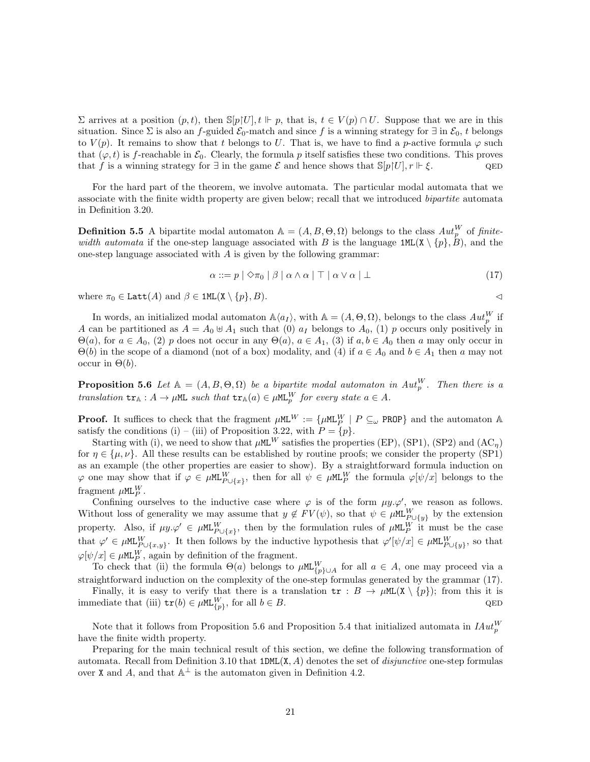$\Sigma$  arrives at a position  $(p, t)$ , then  $\mathbb{S}[p]U]$ ,  $t \Vdash p$ , that is,  $t \in V(p) \cap U$ . Suppose that we are in this situation. Since  $\Sigma$  is also an f-guided  $\mathcal{E}_0$ -match and since f is a winning strategy for  $\exists$  in  $\mathcal{E}_0$ , t belongs to  $V(p)$ . It remains to show that t belongs to U. That is, we have to find a p-active formula  $\varphi$  such that  $(\varphi, t)$  is f-reachable in  $\mathcal{E}_0$ . Clearly, the formula p itself satisfies these two conditions. This proves that f is a winning strategy for  $\exists$  in the game  $\mathcal E$  and hence shows that  $\mathbb S[p|U], r \Vdash \mathcal E$ .

For the hard part of the theorem, we involve automata. The particular modal automata that we associate with the finite width property are given below; recall that we introduced *bipartite* automata in Definition 3.20.

**Definition 5.5** A bipartite modal automaton  $\mathbb{A} = (A, B, \Theta, \Omega)$  belongs to the class  $Aut_p^W$  of finitewidth automata if the one-step language associated with B is the language  $1ML(X \setminus \{p\}, B)$ , and the one-step language associated with  $A$  is given by the following grammar:

$$
\alpha ::= p \mid \Diamond \pi_0 \mid \beta \mid \alpha \land \alpha \mid \top \mid \alpha \lor \alpha \mid \bot \tag{17}
$$

where  $\pi_0 \in \text{Latt}(A)$  and  $\beta \in \text{1ML}(\mathbf{X} \setminus \{p\}, B)$ .

In words, an initialized modal automaton  $\mathbb{A}\langle a_I \rangle$ , with  $\mathbb{A} = (A, \Theta, \Omega)$ , belongs to the class  $Aut_p^W$  if A can be partitioned as  $A = A_0 \oplus A_1$  such that (0)  $a_I$  belongs to  $A_0$ , (1) p occurs only positively in  $\Theta(a)$ , for  $a \in A_0$ , (2) p does not occur in any  $\Theta(a)$ ,  $a \in A_1$ , (3) if  $a, b \in A_0$  then a may only occur in  $\Theta(b)$  in the scope of a diamond (not of a box) modality, and (4) if  $a \in A_0$  and  $b \in A_1$  then a may not occur in  $\Theta(b)$ .

**Proposition 5.6** Let  $A = (A, B, \Theta, \Omega)$  be a bipartite modal automaton in  $Aut_p^W$ . Then there is a translation  $tr_{\mathbb{A}} : A \to \mu \mathbb{M}$  such that  $tr_{\mathbb{A}}(a) \in \mu \mathbb{M}$  for every state  $a \in A$ .

**Proof.** It suffices to check that the fragment  $\mu$ ML<sup>W</sup> := { $\mu$ ML<sup>W</sup> | P  $\subseteq_{\omega}$  PROP} and the automaton A satisfy the conditions (i) – (iii) of Proposition 3.22, with  $P = \{p\}.$ 

Starting with (i), we need to show that  $\mu$ ML<sup>W</sup> satisfies the properties (EP), (SP1), (SP2) and (AC<sub>n</sub>) for  $\eta \in {\mu, \nu}$ . All these results can be established by routine proofs; we consider the property (SP1) as an example (the other properties are easier to show). By a straightforward formula induction on  $\varphi$  one may show that if  $\varphi \in \mu \mathbb{M}^W_{P \cup \{x\}}$ , then for all  $\psi \in \mu \mathbb{M}^W_P$  the formula  $\varphi[\psi/x]$  belongs to the fragment  $\mu$ ML $_{P}^{W}$ .

Confining ourselves to the inductive case where  $\varphi$  is of the form  $\mu y.\varphi'$ , we reason as follows. Without loss of generality we may assume that  $y \notin FV(\psi)$ , so that  $\psi \in \mu \mathbb{M}^W_{P \cup \{y\}}$  by the extension property. Also, if  $\mu y \cdot \varphi' \in \mu M L_{P \cup \{x\}}^W$ , then by the formulation rules of  $\mu M L_P^W$  it must be the case that  $\varphi' \in \mu \mathsf{ML}_{P \cup \{x,y\}}^W$ . It then follows by the inductive hypothesis that  $\varphi'[\psi/x] \in \mu \mathsf{ML}_{P \cup \{y\}}^W$ , so that  $\varphi[\psi/x] \in \mu \mathsf{ML}_P^W$ , again by definition of the fragment.

To check that (ii) the formula  $\Theta(a)$  belongs to  $\mu M_{\{p\}\cup A}^W$  for all  $a \in A$ , one may proceed via a straightforward induction on the complexity of the one-step formulas generated by the grammar (17).

Finally, it is easy to verify that there is a translation  $tr : B \to \mu ML(X \setminus \{p\})$ ; from this it is immediate that (iii)  $tr(b) \in \muML_{\{p\}}^W$ , for all  $b \in B$ . QED

Note that it follows from Proposition 5.6 and Proposition 5.4 that initialized automata in  $H_{\mathcal{U}}^{W}$ have the finite width property.

Preparing for the main technical result of this section, we define the following transformation of automata. Recall from Definition 3.10 that  $1DML(X, A)$  denotes the set of *disjunctive* one-step formulas over X and A, and that  $\mathbb{A}^{\perp}$  is the automaton given in Definition 4.2.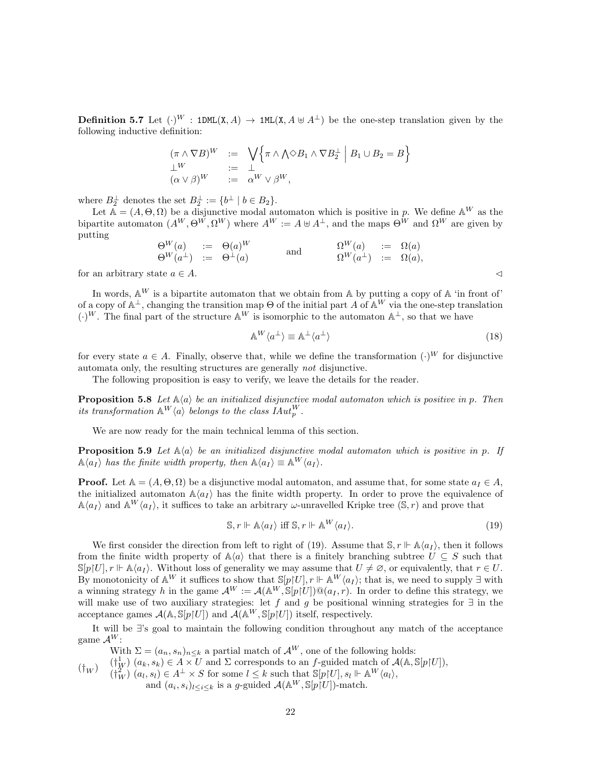**Definition 5.7** Let  $(\cdot)^W$ : 1DML(X, A)  $\rightarrow$  1ML(X, A  $\uplus$  A<sup>⊥</sup>) be the one-step translation given by the following inductive definition:

$$
(\pi \wedge \nabla B)^W := \bigvee_{i=1}^{\infty} {\pi \wedge (\wedge \otimes B_1 \wedge \nabla B_2^{\perp} \mid B_1 \cup B_2 = B}
$$
  
\n
$$
\begin{array}{rcl}\n\perp^W & := & \perp \\
(\alpha \vee \beta)^W & := & \alpha^W \vee \beta^W,\n\end{array}
$$

where  $B_2^{\perp}$  denotes the set  $B_2^{\perp} := \{b^{\perp} \mid b \in B_2\}.$ 

Let  $\mathbb{A} = (A, \Theta, \Omega)$  be a disjunctive modal automaton which is positive in p. We define  $\mathbb{A}^W$  as the bipartite automaton  $(A^W, \Theta^W, \Omega^W)$  where  $A^W := A \oplus A^{\perp}$ , and the maps  $\Theta^W$  and  $\Omega^W$  are given by putting

$$
\begin{array}{rclclcl} \Theta^{W}(a) & := & \Theta(a)^{W} & \\ \Theta^{W}(a^{\perp}) & := & \Theta^{\perp}(a) & \end{array} \qquad \text{ and } \qquad \begin{array}{rcl} \Omega^{W}(a) & := & \Omega(a) \\ \Omega^{W}(a^{\perp}) & := & \Omega(a), \end{array}
$$

for an arbitrary state  $a \in A$ .

In words,  $\mathbb{A}^W$  is a bipartite automaton that we obtain from A by putting a copy of A 'in front of' of a copy of  $\mathbb{A}^{\perp}$ , changing the transition map  $\Theta$  of the initial part A of  $\mathbb{A}^W$  via the one-step translation  $(\cdot)^W$ . The final part of the structure  $\mathbb{A}^W$  is isomorphic to the automaton  $\mathbb{A}^{\perp}$ , so that we have

$$
\mathbb{A}^W \langle a^\perp \rangle \equiv \mathbb{A}^\perp \langle a^\perp \rangle \tag{18}
$$

for every state  $a \in A$ . Finally, observe that, while we define the transformation  $(\cdot)^W$  for disjunctive automata only, the resulting structures are generally not disjunctive.

The following proposition is easy to verify, we leave the details for the reader.

**Proposition 5.8** Let  $\mathbb{A}\langle a \rangle$  be an initialized disjunctive modal automaton which is positive in p. Then its transformation  $\mathbb{A}^W \langle a \rangle$  belongs to the class  $IAut_p^W$ .

We are now ready for the main technical lemma of this section.

**Proposition 5.9** Let  $\mathbb{A}\langle a \rangle$  be an initialized disjunctive modal automaton which is positive in p. If  $\mathbb{A}\langle a_I \rangle$  has the finite width property, then  $\mathbb{A}\langle a_I \rangle \equiv \mathbb{A}^W \langle a_I \rangle$ .

**Proof.** Let  $A = (A, \Theta, \Omega)$  be a disjunctive modal automaton, and assume that, for some state  $a_I \in A$ , the initialized automaton  $\mathbb{A}\langle a_I \rangle$  has the finite width property. In order to prove the equivalence of  $\mathbb{A}\langle a_I \rangle$  and  $\mathbb{A}^W\langle a_I \rangle$ , it suffices to take an arbitrary  $\omega$ -unravelled Kripke tree  $(\mathbb{S}, r)$  and prove that

$$
\mathbb{S}, r \Vdash \mathbb{A}\langle a_I \rangle \text{ iff } \mathbb{S}, r \Vdash \mathbb{A}^W \langle a_I \rangle. \tag{19}
$$

We first consider the direction from left to right of (19). Assume that  $\mathcal{S}, r \Vdash \mathbb{A}\langle a_I \rangle$ , then it follows from the finite width property of  $\mathbb{A}\langle a \rangle$  that there is a finitely branching subtree  $U \subseteq S$  such that  $\mathbb{S}[p]U, r \Vdash \mathbb{A}\langle a_I \rangle$ . Without loss of generality we may assume that  $U \neq \emptyset$ , or equivalently, that  $r \in U$ . By monotonicity of  $\mathbb{A}^W$  it suffices to show that  $\mathbb{S}[p\restriction U], r \Vdash \mathbb{A}^W \langle a_I \rangle$ ; that is, we need to supply  $\exists$  with a winning strategy h in the game  $\mathcal{A}^W := \mathcal{A}(\mathbb{A}^W, \mathbb{S}[p|U]) \mathbb{Q}(a_I, r)$ . In order to define this strategy, we will make use of two auxiliary strategies: let f and g be positional winning strategies for  $\exists$  in the acceptance games  $\mathcal{A}(\mathbb{A}, \mathbb{S}[p|U])$  and  $\mathcal{A}(\mathbb{A}^W, \mathbb{S}[p|U])$  itself, respectively.

It will be ∃'s goal to maintain the following condition throughout any match of the acceptance game  $\mathcal{A}^W$ :

 $(\dagger_W)$ With  $\Sigma = (a_n, s_n)_{n \leq k}$  a partial match of  $\mathcal{A}^W$ , one of the following holds:  $(\dagger^1_W)(a_k, s_k) \in A \times U$  and  $\Sigma$  corresponds to an f-guided match of  $\mathcal{A}(\mathbb{A}, \mathbb{S}[p|U]),$  $(\dagger^2_W)(a_l, s_l) \in A^{\perp} \times S$  for some  $l \leq k$  such that  $\mathbb{S}[p|U], s_l \Vdash \mathbb{A}^W \langle a_l \rangle$ , and  $(a_i, s_i)_{l \leq i \leq k}$  is a g-guided  $\mathcal{A}(\mathbb{A}^W, \mathbb{S}[p]U])$ -match.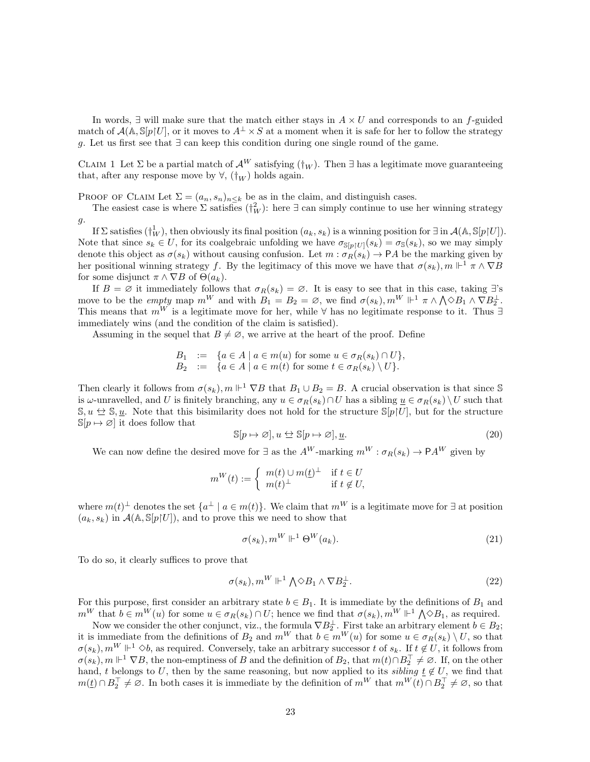In words,  $\exists$  will make sure that the match either stays in  $A \times U$  and corresponds to an f-guided match of  $\mathcal{A}(\mathbb{A}, \mathbb{S}[p|U])$ , or it moves to  $A^{\perp} \times S$  at a moment when it is safe for her to follow the strategy g. Let us first see that  $\exists$  can keep this condition during one single round of the game.

CLAIM 1 Let  $\Sigma$  be a partial match of  ${\cal A}^{W}$  satisfying ( ${\dagger_W}$ ). Then ∃ has a legitimate move guaranteeing that, after any response move by  $\forall$ ,  $(\dagger_W)$  holds again.

PROOF OF CLAIM Let  $\Sigma = (a_n, s_n)_{n \leq k}$  be as in the claim, and distinguish cases.

The easiest case is where  $\Sigma$  satisfies  $(\dagger_W^2)$ : here  $\exists$  can simply continue to use her winning strategy  $g$ .

If  $\Sigma$  satisfies  $(\dagger_W^1)$ , then obviously its final position  $(a_k, s_k)$  is a winning position for  $\exists$  in  $\mathcal{A}(\mathbb{A}, \mathbb{S}[p|U])$ . Note that since  $s_k \in U$ , for its coalgebraic unfolding we have  $\sigma_{\mathbb{S}[p]U]}(s_k) = \sigma_{\mathbb{S}}(s_k)$ , so we may simply denote this object as  $\sigma(s_k)$  without causing confusion. Let  $m : \sigma_R(s_k) \to PA$  be the marking given by her positional winning strategy f. By the legitimacy of this move we have that  $\sigma(s_k)$ ,  $m \Vdash^1 \pi \wedge \nabla B$ for some disjunct  $\pi \wedge \nabla B$  of  $\Theta(a_k)$ .

If  $B = \emptyset$  it immediately follows that  $\sigma_R(s_k) = \emptyset$ . It is easy to see that in this case, taking  $\exists$ 's move to be the *empty* map  $m^W$  and with  $B_1 = B_2 = \emptyset$ , we find  $\sigma(s_k)$ ,  $m^W \Vdash^1 \pi \wedge \bigwedge \Diamond B_1 \wedge \nabla B_2^{\perp}$ . This means that  $m^W$  is a legitimate move for her, while  $\forall$  has no legitimate response to it. Thus ∃ immediately wins (and the condition of the claim is satisfied).

Assuming in the sequel that  $B \neq \emptyset$ , we arrive at the heart of the proof. Define

$$
B_1 := \{ a \in A \mid a \in m(u) \text{ for some } u \in \sigma_R(s_k) \cap U \},
$$
  
\n
$$
B_2 := \{ a \in A \mid a \in m(t) \text{ for some } t \in \sigma_R(s_k) \setminus U \}.
$$

Then clearly it follows from  $\sigma(s_k)$ ,  $m \Vdash^1 \nabla B$  that  $B_1 \cup B_2 = B$ . A crucial observation is that since S is  $\omega$ -unravelled, and U is finitely branching, any  $u \in \sigma_R(s_k) \cap U$  has a sibling  $\underline{u} \in \sigma_R(s_k) \setminus U$  such that  $\mathbb{S}, u \leftrightarrow \mathbb{S}, u$ . Note that this bisimilarity does not hold for the structure  $\mathbb{S}[p|U]$ , but for the structure  $\mathbb{S}[p \mapsto \varnothing]$  it does follow that

$$
\mathbb{S}[p \mapsto \varnothing], u \Leftrightarrow \mathbb{S}[p \mapsto \varnothing], \underline{u}.\tag{20}
$$

We can now define the desired move for  $\exists$  as the  $A^W$ -marking  $m^W : \sigma_R(s_k) \to \mathsf{P} A^W$  given by

$$
m^W(t) := \begin{cases} m(t) \cup m(\underline{t})^{\perp} & \text{if } t \in U \\ m(t)^{\perp} & \text{if } t \notin U, \end{cases}
$$

where  $m(t)^{\perp}$  denotes the set  $\{a^{\perp} \mid a \in m(t)\}$ . We claim that  $m^W$  is a legitimate move for  $\exists$  at position  $(a_k, s_k)$  in  $\mathcal{A}(\mathbb{A}, \mathbb{S}[p|U])$ , and to prove this we need to show that

$$
\sigma(s_k), m^W \Vdash^1 \Theta^W(a_k). \tag{21}
$$

To do so, it clearly suffices to prove that

$$
\sigma(s_k), m^W \Vdash^1 \bigwedge \Diamond B_1 \land \nabla B_2^\perp. \tag{22}
$$

For this purpose, first consider an arbitrary state  $b \in B_1$ . It is immediate by the definitions of  $B_1$  and  $m^W$  that  $b \in m^W(u)$  for some  $u \in \sigma_R(s_k) \cap U$ ; hence we find that  $\sigma(s_k)$ ,  $m^W \Vdash^1 \bigwedge \Diamond B_1$ , as required.

Now we consider the other conjunct, viz., the formula  $\nabla B_2^{\perp}$ . First take an arbitrary element  $b \in B_2$ ; it is immediate from the definitions of  $B_2$  and  $m^W$  that  $b \in m^W(u)$  for some  $u \in \sigma_R(s_k) \setminus U$ , so that  $\sigma(s_k)$ ,  $m^W \Vdash^1 \Diamond b$ , as required. Conversely, take an arbitrary successor t of  $s_k$ . If  $t \notin U$ , it follows from  $\sigma(s_k), m \Vdash^1 \nabla B$ , the non-emptiness of B and the definition of  $B_2$ , that  $m(t) \cap B_2^{\top} \neq \emptyset$ . If, on the other hand, t belongs to U, then by the same reasoning, but now applied to its *sibling*  $\underline{t} \notin U$ , we find that  $m(\underline{t}) \cap B_2^{\top} \neq \emptyset$ . In both cases it is immediate by the definition of  $m^W$  that  $m^W(t) \cap B_2^{\top} \neq \emptyset$ , so that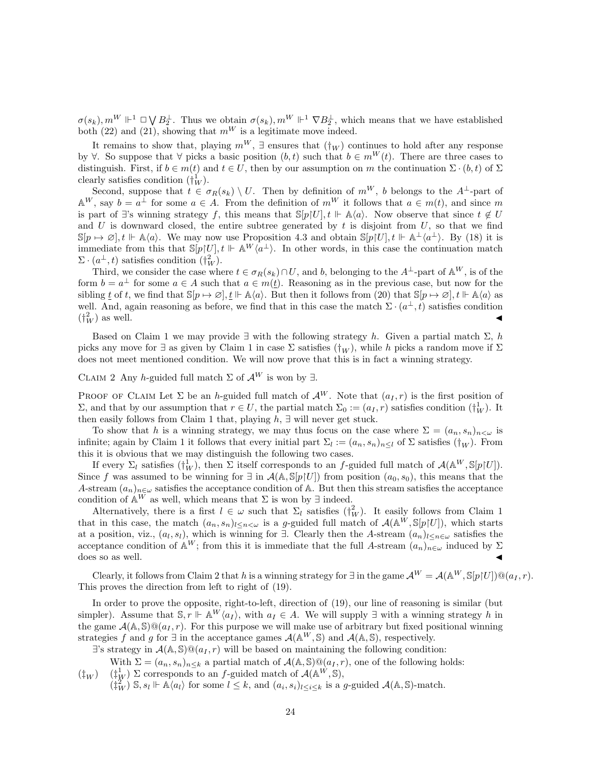$\sigma(s_k)$ ,  $m^W \Vdash^1 \Box \bigvee B_2^{\perp}$ . Thus we obtain  $\sigma(s_k)$ ,  $m^W \Vdash^1 \nabla B_2^{\perp}$ , which means that we have established both (22) and (21), showing that  $m^W$  is a legitimate move indeed.

It remains to show that, playing  $m^W$ , ∃ ensures that  $(\dagger_W)$  continues to hold after any response by  $\forall$ . So suppose that  $\forall$  picks a basic position  $(b, t)$  such that  $b \in m^W(t)$ . There are three cases to distinguish. First, if  $b \in m(t)$  and  $t \in U$ , then by our assumption on m the continuation  $\Sigma \cdot (b, t)$  of  $\Sigma$ clearly satisfies condition  $(\dagger_W^1)$ .

Second, suppose that  $t \in \sigma_R(s_k) \setminus U$ . Then by definition of  $m^W$ , b belongs to the A<sup>⊥</sup>-part of  $\mathbb{A}^W$ , say  $b = a^{\perp}$  for some  $a \in A$ . From the definition of  $m^W$  it follows that  $a \in m(t)$ , and since m is part of ∃'s winning strategy f, this means that  $\mathbb{S}[p|U], t \Vdash \mathbb{A}\langle a \rangle$ . Now observe that since  $t \notin U$ and U is downward closed, the entire subtree generated by  $t$  is disjoint from  $U$ , so that we find  $\mathbb{S}[p \mapsto \emptyset], t \Vdash \mathbb{A}\langle a \rangle$ . We may now use Proposition 4.3 and obtain  $\mathbb{S}[p]U], t \Vdash \mathbb{A}^{\perp}\langle a^{\perp} \rangle$ . By (18) it is immediate from this that  $\mathbb{S}[p|U], t \Vdash \mathbb{A}^W \langle a^{\perp} \rangle$ . In other words, in this case the continuation match  $\Sigma \cdot (a^{\perp}, t)$  satisfies condition  $(\dagger^2_W)$ .

Third, we consider the case where  $t \in \sigma_R(s_k) \cap U$ , and b, belonging to the  $A^{\perp}$ -part of  $\mathbb{A}^W$ , is of the form  $b = a^{\perp}$  for some  $a \in A$  such that  $a \in m(\underline{t})$ . Reasoning as in the previous case, but now for the sibling t of t, we find that  $\mathbb{S}[p \mapsto \emptyset], \underline{t} \Vdash \mathbb{A}\langle a \rangle$ . But then it follows from (20) that  $\mathbb{S}[p \mapsto \emptyset], t \Vdash \mathbb{A}\langle a \rangle$  as well. And, again reasoning as before, we find that in this case the match  $\Sigma \cdot (a^{\perp}, t)$  satisfies condition  $(\dagger_v^2)$  $\binom{2}{W}$  as well.

Based on Claim 1 we may provide  $\exists$  with the following strategy h. Given a partial match  $\Sigma$ , h picks any move for  $\exists$  as given by Claim 1 in case  $\Sigma$  satisfies  $(\dagger_W)$ , while h picks a random move if  $\Sigma$ does not meet mentioned condition. We will now prove that this is in fact a winning strategy.

CLAIM 2 Any h-guided full match  $\Sigma$  of  $\mathcal{A}^W$  is won by  $\exists$ .

PROOF OF CLAIM Let  $\Sigma$  be an h-guided full match of  $\mathcal{A}^W$ . Note that  $(a_I, r)$  is the first position of Σ, and that by our assumption that  $r ∈ U$ , the partial match  $\Sigma_0 := (a_I, r)$  satisfies condition  $(\dagger^1_W)$ . It then easily follows from Claim 1 that, playing  $h$ ,  $\exists$  will never get stuck.

To show that h is a winning strategy, we may thus focus on the case where  $\Sigma = (a_n, s_n)_{n \leq \omega}$  is infinite; again by Claim 1 it follows that every initial part  $\Sigma_l := (a_n, s_n)_{n \leq l}$  of  $\Sigma$  satisfies  $(\dagger_W)$ . From this it is obvious that we may distinguish the following two cases.

If every  $\Sigma_l$  satisfies  $(\dagger_W^1)$ , then  $\Sigma$  itself corresponds to an f-guided full match of  $\mathcal{A}(\mathbb{A}^W, \mathbb{S}[p|U])$ . Since f was assumed to be winning for  $\exists$  in  $\mathcal{A}(\mathbb{A}, \mathbb{S}[p|U])$  from position  $(a_0, s_0)$ , this means that the A-stream  $(a_n)_{n\in\omega}$  satisfies the acceptance condition of A. But then this stream satisfies the acceptance condition of  $\mathbb{A}^W$  as well, which means that  $\Sigma$  is won by  $\exists$  indeed.

Alternatively, there is a first  $l \in \omega$  such that  $\Sigma_l$  satisfies  $(\dagger_W^2)$ . It easily follows from Claim 1 that in this case, the match  $(a_n, s_n)_{l \leq n \leq \omega}$  is a g-guided full match of  $\mathcal{A}(\mathbb{A}^W, \mathbb{S}[p|U])$ , which starts at a position, viz.,  $(a_l, s_l)$ , which is winning for  $\exists$ . Clearly then the A-stream  $(a_n)_{l \leq n \in \omega}$  satisfies the acceptance condition of  $\mathbb{A}^W$ ; from this it is immediate that the full A-stream  $(a_n)_{n\in\omega}$  induced by  $\Sigma$ does so as well.  $\triangleleft$ 

Clearly, it follows from Claim 2 that h is a winning strategy for  $\exists$  in the game  $\mathcal{A}^W = \mathcal{A}(\mathbb{A}^W, \mathbb{S}[p|U]) \mathbb{Q}(a_I, r)$ . This proves the direction from left to right of (19).

In order to prove the opposite, right-to-left, direction of (19), our line of reasoning is similar (but simpler). Assume that  $\mathbb{S}, r \Vdash \mathbb{A}^W \langle a_I \rangle$ , with  $a_I \in A$ . We will supply  $\exists$  with a winning strategy h in the game  $\mathcal{A}(\mathbb{A}, \mathbb{S}) \mathbb{Q}(a_I, r)$ . For this purpose we will make use of arbitrary but fixed positional winning strategies f and g for  $\exists$  in the acceptance games  $\mathcal{A}(\mathbb{A}^W, \mathbb{S})$  and  $\mathcal{A}(\mathbb{A}, \mathbb{S})$ , respectively.

 $\exists$ 's strategy in  $\mathcal{A}(\mathbb{A}, \mathbb{S}) \mathbb{Q}(a_I, r)$  will be based on maintaining the following condition:

With  $\Sigma = (a_n, s_n)_{n \leq k}$  a partial match of  $\mathcal{A}(\mathbb{A}, \mathbb{S}) \mathbb{Q}(a_I, r)$ , one of the following holds:

 $(\ddagger_W)$  $(\dagger^1_W)$   $\Sigma$  corresponds to an f-guided match of  $\mathcal{A}(\mathbb{A}^W,\mathbb{S}),$ 

 $(\dagger^2_W)$  S,  $s_l \Vdash \mathbb{A}\langle a_l \rangle$  for some  $l \leq k$ , and  $(a_i, s_i)_{l \leq i \leq k}$  is a g-guided  $\mathcal{A}(\mathbb{A}, \mathbb{S})$ -match.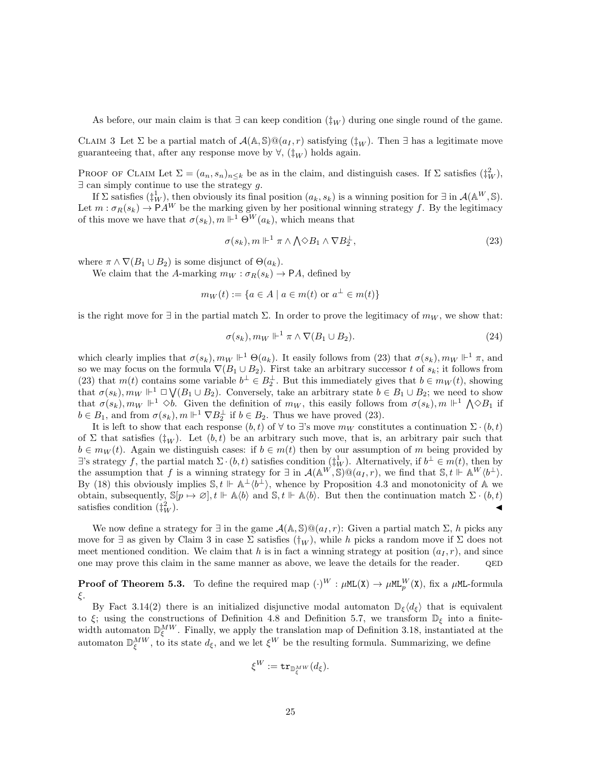As before, our main claim is that  $\exists$  can keep condition  $(\dagger_W)$  during one single round of the game.

CLAIM 3 Let  $\Sigma$  be a partial match of  $\mathcal{A}(\mathbb{A}, \mathbb{S}) \mathbb{Q}(a_I, r)$  satisfying  $(\ddagger_W)$ . Then  $\exists$  has a legitimate move guaranteeing that, after any response move by  $\forall$ ,  $(\dagger_W)$  holds again.

PROOF OF CLAIM Let  $\Sigma = (a_n, s_n)_{n \leq k}$  be as in the claim, and distinguish cases. If  $\Sigma$  satisfies  $(\dagger^2_W)$ ,  $\exists$  can simply continue to use the strategy g.

If  $\Sigma$  satisfies  $(\ddagger^1_W)$ , then obviously its final position  $(a_k, s_k)$  is a winning position for  $\exists$  in  $\mathcal{A}(\mathbb{A}^W, \mathbb{S})$ . Let  $m : \sigma_R(s_k) \to PA^W$  be the marking given by her positional winning strategy f. By the legitimacy of this move we have that  $\sigma(s_k)$ ,  $m \Vdash^1 \Theta^W(a_k)$ , which means that

$$
\sigma(s_k), m \Vdash^1 \pi \wedge \bigwedge \Diamond B_1 \wedge \nabla B_2^{\perp},\tag{23}
$$

where  $\pi \wedge \nabla (B_1 \cup B_2)$  is some disjunct of  $\Theta(a_k)$ .

We claim that the A-marking  $m_W : \sigma_R(s_k) \to \mathsf{P} A$ , defined by

$$
m_W(t) := \{ a \in A \mid a \in m(t) \text{ or } a^{\perp} \in m(t) \}
$$

is the right move for  $\exists$  in the partial match  $\Sigma$ . In order to prove the legitimacy of  $m_W$ , we show that:

$$
\sigma(s_k), m_W \Vdash^1 \pi \wedge \nabla(B_1 \cup B_2). \tag{24}
$$

which clearly implies that  $\sigma(s_k)$ ,  $m_W \Vdash^1 \Theta(a_k)$ . It easily follows from (23) that  $\sigma(s_k)$ ,  $m_W \Vdash^1 \pi$ , and so we may focus on the formula  $\nabla(B_1 \cup B_2)$ . First take an arbitrary successor t of  $s_k$ ; it follows from (23) that  $m(t)$  contains some variable  $b^{\perp} \in B_2^{\perp}$ . But this immediately gives that  $b \in m_W(t)$ , showing that  $\sigma(s_k)$ ,  $m_W \Vdash^1 \Box \bigvee (B_1 \cup B_2)$ . Conversely, take an arbitrary state  $b \in B_1 \cup B_2$ ; we need to show that  $\sigma(s_k)$ ,  $m_W \Vdash^1 \diamond b$ . Given the definition of  $m_W$ , this easily follows from  $\sigma(s_k)$ ,  $m \Vdash^1 \bigwedge^{\diamond} B_1$  if  $b \in B_1$ , and from  $\sigma(s_k)$ ,  $m \Vdash^1 \nabla B_2^{\perp}$  if  $b \in B_2$ . Thus we have proved (23).

It is left to show that each response  $(b, t)$  of  $\forall$  to  $\exists$ 's move  $m_W$  constitutes a continuation  $\Sigma \cdot (b, t)$ of Σ that satisfies ( $\ddagger_W$ ). Let  $(b, t)$  be an arbitrary such move, that is, an arbitrary pair such that  $b \in m_W(t)$ . Again we distinguish cases: if  $b \in m(t)$  then by our assumption of m being provided by  $\exists$ 's strategy f, the partial match  $\Sigma \cdot (b, t)$  satisfies condition  $(\dagger_W^1)$ . Alternatively, if  $b^{\perp} \in m(t)$ , then by the assumption that f is a winning strategy for  $\exists$  in  $\mathcal{A}(\mathbb{A}^W,\mathbb{S})\mathbb{Q}(a_I,r)$ , we find that  $\mathbb{S},t \Vdash \mathbb{A}^W\langle b^{\perp}\rangle$ . By (18) this obviously implies  $\mathbb{S}, t \Vdash \mathbb{A}^{\perp} \langle b^{\perp} \rangle$ , whence by Proposition 4.3 and monotonicity of A we obtain, subsequently,  $\mathbb{S}[p \mapsto \emptyset], t \Vdash \mathbb{A}\langle b \rangle$  and  $\mathbb{S}, t \Vdash \mathbb{A}\langle b \rangle$ . But then the continuation match  $\Sigma \cdot (b, t)$ satisfies condition  $(\frac{1}{4})^2$  $\left(\frac{2}{W}\right)$ .

We now define a strategy for  $\exists$  in the game  $\mathcal{A}(\mathbb{A}, \mathbb{S}) \mathbb{Q}(a_I, r)$ : Given a partial match  $\Sigma$ , h picks any move for  $\exists$  as given by Claim 3 in case  $\Sigma$  satisfies  $(\dagger_W)$ , while h picks a random move if  $\Sigma$  does not meet mentioned condition. We claim that h is in fact a winning strategy at position  $(a<sub>I</sub>, r)$ , and since one may prove this claim in the same manner as above, we leave the details for the reader.  $QED$ 

**Proof of Theorem 5.3.** To define the required map  $(\cdot)^W$  :  $\mu$ ML(X)  $\rightarrow \mu$ ML $_p^W$ (X), fix a  $\mu$ ML-formula ξ.

By Fact 3.14(2) there is an initialized disjunctive modal automaton  $\mathbb{D}_{\xi}\langle d_{\xi}\rangle$  that is equivalent to ξ; using the constructions of Definition 4.8 and Definition 5.7, we transform  $\mathbb{D}_{\xi}$  into a finitewidth automaton  $\mathbb{D}_{\xi}^{MW}$ . Finally, we apply the translation map of Definition 3.18, instantiated at the automaton  $\mathbb{D}_{\xi}^{MW}$ , to its state  $d_{\xi}$ , and we let  $\xi^{W}$  be the resulting formula. Summarizing, we define

$$
\xi^W:=\mathtt{tr}_{\mathbb{D}_\xi^{MW}}(d_\xi).
$$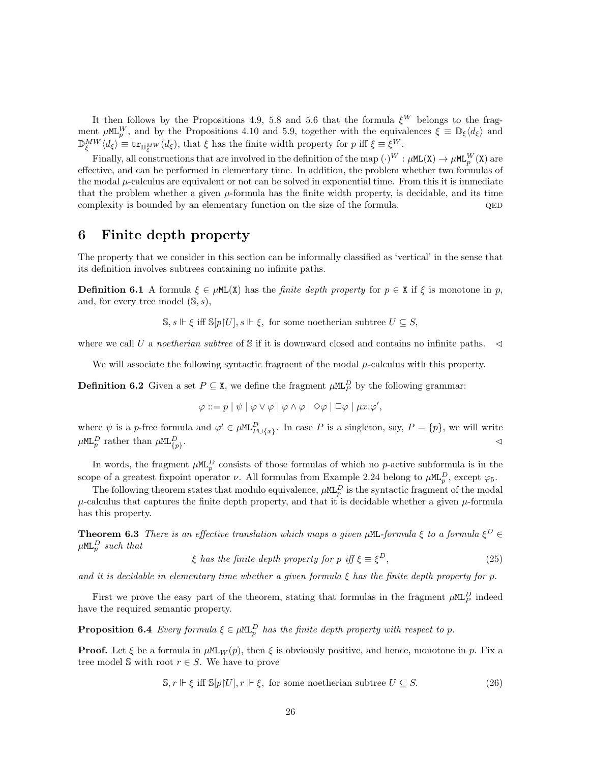It then follows by the Propositions 4.9, 5.8 and 5.6 that the formula  $\xi^W$  belongs to the fragment  $\mu M L_p^W$ , and by the Propositions 4.10 and 5.9, together with the equivalences  $\xi \equiv \mathbb{D}_{\xi} \langle d_{\xi} \rangle$  and  $\mathbb{D}_{\xi}^{MW}(d_{\xi}) \equiv \texttt{tr}_{\mathbb{D}_{\xi}^{MW}}(d_{\xi}),$  that  $\xi$  has the finite width property for p iff  $\xi \equiv \xi^W$ .

Finally, all constructions that are involved in the definition of the map  $(\cdot)^W : \mu M L(X) \to \mu M L_p^W(X)$  are effective, and can be performed in elementary time. In addition, the problem whether two formulas of the modal  $\mu$ -calculus are equivalent or not can be solved in exponential time. From this it is immediate that the problem whether a given  $\mu$ -formula has the finite width property, is decidable, and its time complexity is bounded by an elementary function on the size of the formula.  $QED$ 

# 6 Finite depth property

The property that we consider in this section can be informally classified as 'vertical' in the sense that its definition involves subtrees containing no infinite paths.

**Definition 6.1** A formula  $\xi \in \muML(X)$  has the *finite depth property* for  $p \in X$  if  $\xi$  is monotone in p, and, for every tree model  $(\mathbb{S}, s)$ ,

 $\mathbb{S}, s \Vdash \xi$  iff  $\mathbb{S}[p|U], s \Vdash \xi$ , for some noetherian subtree  $U \subseteq S$ ,

where we call U a noetherian subtree of S if it is downward closed and contains no infinite paths.  $\lhd$ 

We will associate the following syntactic fragment of the modal  $\mu$ -calculus with this property.

**Definition 6.2** Given a set  $P \subseteq \mathbf{X}$ , we define the fragment  $\mu M L_P^D$  by the following grammar:

$$
\varphi ::= p | \psi | \varphi \vee \varphi | \varphi \wedge \varphi | \Diamond \varphi | \Box \varphi | \mu x. \varphi',
$$

where  $\psi$  is a p-free formula and  $\varphi' \in \mu \mathbb{L}^D_{P \cup \{x\}}$ . In case P is a singleton, say,  $P = \{p\}$ , we will write  $\mu$ ML $_p^D$  rather than  $\mu$ ML $_{\{p\}}^D$ . The contract of the contract of the contract of the contract of the contract of the contract of the contract of the contract of the contract of the contract of the contract of the contract of the contract of the contrac

In words, the fragment  $\mu M L_p^D$  consists of those formulas of which no p-active subformula is in the scope of a greatest fixpoint operator  $\nu$ . All formulas from Example 2.24 belong to  $\mu M L_p^D$ , except  $\varphi_5$ .

The following theorem states that modulo equivalence,  $\mu M L_p^D$  is the syntactic fragment of the modal  $\mu$ -calculus that captures the finite depth property, and that it is decidable whether a given  $\mu$ -formula has this property.

**Theorem 6.3** There is an effective translation which maps a given  $\mu$ ML-formula  $\xi$  to a formula  $\xi^D$  $\mu$ ML $_p^D$  such that

$$
\xi \text{ has the finite depth property for } p \text{ iff } \xi \equiv \xi^D,\tag{25}
$$

and it is decidable in elementary time whether a given formula  $\xi$  has the finite depth property for p.

First we prove the easy part of the theorem, stating that formulas in the fragment  $\mu M L_P^D$  indeed have the required semantic property.

**Proposition 6.4** Every formula  $\xi \in \mu M L_p^D$  has the finite depth property with respect to p.

**Proof.** Let  $\xi$  be a formula in  $\mu M_{\text{LW}}(p)$ , then  $\xi$  is obviously positive, and hence, monotone in p. Fix a tree model  $\mathcal S$  with root  $r \in S$ . We have to prove

$$
\mathbb{S}, r \Vdash \xi \text{ iff } \mathbb{S}[p[U], r \Vdash \xi, \text{ for some noetherian subtree } U \subseteq S. \tag{26}
$$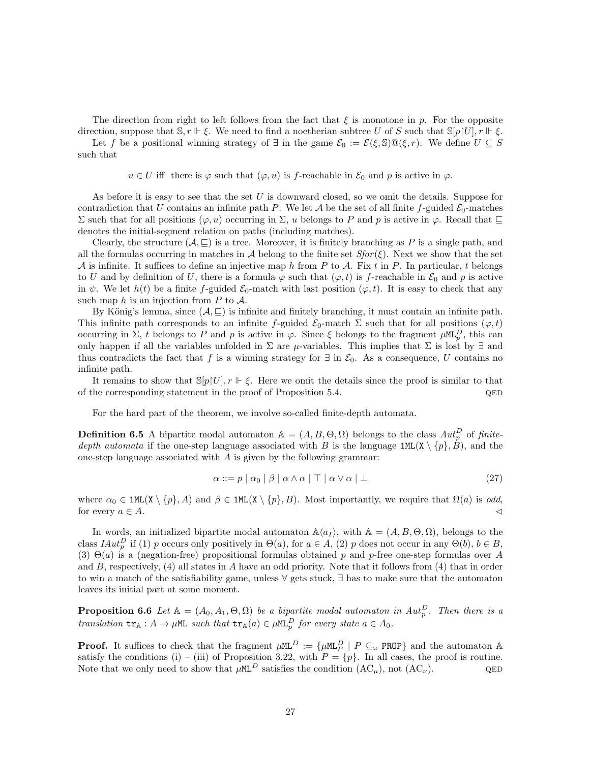The direction from right to left follows from the fact that  $\xi$  is monotone in p. For the opposite

direction, suppose that  $\mathbb{S}, r \Vdash \xi$ . We need to find a noetherian subtree U of S such that  $\mathbb{S}[p|U], r \Vdash \xi$ . Let f be a positional winning strategy of  $\exists$  in the game  $\mathcal{E}_0 := \mathcal{E}(\xi, \mathbb{S}) \mathbb{Q}(\xi, r)$ . We define  $U \subseteq S$ such that

 $u \in U$  iff there is  $\varphi$  such that  $(\varphi, u)$  is f-reachable in  $\mathcal{E}_0$  and p is active in  $\varphi$ .

As before it is easy to see that the set  $U$  is downward closed, so we omit the details. Suppose for contradiction that U contains an infinite path P. We let A be the set of all finite f-guided  $\mathcal{E}_0$ -matches Σ such that for all positions ( $\varphi$ , *u*) occurring in Σ, *u* belongs to P and p is active in  $\varphi$ . Recall that  $\sqsubseteq$ denotes the initial-segment relation on paths (including matches).

Clearly, the structure  $(A, \subseteq)$  is a tree. Moreover, it is finitely branching as P is a single path, and all the formulas occurring in matches in A belong to the finite set  $Sfor(\xi)$ . Next we show that the set A is infinite. It suffices to define an injective map h from P to A. Fix t in P. In particular, t belongs to U and by definition of U, there is a formula  $\varphi$  such that  $(\varphi, t)$  is f-reachable in  $\mathcal{E}_0$  and p is active in  $\psi$ . We let  $h(t)$  be a finite f-guided  $\mathcal{E}_0$ -match with last position  $(\varphi, t)$ . It is easy to check that any such map  $h$  is an injection from  $P$  to  $A$ .

By König's lemma, since  $(A, \subseteq)$  is infinite and finitely branching, it must contain an infinite path. This infinite path corresponds to an infinite f-guided  $\mathcal{E}_0$ -match  $\Sigma$  such that for all positions  $(\varphi, t)$ occurring in  $\Sigma$ , t belongs to P and p is active in  $\varphi$ . Since  $\xi$  belongs to the fragment  $\mu M L_p^D$ , this can only happen if all the variables unfolded in  $\Sigma$  are  $\mu$ -variables. This implies that  $\Sigma$  is lost by  $\exists$  and thus contradicts the fact that f is a winning strategy for  $\exists$  in  $\mathcal{E}_0$ . As a consequence, U contains no infinite path.

It remains to show that  $\mathbb{S}[p|U], r \Vdash \xi$ . Here we omit the details since the proof is similar to that of the corresponding statement in the proof of Proposition 5.4.  $QED$ 

For the hard part of the theorem, we involve so-called finite-depth automata.

**Definition 6.5** A bipartite modal automaton  $\mathbb{A} = (A, B, \Theta, \Omega)$  belongs to the class  $Aut_p^D$  of finitedepth automata if the one-step language associated with B is the language  $1ML(X \setminus \{p\}, \hat{B})$ , and the one-step language associated with  $A$  is given by the following grammar:

$$
\alpha ::= p \mid \alpha_0 \mid \beta \mid \alpha \wedge \alpha \mid \top \mid \alpha \vee \alpha \mid \bot \tag{27}
$$

where  $\alpha_0 \in \text{1ML}(X \setminus \{p\}, A)$  and  $\beta \in \text{1ML}(X \setminus \{p\}, B)$ . Most importantly, we require that  $\Omega(a)$  is odd, for every  $a \in A$ .

In words, an initialized bipartite modal automaton  $\mathbb{A}\langle a_I \rangle$ , with  $\mathbb{A} = (A, B, \Theta, \Omega)$ , belongs to the class  $IAut_p^D$  if (1) p occurs only positively in  $\Theta(a)$ , for  $a \in A$ , (2) p does not occur in any  $\Theta(b)$ ,  $b \in B$ , (3)  $\Theta(a)$  is a (negation-free) propositional formulas obtained p and p-free one-step formulas over A and  $B$ , respectively, (4) all states in  $A$  have an odd priority. Note that it follows from (4) that in order to win a match of the satisfiability game, unless ∀ gets stuck, ∃ has to make sure that the automaton leaves its initial part at some moment.

**Proposition 6.6** Let  $A = (A_0, A_1, \Theta, \Omega)$  be a bipartite modal automaton in  $Aut_p^D$ . Then there is a translation  $tr_{\mathbb{A}}: A \to \mu \mathbb{M}$  such that  $tr_{\mathbb{A}}(a) \in \mu \mathbb{M}$  for every state  $a \in A_0$ .

**Proof.** It suffices to check that the fragment  $\mu M L^D := \{\mu M L_P^D \mid P \subseteq_{\omega} P \text{ROP}\}\$  and the automaton A satisfy the conditions (i) – (iii) of Proposition 3.22, with  $P = \{p\}$ . In all cases, the proof is routine. Note that we only need to show that  $\mu M L^D$  satisfies the condition  $(AC_u)$ , not  $(AC_v)$ . QED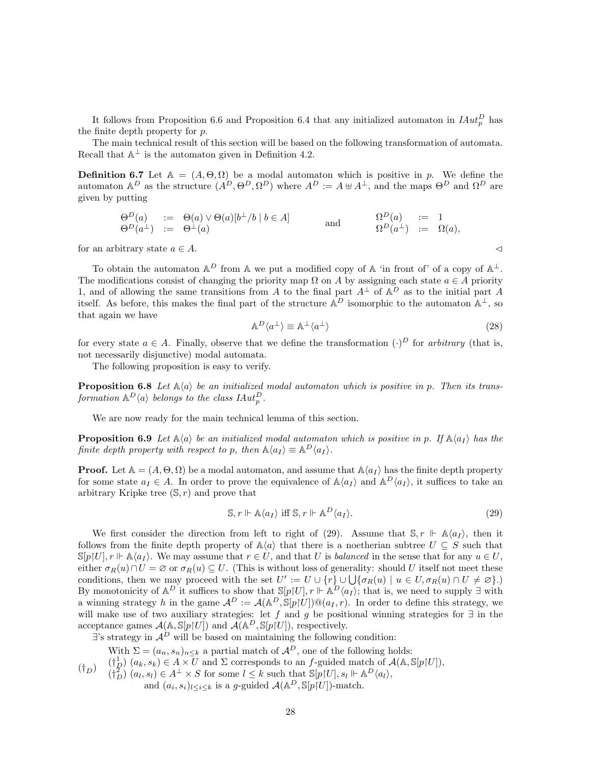It follows from Proposition 6.6 and Proposition 6.4 that any initialized automaton in  $H^1_p$  has the finite depth property for  $p$ .

The main technical result of this section will be based on the following transformation of automata. Recall that  $\mathbb{A}^{\perp}$  is the automaton given in Definition 4.2.

**Definition 6.7** Let  $A = (A, \Theta, \Omega)$  be a modal automaton which is positive in p. We define the automaton  $A^D$  as the structure  $(A^D, \Theta^D, \Omega^D)$  where  $A^D := A \cup A^{\perp}$ , and the maps  $\Theta^D$  and  $\Omega^D$  are given by putting

$$
\begin{array}{rcl}\n\Theta^D(a) & := & \Theta(a) \vee \Theta(a)[b^\perp/b \mid b \in A] \\
\Theta^D(a^\perp) & := & \Theta^\perp(a)\n\end{array}\n\qquad \text{and} \qquad\n\begin{array}{rcl}\n\Omega^D(a) & := & 1 \\
\Theta^D(a^\perp) & := & \Omega(a),\n\end{array}
$$

for an arbitrary state  $a \in A$ .

To obtain the automaton  $\mathbb{A}^D$  from  $\mathbb A$  we put a modified copy of  $\mathbb A$  'in front of' of a copy of  $\mathbb A^{\perp}$ . The modifications consist of changing the priority map  $\Omega$  on A by assigning each state  $a \in A$  priority 1, and of allowing the same transitions from A to the final part  $A^{\perp}$  of  $A^{D}$  as to the initial part A itself. As before, this makes the final part of the structure  $\mathbb{A}^D$  isomorphic to the automaton  $\mathbb{A}^{\perp}$ , so that again we have

$$
\mathbb{A}^D \langle a^\perp \rangle \equiv \mathbb{A}^\perp \langle a^\perp \rangle \tag{28}
$$

for every state  $a \in A$ . Finally, observe that we define the transformation  $(\cdot)^D$  for arbitrary (that is, not necessarily disjunctive) modal automata.

The following proposition is easy to verify.

**Proposition 6.8** Let  $\mathbb{A}\langle a \rangle$  be an initialized modal automaton which is positive in p. Then its transformation  $\mathbb{A}^D\langle a \rangle$  belongs to the class  $\mathit{IAut}^D_p$ .

We are now ready for the main technical lemma of this section.

**Proposition 6.9** Let  $\mathbb{A}\langle a \rangle$  be an initialized modal automaton which is positive in p. If  $\mathbb{A}\langle a_I \rangle$  has the finite depth property with respect to p, then  $\mathbb{A}\langle a_I \rangle \equiv \mathbb{A}^D \langle a_I \rangle$ .

**Proof.** Let  $A = (A, \Theta, \Omega)$  be a modal automaton, and assume that  $A\langle a_I \rangle$  has the finite depth property for some state  $a_I \in A$ . In order to prove the equivalence of  $\mathbb{A}\langle a_I \rangle$  and  $\mathbb{A}^D\langle a_I \rangle$ , it suffices to take an arbitrary Kripke tree  $(\mathbb{S}, r)$  and prove that

$$
\mathbb{S}, r \Vdash \mathbb{A}\langle a_I \rangle \text{ iff } \mathbb{S}, r \Vdash \mathbb{A}^D \langle a_I \rangle. \tag{29}
$$

We first consider the direction from left to right of (29). Assume that  $\mathbb{S}, r \Vdash \mathbb{A}\langle a_I \rangle$ , then it follows from the finite depth property of  $\mathbb{A}\langle a \rangle$  that there is a noetherian subtree  $U \subseteq S$  such that  $\mathbb{S}[p]U, r \Vdash \mathbb{A}\langle a_I \rangle$ . We may assume that  $r \in U$ , and that U is balanced in the sense that for any  $u \in U$ , either  $\sigma_R(u) \cap U = \emptyset$  or  $\sigma_R(u) \subseteq U$ . (This is without loss of generality: should U itself not meet these conditions, then we may proceed with the set  $U' := U \cup \{r\} \cup \bigcup \{\sigma_R(u) \mid u \in U, \sigma_R(u) \cap U \neq \emptyset\}$ . By monotonicity of  $\mathbb{A}^D$  it suffices to show that  $\mathbb{S}[p|U], r \Vdash \mathbb{A}^D\langle a_I \rangle$ ; that is, we need to supply  $\exists$  with a winning strategy h in the game  $\mathcal{A}^D := \mathcal{A}(\mathbb{A}^D, \mathbb{S}[p|U]) \mathbb{Q}(a_I, r)$ . In order to define this strategy, we will make use of two auxiliary strategies: let f and g be positional winning strategies for  $\exists$  in the acceptance games  $\mathcal{A}(\mathbb{A}, \mathbb{S}[p|U])$  and  $\mathcal{A}(\mathbb{A}^D, \mathbb{S}[p|U])$ , respectively.

 $\exists$ 's strategy in  $\mathcal{A}^D$  will be based on maintaining the following condition:

 $(\dagger_D)$ With  $\Sigma = (a_n, s_n)_{n \leq k}$  a partial match of  $\mathcal{A}^D$ , one of the following holds:  $(\dagger_D^1)$   $(a_k, s_k) \in A \times U$  and  $\Sigma$  corresponds to an f-guided match of  $\mathcal{A}(\mathbb{A}, \mathbb{S}[p|U]),$  $(\dagger_D^2)(a_l, s_l) \in A^{\perp} \times S$  for some  $l \leq k$  such that  $\mathbb{S}[p|U], s_l \Vdash \mathbb{A}^D\langle a_l \rangle$ , and  $(a_i, s_i)_{l \leq i \leq k}$  is a g-guided  $\mathcal{A}(\mathbb{A}^D, \mathbb{S}[p]U])$ -match.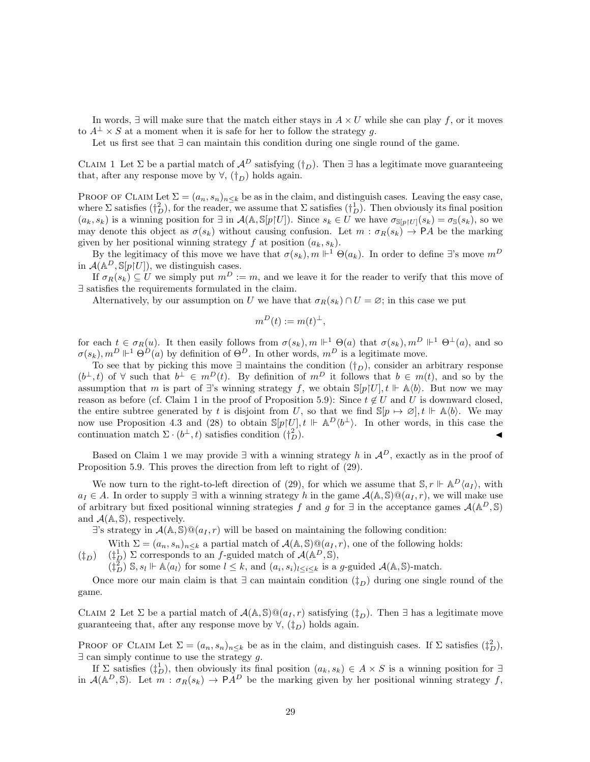In words,  $\exists$  will make sure that the match either stays in  $A \times U$  while she can play f, or it moves to  $A^{\perp} \times S$  at a moment when it is safe for her to follow the strategy g.

Let us first see that ∃ can maintain this condition during one single round of the game.

CLAIM 1 Let  $\Sigma$  be a partial match of  $\mathcal{A}^D$  satisfying  $(\dagger_D)$ . Then  $\exists$  has a legitimate move guaranteeing that, after any response move by  $\forall$ ,  $(\dagger_D)$  holds again.

PROOF OF CLAIM Let  $\Sigma = (a_n, s_n)_{n \leq k}$  be as in the claim, and distinguish cases. Leaving the easy case, where  $\Sigma$  satisfies  $(\dagger_D^2)$ , for the reader, we assume that  $\Sigma$  satisfies  $(\dagger_D^1)$ . Then obviously its final position  $(a_k, s_k)$  is a winning position for  $\exists$  in  $\mathcal{A}(\mathbb{A}, \mathbb{S}[p|U])$ . Since  $s_k \in U$  we have  $\sigma_{\mathbb{S}[p|U]}(s_k) = \sigma_{\mathbb{S}}(s_k)$ , so we may denote this object as  $\sigma(s_k)$  without causing confusion. Let  $m : \sigma_R(s_k) \to PA$  be the marking given by her positional winning strategy f at position  $(a_k, s_k)$ .

By the legitimacy of this move we have that  $\sigma(s_k)$ ,  $m \Vdash^1 \Theta(a_k)$ . In order to define ∃'s move  $m^D$ in  $\mathcal{A}(\mathbb{A}^D, \mathbb{S}[p]U],$  we distinguish cases.

If  $\sigma_R(s_k) \subseteq U$  we simply put  $m^D := m$ , and we leave it for the reader to verify that this move of ∃ satisfies the requirements formulated in the claim.

Alternatively, by our assumption on U we have that  $\sigma_R(s_k) \cap U = \emptyset$ ; in this case we put

$$
m^D(t) := m(t)^{\perp},
$$

for each  $t \in \sigma_R(u)$ . It then easily follows from  $\sigma(s_k)$ ,  $m \Vdash^1 \Theta(a)$  that  $\sigma(s_k)$ ,  $m^D \Vdash^1 \Theta^{\perp}(a)$ , and so  $\sigma(s_k)$ ,  $m^D \Vdash^1 \Theta$  $\dot{D}(a)$  by definition of  $\Theta^D$ . In other words,  $m^D$  is a legitimate move.

To see that by picking this move  $\exists$  maintains the condition  $(\dagger_D)$ , consider an arbitrary response  $(b^{\perp},t)$  of  $\forall$  such that  $b^{\perp} \in m^D(t)$ . By definition of  $m^D$  it follows that  $b \in m(t)$ , and so by the assumption that m is part of  $\exists$ 's winning strategy f, we obtain  $\mathbb{S}[p]U|$ ,  $t \Vdash \mathbb{A}\langle b\rangle$ . But now we may reason as before (cf. Claim 1 in the proof of Proposition 5.9): Since  $t \notin U$  and U is downward closed, the entire subtree generated by t is disjoint from U, so that we find  $\mathbb{S}[p \mapsto \emptyset], t \Vdash \mathbb{A}\langle b \rangle$ . We may now use Proposition 4.3 and (28) to obtain  $\mathbb{S}[p]U, t \Vdash \mathbb{A}^D \langle b^{\perp} \rangle$ . In other words, in this case the continuation match  $\Sigma \cdot (b^{\perp}, t)$  satisfies condition  $(\dagger_{l}^{2})$  $\mathbb{Z}_D^2$ .

Based on Claim 1 we may provide  $\exists$  with a winning strategy h in  $\mathcal{A}^D$ , exactly as in the proof of Proposition 5.9. This proves the direction from left to right of (29).

We now turn to the right-to-left direction of (29), for which we assume that  $\mathbb{S}, r \Vdash \mathbb{A}^D \langle a_I \rangle$ , with  $a_I \in A$ . In order to supply  $\exists$  with a winning strategy h in the game  $\mathcal{A}(\mathbb{A}, \mathbb{S}) \mathbb{Q}(a_I, r)$ , we will make use of arbitrary but fixed positional winning strategies f and g for  $\exists$  in the acceptance games  $\mathcal{A}(\mathbb{A}^D,\mathbb{S})$ and  $\mathcal{A}(\mathbb{A}, \mathbb{S})$ , respectively.

 $\exists$ 's strategy in  $\mathcal{A}(\mathbb{A}, \mathbb{S}) \mathbb{Q}(a_I, r)$  will be based on maintaining the following condition:

With  $\Sigma = (a_n, s_n)_{n \leq k}$  a partial match of  $\mathcal{A}(\mathbb{A}, \mathbb{S}) \mathbb{Q}(a_I, r)$ , one of the following holds:

 $(\ddagger_D)$  $(\dagger_D^1)$   $\Sigma$  corresponds to an f-guided match of  $\mathcal{A}(\mathbb{A}^D,\mathbb{S}),$ 

 $(\dagger_D^2)$  S,  $s_l \Vdash \mathbb{A}\langle a_l \rangle$  for some  $l \leq k$ , and  $(a_i, s_i)_{l \leq i \leq k}$  is a g-guided  $\mathcal{A}(\mathbb{A}, \mathbb{S})$ -match.

Once more our main claim is that  $\exists$  can maintain condition  $(\dagger_D)$  during one single round of the game.

CLAIM 2 Let  $\Sigma$  be a partial match of  $\mathcal{A}(\mathbb{A}, \mathbb{S})\mathbb{Q}(a_I, r)$  satisfying  $(\ddagger_D)$ . Then  $\exists$  has a legitimate move guaranteeing that, after any response move by  $\forall$ ,  $(\dagger_D)$  holds again.

PROOF OF CLAIM Let  $\Sigma = (a_n, s_n)_{n \leq k}$  be as in the claim, and distinguish cases. If  $\Sigma$  satisfies  $(\dagger_D^2)$ ,  $\exists$  can simply continue to use the strategy g.

If  $\Sigma$  satisfies  $(\frac{1}{h})$ , then obviously its final position  $(a_k, s_k) \in A \times S$  is a winning position for  $\exists$ in  $\mathcal{A}(\mathbb{A}^D,\mathbb{S})$ . Let  $m : \sigma_R(s_k) \to \mathsf{P} A^D$  be the marking given by her positional winning strategy f,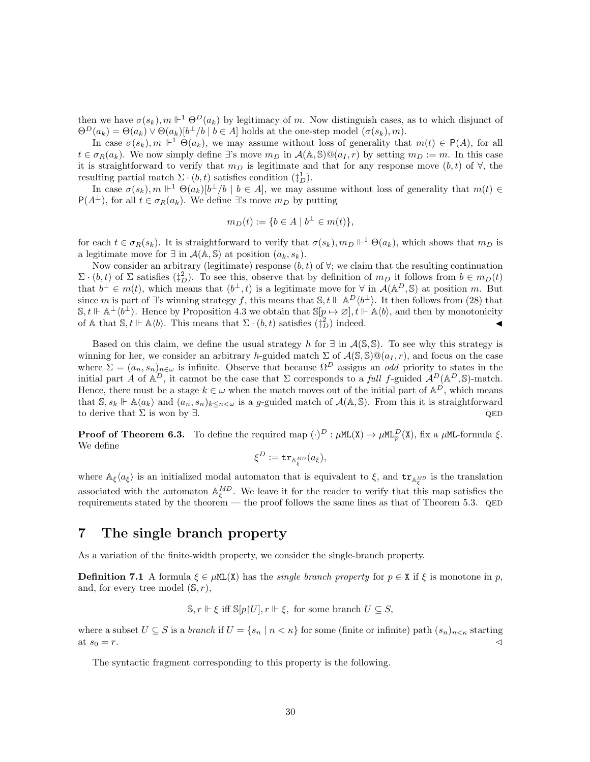then we have  $\sigma(s_k)$ ,  $m \Vdash^1 \Theta^D(a_k)$  by legitimacy of m. Now distinguish cases, as to which disjunct of  $\Theta^D(a_k) = \Theta(a_k) \vee \Theta(a_k)[b^{\perp}/b \mid b \in A]$  holds at the one-step model  $(\sigma(s_k), m)$ .

In case  $\sigma(s_k)$ ,  $m \Vdash^1 \Theta(a_k)$ , we may assume without loss of generality that  $m(t) \in \mathsf{P}(A)$ , for all  $t \in \sigma_B(a_k)$ . We now simply define ∃'s move  $m_D$  in  $\mathcal{A}(\mathbb{A}, \mathbb{S}) \mathbb{Q}(a_I, r)$  by setting  $m_D := m$ . In this case it is straightforward to verify that  $m_D$  is legitimate and that for any response move  $(b, t)$  of  $\forall$ , the resulting partial match  $\Sigma \cdot (b, t)$  satisfies condition  $(\ddagger_D^1)$ .

In case  $\sigma(s_k)$ ,  $m \Vdash^1 \Theta(a_k)[b^{\perp}/b \mid b \in A]$ , we may assume without loss of generality that  $m(t) \in$  $P(A^{\perp})$ , for all  $t \in \sigma_R(a_k)$ . We define ∃'s move  $m_D$  by putting

$$
m_D(t) := \{ b \in A \mid b^{\perp} \in m(t) \},
$$

for each  $t \in \sigma_R(s_k)$ . It is straightforward to verify that  $\sigma(s_k)$ ,  $m_D \Vdash^1 \Theta(a_k)$ , which shows that  $m_D$  is a legitimate move for  $\exists$  in  $\mathcal{A}(\mathbb{A}, \mathbb{S})$  at position  $(a_k, s_k)$ .

Now consider an arbitrary (legitimate) response  $(b, t)$  of  $\forall$ ; we claim that the resulting continuation  $\Sigma \cdot (b, t)$  of  $\Sigma$  satisfies  $(\dagger_D^2)$ . To see this, observe that by definition of  $m_D$  it follows from  $b \in m_D(t)$ that  $b^{\perp} \in m(t)$ , which means that  $(b^{\perp}, t)$  is a legitimate move for  $\forall$  in  $\mathcal{A}(\mathbb{A}^D, \mathbb{S})$  at position m. But since m is part of ∃'s winning strategy f, this means that  $\mathbb{S}, t \Vdash \mathbb{A}^D \langle b^\perp \rangle$ . It then follows from (28) that  $\mathbb{S}, t \Vdash \mathbb{A}^{\perp} \langle b^{\perp} \rangle$ . Hence by Proposition 4.3 we obtain that  $\mathbb{S}[p \mapsto \emptyset], t \Vdash \mathbb{A} \langle b \rangle$ , and then by monotonicity of A that  $\mathbb{S}, t \Vdash \mathbb{A}\langle b \rangle$ . This means that  $\Sigma \cdot (b, t)$  satisfies  $(\frac{1}{2}b)$  indeed.

Based on this claim, we define the usual strategy h for  $\exists$  in  $\mathcal{A}(\mathbb{S},\mathbb{S})$ . To see why this strategy is winning for her, we consider an arbitrary h-guided match  $\Sigma$  of  $\mathcal{A}(\mathbb{S}, \mathbb{S}) \mathbb{Q}(a_I, r)$ , and focus on the case where  $\Sigma = (a_n, s_n)_{n \in \omega}$  is infinite. Observe that because  $\Omega^D$  assigns an odd priority to states in the initial part A of  $\mathbb{A}^D$ , it cannot be the case that  $\Sigma$  corresponds to a *full f*-guided  $\mathcal{A}^D(\mathbb{A}^D,\mathbb{S})$ -match. Hence, there must be a stage  $k \in \omega$  when the match moves out of the initial part of  $\mathbb{A}^D$ , which means that  $\mathbb{S}, s_k \Vdash \mathbb{A}\langle a_k \rangle$  and  $(a_n, s_n)_{k \leq n \leq \omega}$  is a g-guided match of  $\mathcal{A}(\mathbb{A}, \mathbb{S})$ . From this it is straightforward to derive that  $\Sigma$  is won by  $\exists$ .  $\qquad \qquad$  quantity of the set of the set of the set of the set of the set of the set of the set of the set of the set of the set of the set of the set of the set of the set of the set of

**Proof of Theorem 6.3.** To define the required map  $(\cdot)^D$  :  $\mu$ ML(X)  $\rightarrow \mu$ ML $^D$ (X), fix a  $\mu$ ML-formula  $\xi$ . We define

$$
\xi^D := \mathtt{tr}_{\mathbb{A}_\xi^{MD}}(a_\xi),
$$

where  $\mathbb{A}_{\xi}\langle a_{\xi}\rangle$  is an initialized modal automaton that is equivalent to  $\xi$ , and  $tr_{\mathbb{A}_{\xi}^{MD}}$  is the translation associated with the automaton  $\mathbb{A}_{\xi}^{MD}$ . We leave it for the reader to verify that this map satisfies the requirements stated by the theorem — the proof follows the same lines as that of Theorem  $5.3$ . QED

# 7 The single branch property

As a variation of the finite-width property, we consider the single-branch property.

**Definition 7.1** A formula  $\xi \in \muML(X)$  has the *single branch property* for  $p \in X$  if  $\xi$  is monotone in p, and, for every tree model  $(\mathbb{S}, r)$ ,

 $\mathbb{S}, r \Vdash \xi$  iff  $\mathbb{S}[p|U], r \Vdash \xi$ , for some branch  $U \subseteq S$ ,

where a subset  $U \subseteq S$  is a *branch* if  $U = \{s_n \mid n \lt k\}$  for some (finite or infinite) path  $(s_n)_{n \lt k}$  starting at  $s_0 = r$ .

The syntactic fragment corresponding to this property is the following.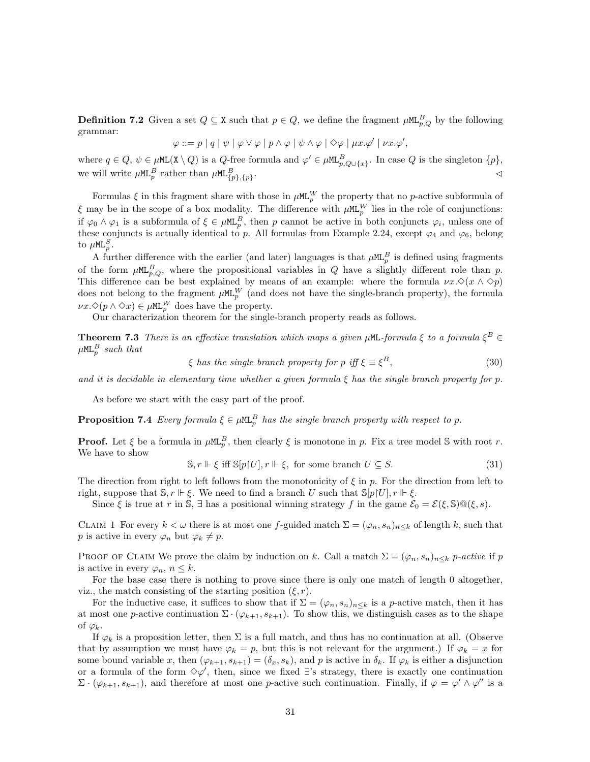**Definition 7.2** Given a set  $Q \subseteq \mathbf{X}$  such that  $p \in Q$ , we define the fragment  $\mu \mathbb{ML}_{p,Q}^B$  by the following grammar:

$$
\varphi ::= p | q | \psi | \varphi \vee \varphi | p \wedge \varphi | \psi \wedge \varphi | \diamond \varphi | \mu x. \varphi' | \nu x. \varphi',
$$

where  $q \in Q$ ,  $\psi \in \muML(X \setminus Q)$  is a  $Q$ -free formula and  $\varphi' \in \muML_{p,Q \cup \{x\}}^B$ . In case  $Q$  is the singleton  $\{p\}$ , we will write  $\mu$ ML<sup>B</sup> rather than  $\mu$ ML $_{\{p\},\{p\}}^B$ .  $\triangle$ 

Formulas  $\xi$  in this fragment share with those in  $\mu M_{p}^{W}$  the property that no p-active subformula of  $\xi$  may be in the scope of a box modality. The difference with  $\mu M L_p^W$  lies in the role of conjunctions: if  $\varphi_0 \wedge \varphi_1$  is a subformula of  $\xi \in \mu \mathbb{ML}_p^B$ , then p cannot be active in both conjuncts  $\varphi_i$ , unless one of these conjuncts is actually identical to p. All formulas from Example 2.24, except  $\varphi_4$  and  $\varphi_6$ , belong to  $\mu$ ML $_p^S.$ 

A further difference with the earlier (and later) languages is that  $\mu M L_p^B$  is defined using fragments of the form  $\mu M L_{p,Q}^B$ , where the propositional variables in Q have a slightly different role than p. This difference can be best explained by means of an example: where the formula  $\nu x.\Diamond(x \wedge \Diamond p)$ does not belong to the fragment  $\mu$ ML<sup>W</sup> (and does not have the single-branch property), the formula  $\nu x.\Diamond(p \wedge \Diamond x) \in \mu \mathbb{M}_{p}^{W}$  does have the property.

Our characterization theorem for the single-branch property reads as follows.

**Theorem 7.3** There is an effective translation which maps a given  $\mu$ ML-formula  $\xi$  to a formula  $\xi^B$   $\in$  $\mu$ ML $^B_p$  such that

$$
\xi \text{ has the single branch property for } p \text{ iff } \xi \equiv \xi^B,\tag{30}
$$

and it is decidable in elementary time whether a given formula  $\xi$  has the single branch property for p.

As before we start with the easy part of the proof.

**Proposition 7.4** Every formula  $\xi \in \mu \mathbb{L}_p^B$  has the single branch property with respect to p.

**Proof.** Let  $\xi$  be a formula in  $\mu M_{p}^{B}$ , then clearly  $\xi$  is monotone in p. Fix a tree model S with root r. We have to show

$$
\mathbb{S}, r \Vdash \xi \text{ iff } \mathbb{S}[p|U], r \Vdash \xi, \text{ for some branch } U \subseteq S. \tag{31}
$$

The direction from right to left follows from the monotonicity of  $\xi$  in p. For the direction from left to right, suppose that  $\mathbb{S}, r \Vdash \xi$ . We need to find a branch U such that  $\mathbb{S}[p]U, r \Vdash \xi$ .

Since  $\xi$  is true at r in S,  $\exists$  has a positional winning strategy f in the game  $\mathcal{E}_0 = \mathcal{E}(\xi, \mathbb{S}) \mathbb{Q}(\xi, s)$ .

CLAIM 1 For every  $k < \omega$  there is at most one f-guided match  $\Sigma = (\varphi_n, s_n)_{n \leq k}$  of length k, such that p is active in every  $\varphi_n$  but  $\varphi_k \neq p$ .

PROOF OF CLAIM We prove the claim by induction on k. Call a match  $\Sigma = (\varphi_n, s_n)_{n \leq k}$  p-active if p is active in every  $\varphi_n, n \leq k$ .

For the base case there is nothing to prove since there is only one match of length 0 altogether, viz., the match consisting of the starting position  $(\xi, r)$ .

For the inductive case, it suffices to show that if  $\Sigma = (\varphi_n, s_n)_{n \leq k}$  is a p-active match, then it has at most one p-active continuation  $\Sigma \cdot (\varphi_{k+1}, s_{k+1})$ . To show this, we distinguish cases as to the shape of  $\varphi_k$ .

If  $\varphi_k$  is a proposition letter, then  $\Sigma$  is a full match, and thus has no continuation at all. (Observe that by assumption we must have  $\varphi_k = p$ , but this is not relevant for the argument.) If  $\varphi_k = x$  for some bound variable x, then  $(\varphi_{k+1}, s_{k+1}) = (\delta_x, s_k)$ , and p is active in  $\delta_k$ . If  $\varphi_k$  is either a disjunction or a formula of the form  $\Diamond \varphi'$ , then, since we fixed ∃'s strategy, there is exactly one continuation  $\Sigma \cdot (\varphi_{k+1}, s_{k+1})$ , and therefore at most one p-active such continuation. Finally, if  $\varphi = \varphi' \wedge \varphi''$  is a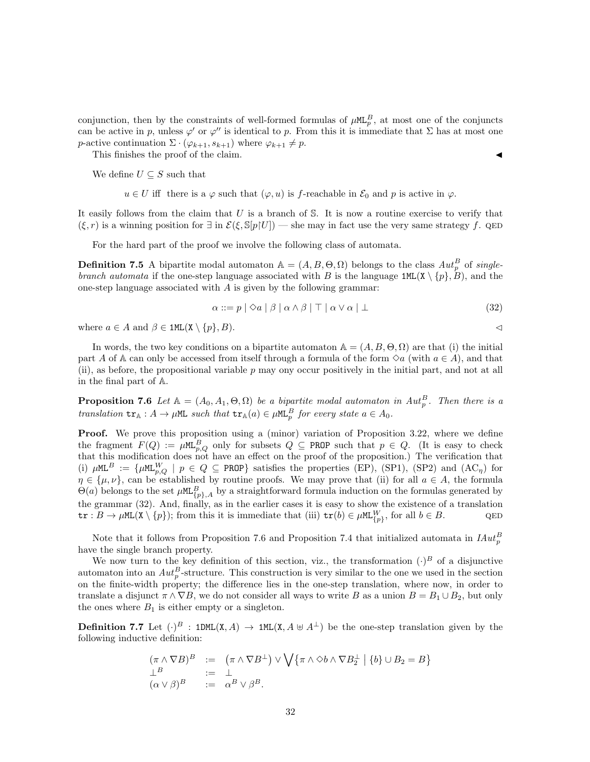conjunction, then by the constraints of well-formed formulas of  $\mu M L_p^B$ , at most one of the conjuncts can be active in p, unless  $\varphi'$  or  $\varphi''$  is identical to p. From this it is immediate that  $\Sigma$  has at most one p-active continuation  $\Sigma \cdot (\varphi_{k+1}, s_{k+1})$  where  $\varphi_{k+1} \neq p$ .

This finishes the proof of the claim.

We define  $U \subseteq S$  such that

 $u \in U$  iff there is a  $\varphi$  such that  $(\varphi, u)$  is f-reachable in  $\mathcal{E}_0$  and p is active in  $\varphi$ .

It easily follows from the claim that  $U$  is a branch of  $S$ . It is now a routine exercise to verify that  $(\xi, r)$  is a winning position for  $\exists$  in  $\mathcal{E}(\xi, \mathbb{S}[p|U])$  — she may in fact use the very same strategy f. QED

For the hard part of the proof we involve the following class of automata.

**Definition 7.5** A bipartite modal automaton  $\mathbb{A} = (A, B, \Theta, \Omega)$  belongs to the class  $Aut_p^B$  of singlebranch automata if the one-step language associated with B is the language  $1ML(X \setminus \{p\}, B)$ , and the one-step language associated with  $A$  is given by the following grammar:

$$
\alpha ::= p \mid \Diamond a \mid \beta \mid \alpha \land \beta \mid \top \mid \alpha \lor \alpha \mid \bot \tag{32}
$$

where  $a \in A$  and  $\beta \in \texttt{1ML}(X \setminus \{p\}, B)$ .

In words, the two key conditions on a bipartite automaton  $\mathbb{A} = (A, B, \Theta, \Omega)$  are that (i) the initial part A of A can only be accessed from itself through a formula of the form  $\Diamond a$  (with  $a \in A$ ), and that (ii), as before, the propositional variable  $p$  may ony occur positively in the initial part, and not at all in the final part of A.

**Proposition 7.6** Let  $A = (A_0, A_1, \Theta, \Omega)$  be a bipartite modal automaton in  $Aut_p^B$ . Then there is a translation  $tr_{\mathbb{A}}: A \to \mu \mathbb{M}$  such that  $tr_{\mathbb{A}}(a) \in \mu \mathbb{M}$   $_{p}^{B}$  for every state  $a \in A_0$ .

**Proof.** We prove this proposition using a (minor) variation of Proposition 3.22, where we define the fragment  $F(Q) := \mu M L_{p,Q}^B$  only for subsets  $Q \subseteq PROP$  such that  $p \in Q$ . (It is easy to check that this modification does not have an effect on the proof of the proposition.) The verification that (i)  $\mu$ ML<sup>B</sup> := { $\mu$ ML<sup>W</sup><sub>p,Q</sub> | p 
in Q 
c PROP Satisfies the properties (EP), (SP1), (SP2) and (AC<sub>n</sub>) for  $\eta \in {\{\mu,\nu\}}$ , can be established by routine proofs. We may prove that (ii) for all  $a \in A$ , the formula  $\Theta(a)$  belongs to the set  $\mu M L_{\{p\},A}^B$  by a straightforward formula induction on the formulas generated by the grammar (32). And, finally, as in the earlier cases it is easy to show the existence of a translation  $\text{tr}: B \to \mu\text{ML}(X \setminus \{p\});$  from this it is immediate that (iii)  $\text{tr}(b) \in \mu\text{ML}_{\{p\}}^W$ , for all  $b \in B$ .

Note that it follows from Proposition 7.6 and Proposition 7.4 that initialized automata in  $H^2_p$ have the single branch property.

We now turn to the key definition of this section, viz., the transformation  $(\cdot)^B$  of a disjunctive automaton into an  $Aut_p^B$ -structure. This construction is very similar to the one we used in the section on the finite-width property; the difference lies in the one-step translation, where now, in order to translate a disjunct  $\pi \wedge \nabla B$ , we do not consider all ways to write B as a union  $B = B_1 \cup B_2$ , but only the ones where  $B_1$  is either empty or a singleton.

**Definition 7.7** Let  $(\cdot)^B$ : 1DML(X, A)  $\rightarrow$  1ML(X, A  $\uplus$  A<sup>⊥</sup>) be the one-step translation given by the following inductive definition:

$$
(\pi \wedge \nabla B)^B := (\pi \wedge \nabla B^{\perp}) \vee \bigvee \{\pi \wedge \Diamond b \wedge \nabla B_2^{\perp} \mid \{b\} \cup B_2 = B\}
$$
  
\n
$$
\perp^B := \perp
$$
  
\n
$$
(\alpha \vee \beta)^B := \alpha^B \vee \beta^B.
$$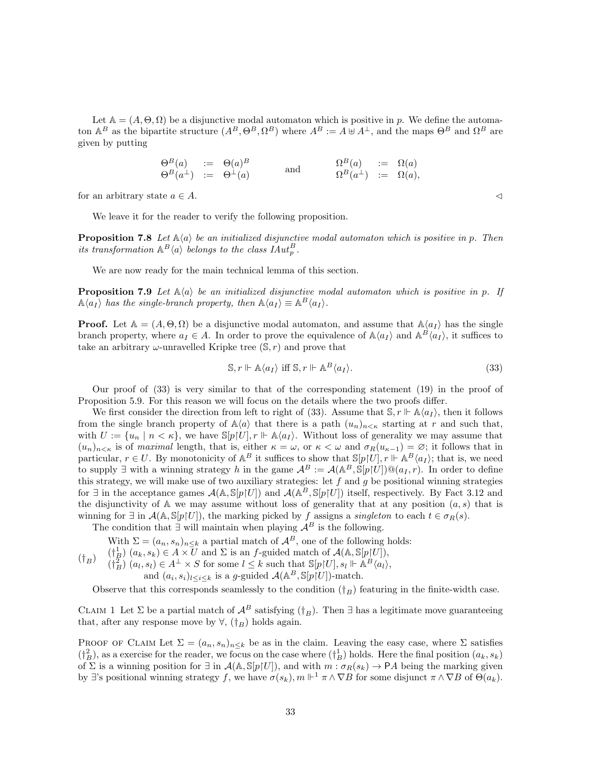Let  $\mathbb{A} = (A, \Theta, \Omega)$  be a disjunctive modal automaton which is positive in p. We define the automaton  $A^B$  as the bipartite structure  $(A^B, \Theta^B, \Omega^B)$  where  $A^B := A \oplus A^{\perp}$ , and the maps  $\Theta^B$  and  $\Omega^B$  are given by putting

$$
\begin{array}{rcl}\n\Theta^B(a) & := & \Theta(a)^B \\
\Theta^B(a^{\perp}) & := & \Theta^{\perp}(a)\n\end{array}\n\qquad \text{and} \qquad\n\begin{array}{rcl}\n\Omega^B(a) & := & \Omega(a) \\
\Omega^B(a^{\perp}) & := & \Omega(a),\n\end{array}
$$

for an arbitrary state  $a \in A$ .

We leave it for the reader to verify the following proposition.

**Proposition 7.8** Let  $\mathbb{A}\langle a \rangle$  be an initialized disjunctive modal automaton which is positive in p. Then its transformation  $\mathbb{A}^B\langle a \rangle$  belongs to the class  $IAut_p^B$ .

We are now ready for the main technical lemma of this section.

**Proposition 7.9** Let  $\mathbb{A}\langle a \rangle$  be an initialized disjunctive modal automaton which is positive in p. If  $\mathbb{A}\langle a_I \rangle$  has the single-branch property, then  $\mathbb{A}\langle a_I \rangle \equiv \mathbb{A}^B \langle a_I \rangle$ .

**Proof.** Let  $A = (A, \Theta, \Omega)$  be a disjunctive modal automaton, and assume that  $A\langle a_I \rangle$  has the single branch property, where  $a_I \in A$ . In order to prove the equivalence of  $\mathbb{A}\langle a_I \rangle$  and  $\mathbb{A}^B\langle a_I \rangle$ , it suffices to take an arbitrary  $\omega$ -unravelled Kripke tree  $(\mathbb{S}, r)$  and prove that

$$
\mathbb{S}, r \Vdash \mathbb{A}\langle a_I \rangle \text{ iff } \mathbb{S}, r \Vdash \mathbb{A}^B \langle a_I \rangle. \tag{33}
$$

Our proof of (33) is very similar to that of the corresponding statement (19) in the proof of Proposition 5.9. For this reason we will focus on the details where the two proofs differ.

We first consider the direction from left to right of (33). Assume that  $\mathcal{S}, r \Vdash \mathbb{A}\langle a_I \rangle$ , then it follows from the single branch property of  $\mathbb{A}\langle a \rangle$  that there is a path  $(u_n)_{n \leq \kappa}$  starting at r and such that, with  $U := \{u_n \mid n < \kappa\}$ , we have  $\mathbb{S}[p|U], r \Vdash \mathbb{A}\langle a_I \rangle$ . Without loss of generality we may assume that  $(u_n)_{n\leq \kappa}$  is of maximal length, that is, either  $\kappa = \omega$ , or  $\kappa < \omega$  and  $\sigma_R(u_{\kappa-1}) = \varnothing$ ; it follows that in particular,  $r \in U$ . By monotonicity of  $\mathbb{A}^B$  it suffices to show that  $\mathbb{S}[p|U], r \Vdash \mathbb{A}^B\langle a_I \rangle$ ; that is, we need to supply  $\exists$  with a winning strategy h in the game  $\mathcal{A}^B := \mathcal{A}(\mathbb{A}^B, \mathbb{S}[p|U]) \mathbb{Q}(a_I, r)$ . In order to define this strategy, we will make use of two auxiliary strategies: let f and g be positional winning strategies for ∃ in the acceptance games  $\mathcal{A}(\mathbb{A}, \mathbb{S}[p|U])$  and  $\mathcal{A}(\mathbb{A}^B, \mathbb{S}[p|U])$  itself, respectively. By Fact 3.12 and the disjunctivity of  $A$  we may assume without loss of generality that at any position  $(a, s)$  that is winning for  $\exists$  in  $\mathcal{A}(\mathbb{A}, \mathbb{S}[p|U])$ , the marking picked by f assigns a *singleton* to each  $t \in \sigma_R(s)$ .

The condition that  $\exists$  will maintain when playing  $\mathcal{A}^B$  is the following.

- With  $\Sigma = (a_n, s_n)_{n \leq k}$  a partial match of  $\mathcal{A}^B$ , one of the following holds:
- $(\dagger_B)$  $(\dagger_{B}^{1})(a_{k}, s_{k}) \in A \times \overline{U}$  and  $\Sigma$  is an f-guided match of  $\mathcal{A}(\mathbb{A}, \mathbb{S}[p]U],$  $(\dagger_B^2)(a_l, s_l) \in A^{\perp} \times S$  for some  $l \leq k$  such that  $\mathbb{S}[p|U], s_l \Vdash \mathbb{A}^B\langle a_l \rangle$ , and  $(a_i, s_i)_{l \leq i \leq k}$  is a g-guided  $\mathcal{A}(\mathbb{A}^B, \mathbb{S}[p]U]$ )-match.

Observe that this corresponds seamlessly to the condition  $({\dagger_B})$  featuring in the finite-width case.

CLAIM 1 Let  $\Sigma$  be a partial match of  $\mathcal{A}^B$  satisfying  $(\dagger_B)$ . Then  $\exists$  has a legitimate move guaranteeing that, after any response move by  $\forall$ ,  $(\dagger_B)$  holds again.

PROOF OF CLAIM Let  $\Sigma = (a_n, s_n)_{n \leq k}$  be as in the claim. Leaving the easy case, where  $\Sigma$  satisfies  $(\dagger_B^2)$ , as a exercise for the reader, we focus on the case where  $(\dagger_B^1)$  holds. Here the final position  $(a_k, s_k)$ of  $\Sigma$  is a winning position for  $\exists$  in  $\mathcal{A}(\mathbb{A}, \mathbb{S}[p|U])$ , and with  $m : \sigma_R(s_k) \to PA$  being the marking given by ∃'s positional winning strategy f, we have  $\sigma(s_k)$ ,  $m \Vdash^1 \pi \wedge \nabla B$  for some disjunct  $\pi \wedge \nabla B$  of  $\Theta(a_k)$ .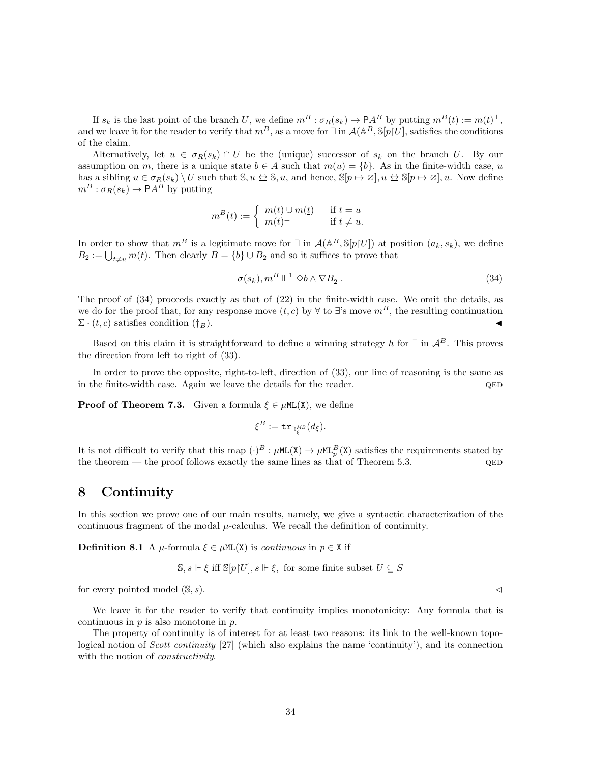If  $s_k$  is the last point of the branch U, we define  $m^B : \sigma_R(s_k) \to \mathsf{P} A^B$  by putting  $m^B(t) := m(t)^{\perp}$ , and we leave it for the reader to verify that  $m^B$ , as a move for  $\exists$  in  $\mathcal{A}(\mathbb{A}^B, \mathbb{S}[p]U]$ , satisfies the conditions of the claim.

Alternatively, let  $u \in \sigma_R(s_k) \cap U$  be the (unique) successor of  $s_k$  on the branch U. By our assumption on m, there is a unique state  $b \in A$  such that  $m(u) = \{b\}$ . As in the finite-width case, u has a sibling  $u \in \sigma_R(s_k) \setminus U$  such that  $\mathbb{S}, u \leftrightarrow \mathbb{S}, u$ , and hence,  $\mathbb{S}[p \mapsto \emptyset], u \leftrightarrow \mathbb{S}[p \mapsto \emptyset], u$ . Now define  $m^B : \sigma_R(s_k) \to \mathsf{P} A^B$  by putting

$$
m^{B}(t) := \begin{cases} m(t) \cup m(\underline{t})^{\perp} & \text{if } t = u \\ m(t)^{\perp} & \text{if } t \neq u. \end{cases}
$$

In order to show that  $m^B$  is a legitimate move for  $\exists$  in  $\mathcal{A}(\mathbb{A}^B, \mathbb{S}[p|U])$  at position  $(a_k, s_k)$ , we define  $B_2 := \bigcup_{t \neq u} m(t)$ . Then clearly  $B = \{b\} \cup B_2$  and so it suffices to prove that

$$
\sigma(s_k), m^B \Vdash^1 \Diamond b \land \nabla B_2^{\perp}.
$$
\n(34)

The proof of (34) proceeds exactly as that of (22) in the finite-width case. We omit the details, as we do for the proof that, for any response move  $(t, c)$  by  $\forall$  to ∃'s move  $m<sup>B</sup>$ , the resulting continuation  $\Sigma \cdot (t, c)$  satisfies condition  $(\dagger_B)$ .

Based on this claim it is straightforward to define a winning strategy h for  $\exists$  in  $\mathcal{A}^B$ . This proves the direction from left to right of (33).

In order to prove the opposite, right-to-left, direction of (33), our line of reasoning is the same as in the finite-width case. Again we leave the details for the reader.  $QED$ 

**Proof of Theorem 7.3.** Given a formula  $\xi \in \mu M L(X)$ , we define

$$
\xi^B := \mathtt{tr}_{\mathbb{D}^{MB}_\xi}(d_\xi).
$$

It is not difficult to verify that this map  $(\cdot)^B : \mu M L(X) \to \mu M L_p^B(X)$  satisfies the requirements stated by the theorem — the proof follows exactly the same lines as that of Theorem 5.3.  $QED$ 

# 8 Continuity

In this section we prove one of our main results, namely, we give a syntactic characterization of the continuous fragment of the modal  $\mu$ -calculus. We recall the definition of continuity.

Definition 8.1 A  $\mu$ -formula  $\xi \in \mu M L(X)$  is continuous in  $p \in X$  if

$$
\mathbb{S}, s \Vdash \xi \text{ iff } \mathbb{S}[p|U], s \Vdash \xi, \text{ for some finite subset } U \subseteq S
$$

for every pointed model  $(S, s)$ .

We leave it for the reader to verify that continuity implies monotonicity: Any formula that is continuous in  $p$  is also monotone in  $p$ .

The property of continuity is of interest for at least two reasons: its link to the well-known topological notion of Scott continuity [27] (which also explains the name 'continuity'), and its connection with the notion of *constructivity*.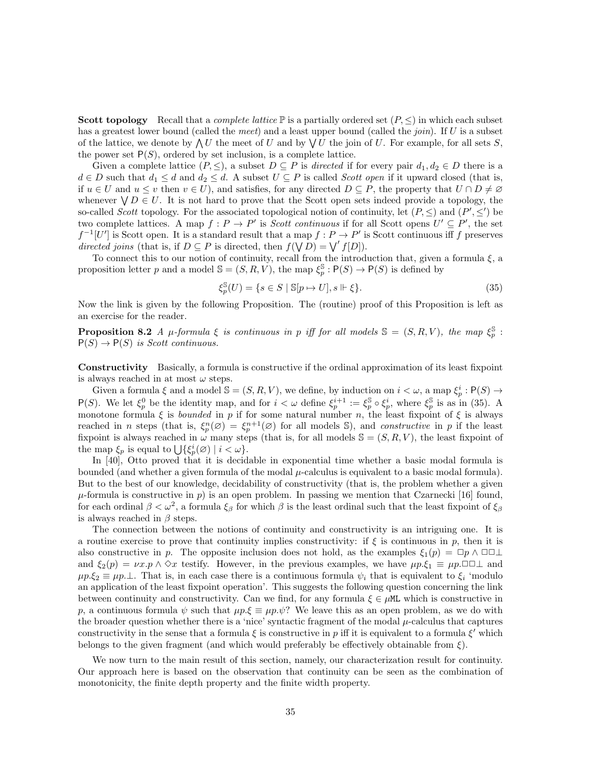**Scott topology** Recall that a *complete lattice*  $\mathbb{P}$  is a partially ordered set  $(P, \leq)$  in which each subset has a greatest lower bound (called the meet) and a least upper bound (called the join). If U is a subset of the lattice, we denote by  $\bigwedge U$  the meet of U and by  $\bigvee U$  the join of U. For example, for all sets S, the power set  $P(S)$ , ordered by set inclusion, is a complete lattice.

Given a complete lattice  $(P, \leq)$ , a subset  $D \subseteq P$  is *directed* if for every pair  $d_1, d_2 \in D$  there is a  $d \in D$  such that  $d_1 \leq d$  and  $d_2 \leq d$ . A subset  $U \subseteq P$  is called *Scott open* if it upward closed (that is, if  $u \in U$  and  $u \leq v$  then  $v \in U$ ), and satisfies, for any directed  $D \subseteq P$ , the property that  $U \cap D \neq \emptyset$ whenever  $\forall D \in U$ . It is not hard to prove that the Scott open sets indeed provide a topology, the so-called Scott topology. For the associated topological notion of continuity, let  $(P, \leq)$  and  $(P', \leq')$  be two complete lattices. A map  $f: P \to P'$  is *Scott continuous* if for all Scott opens  $U' \subseteq P'$ , the set  $f^{-1}[U']$  is Scott open. It is a standard result that a map  $f : P \to P'$  is Scott continuous iff f preserves directed joins (that is, if  $D \subseteq P$  is directed, then  $f(\sqrt{D}) = \sqrt{f[D]}.$ 

To connect this to our notion of continuity, recall from the introduction that, given a formula  $\xi$ , a proposition letter p and a model  $\mathbb{S} = (S, R, V)$ , the map  $\xi_p^{\mathbb{S}} : \mathsf{P}(S) \to \mathsf{P}(S)$  is defined by

$$
\xi_p^{\mathbb{S}}(U) = \{ s \in S \mid \mathbb{S}[p \mapsto U], s \Vdash \xi \}. \tag{35}
$$

Now the link is given by the following Proposition. The (routine) proof of this Proposition is left as an exercise for the reader.

**Proposition 8.2** A  $\mu$ -formula  $\xi$  is continuous in p iff for all models  $\mathbb{S} = (S, R, V)$ , the map  $\xi_p^{\mathbb{S}}$ :  $P(S) \rightarrow P(S)$  is Scott continuous.

Constructivity Basically, a formula is constructive if the ordinal approximation of its least fixpoint is always reached in at most  $\omega$  steps.

Given a formula  $\xi$  and a model  $\mathbb{S} = (S, R, V)$ , we define, by induction on  $i < \omega$ , a map  $\xi_p^i : \mathsf{P}(S) \to$ P(S). We let  $\xi_p^0$  be the identity map, and for  $i < \omega$  define  $\xi_p^{i+1} := \xi_p^{\mathbb{S}} \circ \xi_p^i$ , where  $\xi_p^{\mathbb{S}}$  is as in (35). A monotone formula  $\xi$  is bounded in p if for some natural number n, the least fixpoint of  $\xi$  is always reached in *n* steps (that is,  $\xi_p^n(\varnothing) = \xi_p^{n+1}(\varnothing)$  for all models S), and *constructive* in *p* if the least fixpoint is always reached in  $\omega$  many steps (that is, for all models  $\mathbb{S} = (S, R, V)$ , the least fixpoint of the map  $\xi_p$  is equal to  $\bigcup \{\xi_p^i(\emptyset) \mid i < \omega\}.$ 

In [40], Otto proved that it is decidable in exponential time whether a basic modal formula is bounded (and whether a given formula of the modal  $\mu$ -calculus is equivalent to a basic modal formula). But to the best of our knowledge, decidability of constructivity (that is, the problem whether a given  $\mu$ -formula is constructive in p) is an open problem. In passing we mention that Czarnecki [16] found, for each ordinal  $\beta < \omega^2$ , a formula  $\xi_\beta$  for which  $\beta$  is the least ordinal such that the least fixpoint of  $\xi_\beta$ is always reached in  $\beta$  steps.

The connection between the notions of continuity and constructivity is an intriguing one. It is a routine exercise to prove that continuity implies constructivity: if  $\xi$  is continuous in p, then it is also constructive in p. The opposite inclusion does not hold, as the examples  $\xi_1(p) = \Box p \wedge \Box \Box \bot$ and  $\xi_2(p) = \nu x.p \wedge \Diamond x$  testify. However, in the previous examples, we have  $\mu p.\xi_1 \equiv \mu p.\Box \Box \bot$  and  $\mu p.\xi_2 \equiv \mu p.\bot$ . That is, in each case there is a continuous formula  $\psi_i$  that is equivalent to  $\xi_i$  'modulo an application of the least fixpoint operation'. This suggests the following question concerning the link between continuity and constructivity. Can we find, for any formula  $\xi \in \mu M$  which is constructive in p, a continuous formula  $\psi$  such that  $\mu p.\xi \equiv \mu p.\psi$ ? We leave this as an open problem, as we do with the broader question whether there is a 'nice' syntactic fragment of the modal  $\mu$ -calculus that captures constructivity in the sense that a formula  $\xi$  is constructive in p iff it is equivalent to a formula  $\xi'$  which belongs to the given fragment (and which would preferably be effectively obtainable from  $\xi$ ).

We now turn to the main result of this section, namely, our characterization result for continuity. Our approach here is based on the observation that continuity can be seen as the combination of monotonicity, the finite depth property and the finite width property.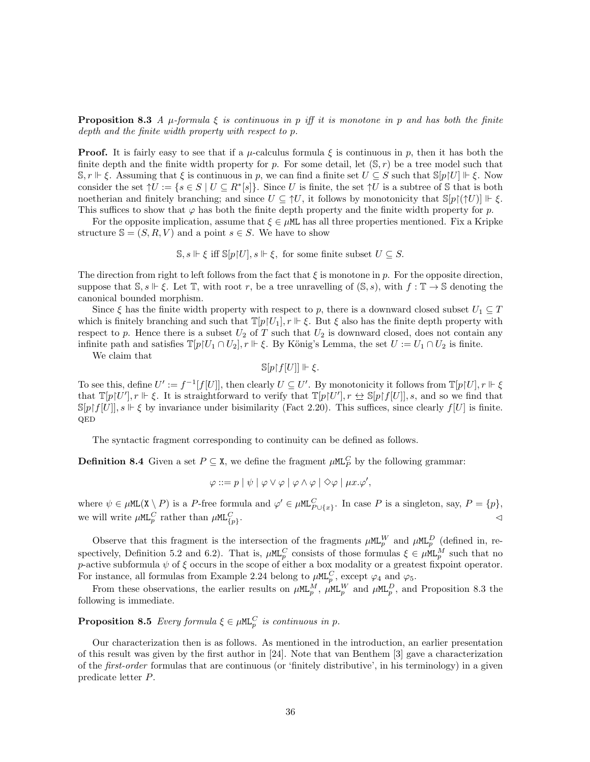**Proposition 8.3** A  $\mu$ -formula  $\xi$  is continuous in p iff it is monotone in p and has both the finite depth and the finite width property with respect to p.

**Proof.** It is fairly easy to see that if a  $\mu$ -calculus formula  $\xi$  is continuous in p, then it has both the finite depth and the finite width property for p. For some detail, let  $(\mathbb{S}, r)$  be a tree model such that  $\mathbb{S}, r \Vdash \xi$ . Assuming that  $\xi$  is continuous in p, we can find a finite set  $U \subseteq S$  such that  $\mathbb{S}[p]U \Vdash \xi$ . Now consider the set  $\uparrow U := \{ s \in S \mid U \subseteq R^* \mid s \}$ . Since U is finite, the set  $\uparrow U$  is a subtree of S that is both noetherian and finitely branching; and since  $U \subseteq \Uparrow U$ , it follows by monotonicity that  $\mathbb{S}[p](\Uparrow U)] \Vdash \xi$ . This suffices to show that  $\varphi$  has both the finite depth property and the finite width property for p.

For the opposite implication, assume that  $\xi \in \mu M$  has all three properties mentioned. Fix a Kripke structure  $\mathbb{S} = (S, R, V)$  and a point  $s \in S$ . We have to show

 $\mathbb{S}, s \Vdash \xi$  iff  $\mathbb{S}[p|U], s \Vdash \xi$ , for some finite subset  $U \subseteq S$ .

The direction from right to left follows from the fact that  $\xi$  is monotone in p. For the opposite direction, suppose that  $\mathbb{S}, s \Vdash \xi$ . Let  $\mathbb{T}$ , with root r, be a tree unravelling of  $(\mathbb{S}, s)$ , with  $f : \mathbb{T} \to \mathbb{S}$  denoting the canonical bounded morphism.

Since  $\xi$  has the finite width property with respect to p, there is a downward closed subset  $U_1 \subseteq T$ which is finitely branching and such that  $\mathbb{T}[p]U_1$ ,  $r \Vdash \xi$ . But  $\xi$  also has the finite depth property with respect to p. Hence there is a subset  $U_2$  of T such that  $U_2$  is downward closed, does not contain any infinite path and satisfies  $\mathbb{T}[p|U_1 \cap U_2], r \Vdash \xi$ . By König's Lemma, the set  $U := U_1 \cap U_2$  is finite.

We claim that

 $\mathbb{S}[p\upharpoonright f[U]] \Vdash \xi.$ 

To see this, define  $U' := f^{-1}[f[U]]$ , then clearly  $U \subseteq U'$ . By monotonicity it follows from  $\mathbb{T}[p|U], r \Vdash \xi$ that  $\mathbb{T}[p] \cup [l']$ ,  $r \Vdash \xi$ . It is straightforward to verify that  $\mathbb{T}[p] \cup [l']$ ,  $r \Leftrightarrow \mathbb{S}[p] \cup [l']$ , s, and so we find that  $\mathbb{S}[p[f[U]], s \Vdash \xi$  by invariance under bisimilarity (Fact 2.20). This suffices, since clearly  $f[U]$  is finite. QED

The syntactic fragment corresponding to continuity can be defined as follows.

**Definition 8.4** Given a set  $P \subseteq \mathbf{X}$ , we define the fragment  $\mu M L_P^C$  by the following grammar:

$$
\varphi ::= p | \psi | \varphi \vee \varphi | \varphi \wedge \varphi | \diamond \varphi | \mu x. \varphi',
$$

where  $\psi \in \mu \texttt{ML}(X \setminus P)$  is a P-free formula and  $\varphi' \in \mu \texttt{ML}_{P \cup \{x\}}^C$ . In case P is a singleton, say,  $P = \{p\}$ , we will write  $\mu$ ML<sup>C</sup> rather than  $\mu$ ML<sup>C</sup><sub>{p}</sub> .  $\triangle$ 

Observe that this fragment is the intersection of the fragments  $\mu M L_p^W$  and  $\mu M L_p^D$  (defined in, respectively, Definition 5.2 and 6.2). That is,  $\mu M L_p^C$  consists of those formulas  $\xi \in \mu M L_p^M$  such that no p-active subformula  $\psi$  of  $\xi$  occurs in the scope of either a box modality or a greatest fixpoint operator. For instance, all formulas from Example 2.24 belong to  $\mu$ ML<sup>C</sup>, except  $\varphi_4$  and  $\varphi_5$ .

From these observations, the earlier results on  $\mu M L_p^M$ ,  $\mu M L_p^W$  and  $\mu M L_p^D$ , and Proposition 8.3 the following is immediate.

**Proposition 8.5** Every formula  $\xi \in \mu \mathbb{RL}_{p}^{C}$  is continuous in p.

Our characterization then is as follows. As mentioned in the introduction, an earlier presentation of this result was given by the first author in [24]. Note that van Benthem [3] gave a characterization of the first-order formulas that are continuous (or 'finitely distributive', in his terminology) in a given predicate letter P.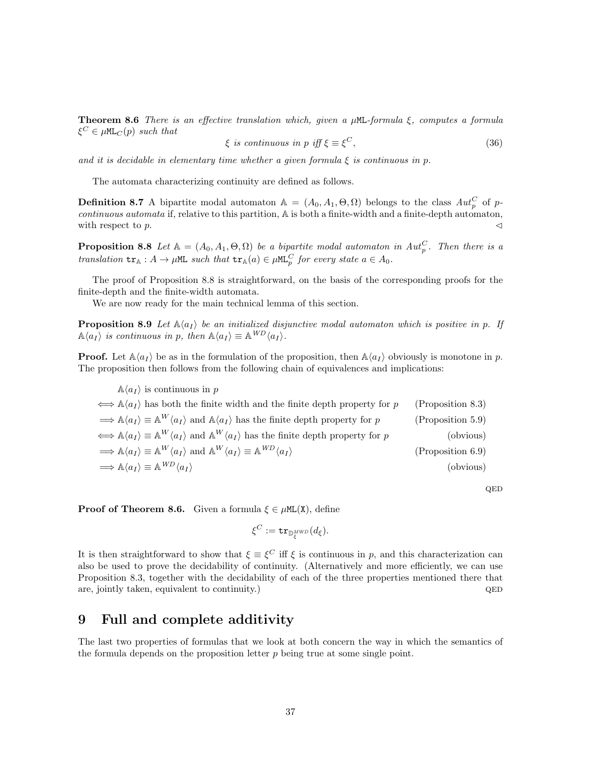**Theorem 8.6** There is an effective translation which, given a  $\mu$ ML-formula  $\xi$ , computes a formula  $\xi^C \in \mu \texttt{ML}_C(p)$  such that

$$
\xi \text{ is continuous in } p \text{ iff } \xi \equiv \xi^C,\tag{36}
$$

QED

and it is decidable in elementary time whether a given formula  $\xi$  is continuous in p.

The automata characterizing continuity are defined as follows.

**Definition 8.7** A bipartite modal automaton  $A = (A_0, A_1, \Theta, \Omega)$  belongs to the class  $Aut_p^C$  of pcontinuous automata if, relative to this partition, A is both a finite-width and a finite-depth automaton, with respect to p.  $\triangleleft$ 

**Proposition 8.8** Let  $A = (A_0, A_1, \Theta, \Omega)$  be a bipartite modal automaton in  $Aut_p^C$ . Then there is a translation  $tr_{\mathbb{A}} : A \to \mu \mathbb{M}$  such that  $tr_{\mathbb{A}}(a) \in \mu \mathbb{M}$ <sub>p</sub> for every state  $a \in A_0$ .

The proof of Proposition 8.8 is straightforward, on the basis of the corresponding proofs for the finite-depth and the finite-width automata.

We are now ready for the main technical lemma of this section.

**Proposition 8.9** Let  $\mathbb{A}\langle a_I \rangle$  be an initialized disjunctive modal automaton which is positive in p. If  $\mathbb{A}\langle a_I \rangle$  is continuous in p, then  $\mathbb{A}\langle a_I \rangle \equiv \mathbb{A}^{WD} \langle a_I \rangle$ .

**Proof.** Let  $\mathbb{A}\langle a_I \rangle$  be as in the formulation of the proposition, then  $\mathbb{A}\langle a_I \rangle$  obviously is monotone in p. The proposition then follows from the following chain of equivalences and implications:

 $\mathbb{A}\langle a_I \rangle$  is continuous in p  $\iff$  A $\langle a_I \rangle$  has both the finite width and the finite depth property for p (Proposition 8.3)  $\Rightarrow A\langle a_I \rangle \equiv A^W \langle a_I \rangle$  and  $A\langle a_I \rangle$  has the finite depth property for p (Proposition 5.9)  $\Leftrightarrow$   $\mathbb{A}\langle a_I \rangle \equiv \mathbb{A}^W \langle a_I \rangle$  and  $\mathbb{A}^W \langle a_I \rangle$  has the finite depth property for p (obvious)  $\Longrightarrow \mathbb{A}\langle a_I \rangle \equiv \mathbb{A}^W \langle a_I \rangle$  and  $\mathbb{A}^W \langle a_I \rangle \equiv \mathbb{A}$  $(Proposition 6.9)$  $\Rightarrow$  A $\langle a_I \rangle \equiv$  A $^{WD} \langle a_I \rangle$  $WD \langle a_I \rangle$  (obvious)

**Proof of Theorem 8.6.** Given a formula  $\xi \in \muML(X)$ , define

$$
\xi^C:=\mathtt{tr}_{\mathbb{D}_\xi^{MWD}}(d_\xi).
$$

It is then straightforward to show that  $\xi \equiv \xi^C$  iff  $\xi$  is continuous in p, and this characterization can also be used to prove the decidability of continuity. (Alternatively and more efficiently, we can use Proposition 8.3, together with the decidability of each of the three properties mentioned there that are, jointly taken, equivalent to continuity.) QED

# 9 Full and complete additivity

The last two properties of formulas that we look at both concern the way in which the semantics of the formula depends on the proposition letter  $p$  being true at some single point.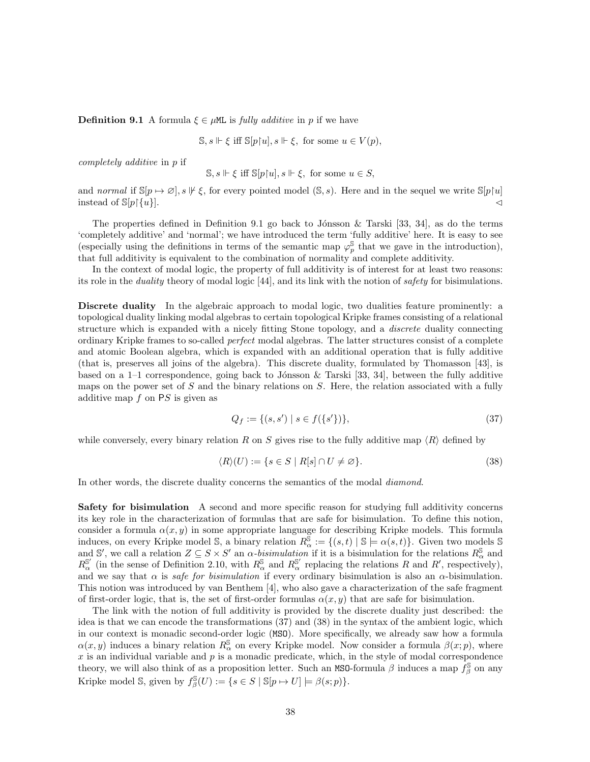**Definition 9.1** A formula  $\xi \in \mu M$  is *fully additive* in p if we have

$$
\mathbb{S}, s \Vdash \xi \text{ iff } \mathbb{S}[p\upharpoonright u], s \Vdash \xi, \text{ for some } u \in V(p),
$$

completely additive in p if

 $\mathbb{S}, s \Vdash \xi$  iff  $\mathbb{S}[p\upharpoonright u], s \Vdash \xi$ , for some  $u \in S$ ,

and normal if  $\mathbb{S}[p \mapsto \emptyset], s \not\models \xi$ , for every pointed model  $(\mathbb{S}, s)$ . Here and in the sequel we write  $\mathbb{S}[p \upharpoonright u]$ instead of  $\mathbb{S}[p]{u}$ .  $\triangleleft$ 

The properties defined in Definition 9.1 go back to Jónsson & Tarski [33, 34], as do the terms 'completely additive' and 'normal'; we have introduced the term 'fully additive' here. It is easy to see (especially using the definitions in terms of the semantic map  $\varphi_p^{\mathbb{S}}$  that we gave in the introduction), that full additivity is equivalent to the combination of normality and complete additivity.

In the context of modal logic, the property of full additivity is of interest for at least two reasons: its role in the duality theory of modal logic [44], and its link with the notion of safety for bisimulations.

Discrete duality In the algebraic approach to modal logic, two dualities feature prominently: a topological duality linking modal algebras to certain topological Kripke frames consisting of a relational structure which is expanded with a nicely fitting Stone topology, and a *discrete* duality connecting ordinary Kripke frames to so-called perfect modal algebras. The latter structures consist of a complete and atomic Boolean algebra, which is expanded with an additional operation that is fully additive (that is, preserves all joins of the algebra). This discrete duality, formulated by Thomasson [43], is based on a  $1-1$  correspondence, going back to Jónsson & Tarski [33, 34], between the fully additive maps on the power set of  $S$  and the binary relations on  $S$ . Here, the relation associated with a fully additive map  $f$  on  $PS$  is given as

$$
Q_f := \{(s, s') \mid s \in f(\{s'\})\},\tag{37}
$$

while conversely, every binary relation R on S gives rise to the fully additive map  $\langle R \rangle$  defined by

$$
\langle R \rangle(U) := \{ s \in S \mid R[s] \cap U \neq \varnothing \}. \tag{38}
$$

In other words, the discrete duality concerns the semantics of the modal diamond.

Safety for bisimulation A second and more specific reason for studying full additivity concerns its key role in the characterization of formulas that are safe for bisimulation. To define this notion, consider a formula  $\alpha(x, y)$  in some appropriate language for describing Kripke models. This formula induces, on every Kripke model S, a binary relation  $R_{\alpha}^{\mathcal{S}} := \{(s,t) \mid \mathcal{S} \models \alpha(s,t)\}\.$  Given two models S and S', we call a relation  $Z \subseteq S \times S'$  an  $\alpha$ -bisimulation if it is a bisimulation for the relations  $R_{\alpha}^{\mathbb{S}}$  and  $R_{\alpha}^{\mathbb{S}'}$  (in the sense of Definition 2.10, with  $R_{\alpha}^{\mathbb{S}}$  and  $R_{\alpha}^{\mathbb{S}'}$  replacing the relations R and R', respectively), and we say that  $\alpha$  is safe for bisimulation if every ordinary bisimulation is also an  $\alpha$ -bisimulation. This notion was introduced by van Benthem [4], who also gave a characterization of the safe fragment of first-order logic, that is, the set of first-order formulas  $\alpha(x, y)$  that are safe for bisimulation.

The link with the notion of full additivity is provided by the discrete duality just described: the idea is that we can encode the transformations (37) and (38) in the syntax of the ambient logic, which in our context is monadic second-order logic (MSO). More specifically, we already saw how a formula  $\alpha(x, y)$  induces a binary relation  $R_{\alpha}^{\mathbb{S}}$  on every Kripke model. Now consider a formula  $\beta(x; p)$ , where  $x$  is an individual variable and  $p$  is a monadic predicate, which, in the style of modal correspondence theory, we will also think of as a proposition letter. Such an MSO-formula  $\beta$  induces a map  $\hat{f}^{\mathbb{S}}_{\beta}$  on any Kripke model S, given by  $f^{\mathbb{S}}_{\beta}(U) := \{ s \in S \mid \mathbb{S}[p \mapsto U] \models \beta(s; p) \}.$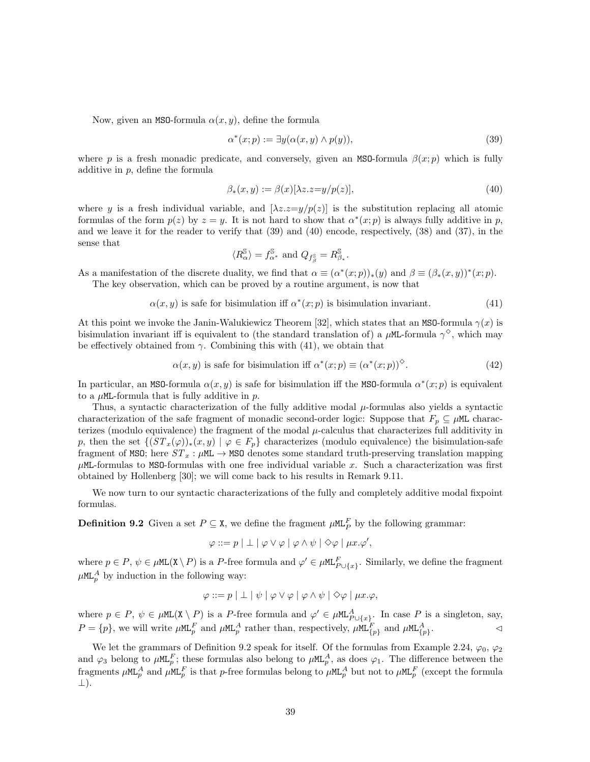Now, given an MSO-formula  $\alpha(x, y)$ , define the formula

$$
\alpha^*(x; p) := \exists y (\alpha(x, y) \land p(y)), \tag{39}
$$

where p is a fresh monadic predicate, and conversely, given an MSO-formula  $\beta(x; p)$  which is fully additive in  $p$ , define the formula

$$
\beta_*(x, y) := \beta(x)[\lambda z. z = y/p(z)],\tag{40}
$$

where y is a fresh individual variable, and  $[\lambda z.z=y/p(z)]$  is the substitution replacing all atomic formulas of the form  $p(z)$  by  $z = y$ . It is not hard to show that  $\alpha^*(x; p)$  is always fully additive in p, and we leave it for the reader to verify that (39) and (40) encode, respectively, (38) and (37), in the sense that

$$
\langle R_\alpha^\mathbb{S}\rangle=f_{\alpha^*}^\mathbb{S}\text{ and }Q_{f_\beta^\mathbb{S}}=R_{\beta_*}^\mathbb{S}.
$$

As a manifestation of the discrete duality, we find that  $\alpha \equiv (\alpha^*(x; p))_*(y)$  and  $\beta \equiv (\beta_*(x, y))^*(x; p)$ . The key observation, which can be proved by a routine argument, is now that

$$
\alpha(x, y) \text{ is safe for bisimulation iff } \alpha^*(x; p) \text{ is bisimulation invariant.} \tag{41}
$$

At this point we invoke the Janin-Walukiewicz Theorem [32], which states that an MSO-formula  $\gamma(x)$  is bisimulation invariant iff is equivalent to (the standard translation of) a  $\mu$ ML-formula  $\gamma^{\diamond}$ , which may be effectively obtained from  $\gamma$ . Combining this with (41), we obtain that

$$
\alpha(x, y) \text{ is safe for bisimulation iff } \alpha^*(x; p) \equiv (\alpha^*(x; p))^\diamond. \tag{42}
$$

In particular, an MSO-formula  $\alpha(x, y)$  is safe for bisimulation iff the MSO-formula  $\alpha^*(x; p)$  is equivalent to a  $\mu$ ML-formula that is fully additive in p.

Thus, a syntactic characterization of the fully additive modal  $\mu$ -formulas also yields a syntactic characterization of the safe fragment of monadic second-order logic: Suppose that  $F_p \subseteq \mu M$  characterizes (modulo equivalence) the fragment of the modal  $\mu$ -calculus that characterizes full additivity in p, then the set  $\{(ST_x(\varphi))_*(x, y) \mid \varphi \in F_p\}$  characterizes (modulo equivalence) the bisimulation-safe fragment of MSO; here  $ST_x$ :  $\mu$ ML  $\rightarrow$  MSO denotes some standard truth-preserving translation mapping  $\mu$ ML-formulas to MSO-formulas with one free individual variable x. Such a characterization was first obtained by Hollenberg [30]; we will come back to his results in Remark 9.11.

We now turn to our syntactic characterizations of the fully and completely additive modal fixpoint formulas.

**Definition 9.2** Given a set  $P \subseteq \mathbf{X}$ , we define the fragment  $\mu M \mathbf{L}_P^F$  by the following grammar:

$$
\varphi ::= p \mid \bot \mid \varphi \vee \varphi \mid \varphi \wedge \psi \mid \Diamond \varphi \mid \mu x. \varphi',
$$

where  $p \in P$ ,  $\psi \in \mu \texttt{ML}(X \setminus P)$  is a P-free formula and  $\varphi' \in \mu \texttt{ML}_{P \cup \{x\}}^F$ . Similarly, we define the fragment  $\mu$ ML<sup>A</sup> by induction in the following way:

$$
\varphi ::= p \mid \bot \mid \psi \mid \varphi \vee \varphi \mid \varphi \wedge \psi \mid \Diamond \varphi \mid \mu x. \varphi,
$$

where  $p \in P$ ,  $\psi \in \mu \text{ML}(X \setminus P)$  is a P-free formula and  $\varphi' \in \mu \text{ML}_{P \cup \{x\}}^A$ . In case P is a singleton, say,  $P = \{p\}$ , we will write  $\mu$ ML<sub>p</sub><sup>F</sup> and  $\mu$ ML<sub>p</sub><sup>A</sup> rather than, respectively,  $\mu$ ML<sub> $\{p\}$ </sub> and  $\mu$ ML<sub> $\{p\}$ </sub>.

We let the grammars of Definition 9.2 speak for itself. Of the formulas from Example 2.24,  $\varphi_0$ ,  $\varphi_2$ and  $\varphi_3$  belong to  $\mu$ ML<sub>p</sub><sup>F</sup>; these formulas also belong to  $\mu$ ML<sub>p</sub><sup>A</sup>, as does  $\varphi_1$ . The difference between the fragments  $\mu$ ML<sub>p</sub><sup>A</sup> and  $\mu$ ML<sub>p</sub><sup>F</sup> is that p-free formulas belong to  $\mu$ ML<sub>p</sub><sup>A</sup> but not to  $\mu$ ML<sub>p</sub><sup>F</sup> (except the formula ⊥).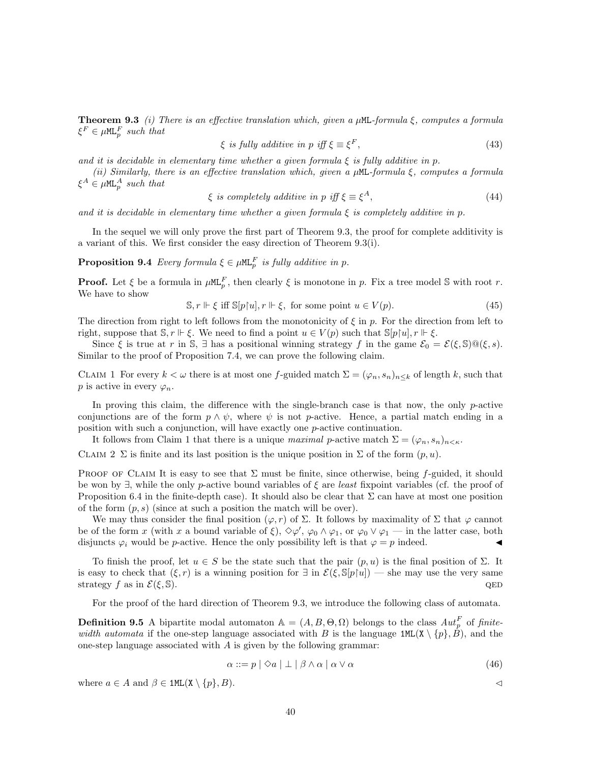**Theorem 9.3** (i) There is an effective translation which, given a  $\mu$ ML-formula  $\xi$ , computes a formula  $\xi^F \in \mu \mathsf{ML}_p^F$  such that

$$
\xi \text{ is fully additive in } p \text{ iff } \xi \equiv \xi^F,\tag{43}
$$

and it is decidable in elementary time whether a given formula  $\xi$  is fully additive in p.

(ii) Similarly, there is an effective translation which, given a  $\mu$ ML-formula  $\xi$ , computes a formula  $\xi^A \in \mu \mathsf{ML}_p^A$  such that

$$
\xi \text{ is completely additive in } p \text{ iff } \xi \equiv \xi^A,\tag{44}
$$

and it is decidable in elementary time whether a given formula  $\xi$  is completely additive in p.

In the sequel we will only prove the first part of Theorem 9.3, the proof for complete additivity is a variant of this. We first consider the easy direction of Theorem 9.3(i).

**Proposition 9.4** Every formula  $\xi \in \mu \mathbb{m}$ <sub>p</sub> is fully additive in p.

**Proof.** Let  $\xi$  be a formula in  $\mu M_{p}^{F}$ , then clearly  $\xi$  is monotone in p. Fix a tree model S with root r. We have to show

$$
\mathbb{S}, r \Vdash \xi \text{ iff } \mathbb{S}[p[u], r \Vdash \xi, \text{ for some point } u \in V(p). \tag{45}
$$

The direction from right to left follows from the monotonicity of  $\xi$  in p. For the direction from left to right, suppose that  $\mathbb{S}, r \Vdash \xi$ . We need to find a point  $u \in V(p)$  such that  $\mathbb{S}[p[u], r \Vdash \xi$ .

Since  $\xi$  is true at r in S,  $\exists$  has a positional winning strategy f in the game  $\mathcal{E}_0 = \mathcal{E}(\xi, \mathbb{S}) \mathbb{Q}(\xi, s)$ . Similar to the proof of Proposition 7.4, we can prove the following claim.

CLAIM 1 For every  $k < \omega$  there is at most one f-guided match  $\Sigma = (\varphi_n, s_n)_{n \leq k}$  of length k, such that p is active in every  $\varphi_n$ .

In proving this claim, the difference with the single-branch case is that now, the only  $p$ -active conjunctions are of the form  $p \wedge \psi$ , where  $\psi$  is not p-active. Hence, a partial match ending in a position with such a conjunction, will have exactly one p-active continuation.

It follows from Claim 1 that there is a unique maximal p-active match  $\Sigma = (\varphi_n, s_n)_{n \leq \kappa}$ .

CLAIM 2 Σ is finite and its last position is the unique position in  $\Sigma$  of the form  $(p, u)$ .

PROOF OF CLAIM It is easy to see that  $\Sigma$  must be finite, since otherwise, being f-guided, it should be won by  $\exists$ , while the only p-active bound variables of  $\xi$  are least fixpoint variables (cf. the proof of Proposition 6.4 in the finite-depth case). It should also be clear that  $\Sigma$  can have at most one position of the form  $(p, s)$  (since at such a position the match will be over).

We may thus consider the final position  $(\varphi, r)$  of  $\Sigma$ . It follows by maximality of  $\Sigma$  that  $\varphi$  cannot be of the form x (with x a bound variable of  $\xi$ ),  $\diamond \varphi'$ ,  $\varphi_0 \wedge \varphi_1$ , or  $\varphi_0 \vee \varphi_1$  — in the latter case, both disjuncts  $\varphi_i$  would be p-active. Hence the only possibility left is that  $\varphi = p$  indeed.

To finish the proof, let  $u \in S$  be the state such that the pair  $(p, u)$  is the final position of  $\Sigma$ . It is easy to check that  $(\xi, r)$  is a winning position for  $\exists$  in  $\mathcal{E}(\xi, \mathbb{S}[p|u])$  — she may use the very same strategy f as in  $\mathcal{E}(\xi, \mathbb{S})$ .

For the proof of the hard direction of Theorem 9.3, we introduce the following class of automata.

**Definition 9.5** A bipartite modal automaton  $\mathbb{A} = (A, B, \Theta, \Omega)$  belongs to the class  $Aut_p^F$  of finitewidth automata if the one-step language associated with B is the language  $1ML(X \setminus \{p\}, \hat{B})$ , and the one-step language associated with  $A$  is given by the following grammar:

$$
\alpha ::= p \mid \Diamond a \mid \bot \mid \beta \land \alpha \mid \alpha \lor \alpha \tag{46}
$$

where  $a \in A$  and  $\beta \in \text{1ML}(X \setminus \{p\}, B)$ .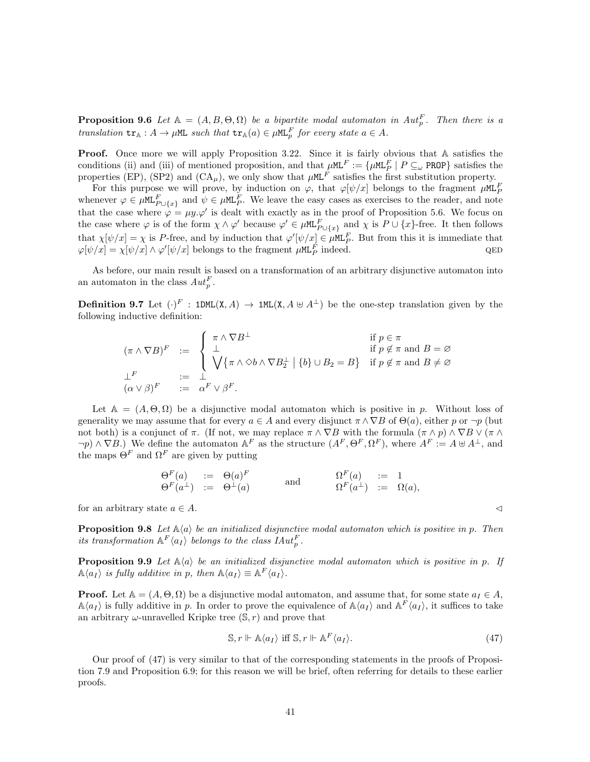**Proposition 9.6** Let  $A = (A, B, \Theta, \Omega)$  be a bipartite modal automaton in  $Aut_p^F$ . Then there is a translation  $tr_{\mathbb{A}} : A \to \mu \mathbb{M}$  such that  $tr_{\mathbb{A}}(a) \in \mu \mathbb{M}$  for every state  $a \in A$ .

Proof. Once more we will apply Proposition 3.22. Since it is fairly obvious that A satisfies the conditions (ii) and (iii) of mentioned proposition, and that  $\mu$ ML<sup>F</sup> := { $\mu$ ML<sup>F</sup> | P  $\subseteq_{\omega}$  PROP} satisfies the properties (EP), (SP2) and  $(CA_\mu)$ , we only show that  $\mu$ ML<sup>F</sup> satisfies the first substitution property.

For this purpose we will prove, by induction on  $\varphi$ , that  $\varphi[\psi/x]$  belongs to the fragment  $\mu M L_F^F$ whenever  $\varphi \in \mu \text{ML}_{P\cup\{x\}}^F$  and  $\psi \in \mu \text{ML}_P^F$ . We leave the easy cases as exercises to the reader, and note that the case where  $\varphi = \mu y.\varphi'$  is dealt with exactly as in the proof of Proposition 5.6. We focus on the case where  $\varphi$  is of the form  $\chi \wedge \varphi'$  because  $\varphi' \in \mu \mathbb{M}^F_{P \cup \{x\}}$  and  $\chi$  is  $P \cup \{x\}$ -free. It then follows that  $\chi[\psi/x] = \chi$  is P-free, and by induction that  $\varphi'[\psi/x] \in \mu \mathcal{ML}_P^F$ . But from this it is immediate that  $\varphi[\psi/x] = \chi[\psi/x] \wedge \varphi'[\psi/x]$  belongs to the fragment  $\mu$ ML<sup>F</sup><sub>p</sub> indeed. QED

As before, our main result is based on a transformation of an arbitrary disjunctive automaton into an automaton in the class  $Aut_p^F$ .

**Definition 9.7** Let  $(\cdot)^F$ : 1DML(X, A)  $\rightarrow$  1ML(X, A  $\uplus$  A<sup>⊥</sup>) be the one-step translation given by the following inductive definition:

$$
(\pi \wedge \nabla B)^F := \begin{cases} \pi \wedge \nabla B^{\perp} & \text{if } p \in \pi \\ \perp & \text{if } p \notin \pi \text{ and } B = \varnothing \\ \sqrt{\{\pi \wedge \varphi \wedge \nabla B_2^{\perp} \mid \{b\} \cup B_2 = B\}} & \text{if } p \notin \pi \text{ and } B \neq \varnothing \\ \perp^F & := \perp \\ (\alpha \vee \beta)^F & := \alpha^F \vee \beta^F. \end{cases}
$$

Let  $A = (A, \Theta, \Omega)$  be a disjunctive modal automaton which is positive in p. Without loss of generality we may assume that for every  $a \in A$  and every disjunct  $\pi \wedge \nabla B$  of  $\Theta(a)$ , either p or  $\neg p$  (but not both) is a conjunct of  $\pi$ . (If not, we may replace  $\pi \wedge \nabla B$  with the formula  $(\pi \wedge p) \wedge \nabla B \vee (\pi \wedge p)$  $\neg p) \wedge \nabla B$ .) We define the automaton  $A^F$  as the structure  $(A^F, \Theta^F, \Omega^F)$ , where  $A^F := A \oplus A^{\perp}$ , and the maps  $\Theta^F$  and  $\Omega^F$  are given by putting

$$
\begin{array}{rcl}\n\Theta^F(a) & := & \Theta(a)^F \\
\Theta^F(a^{\perp}) & := & \Theta^{\perp}(a)\n\end{array}\n\qquad \text{and} \qquad\n\begin{array}{rcl}\n\Omega^F(a) & := & 1 \\
\Omega^F(a^{\perp}) & := & \Omega(a),\n\end{array}
$$

for an arbitrary state  $a \in A$ .

**Proposition 9.8** Let  $\mathbb{A}\langle a \rangle$  be an initialized disjunctive modal automaton which is positive in p. Then its transformation  $\mathbb{A}^F \langle a_I \rangle$  belongs to the class  $IAut_p^F$ .

**Proposition 9.9** Let  $\mathbb{A}\langle a \rangle$  be an initialized disjunctive modal automaton which is positive in p. If  $\mathbb{A}\langle a_I \rangle$  is fully additive in p, then  $\mathbb{A}\langle a_I \rangle \equiv \mathbb{A}^F \langle a_I \rangle$ .

**Proof.** Let  $A = (A, \Theta, \Omega)$  be a disjunctive modal automaton, and assume that, for some state  $a_I \in A$ ,  $\mathbb{A}\langle a_I \rangle$  is fully additive in p. In order to prove the equivalence of  $\mathbb{A}\langle a_I \rangle$  and  $\mathbb{A}^F\langle a_I \rangle$ , it suffices to take an arbitrary  $\omega$ -unravelled Kripke tree  $(\mathbb{S}, r)$  and prove that

$$
\mathbb{S}, r \Vdash \mathbb{A}\langle a_I \rangle \text{ iff } \mathbb{S}, r \Vdash \mathbb{A}^F \langle a_I \rangle. \tag{47}
$$

Our proof of (47) is very similar to that of the corresponding statements in the proofs of Proposition 7.9 and Proposition 6.9; for this reason we will be brief, often referring for details to these earlier proofs.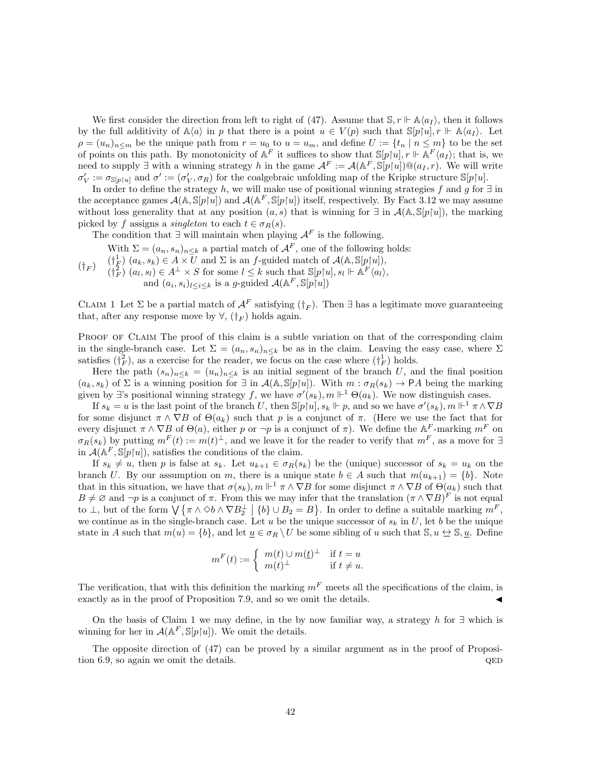We first consider the direction from left to right of (47). Assume that  $\mathcal{S}, r \Vdash \mathbb{A}\langle a_I \rangle$ , then it follows by the full additivity of  $\mathbb{A}\langle a \rangle$  in p that there is a point  $u \in V(p)$  such that  $\mathbb{S}[p|u], r \Vdash \mathbb{A}\langle a_l \rangle$ . Let  $\rho = (u_n)_{n \leq m}$  be the unique path from  $r = u_0$  to  $u = u_m$ , and define  $U := \{t_n | n \leq m\}$  to be the set of points on this path. By monotonicity of  $A^F$  it suffices to show that  $\mathbb{S}[p\restriction u], r \Vdash A^F\langle a_I \rangle$ ; that is, we need to supply  $\exists$  with a winning strategy h in the game  $\mathcal{A}^F := \mathcal{A}(\mathbb{A}^F, \mathbb{S}[p|u]) \mathbb{Q}(a_I, r)$ . We will write  $\sigma'_V := \sigma_{\mathbb{S}[p\restriction u]}$  and  $\sigma' := (\sigma'_V, \sigma_R)$  for the coalgebraic unfolding map of the Kripke structure  $\mathbb{S}[p\restriction u]$ .

In order to define the strategy h, we will make use of positional winning strategies f and g for  $\exists$  in the acceptance games  $\mathcal{A}(\mathbb{A}, \mathbb{S}[p|u])$  and  $\mathcal{A}(\mathbb{A}^F, \mathbb{S}[p|u])$  itself, respectively. By Fact 3.12 we may assume without loss generality that at any position  $(a, s)$  that is winning for  $\exists$  in  $\mathcal{A}(\mathbb{A}, \mathbb{S}[p|u])$ , the marking picked by f assigns a *singleton* to each  $t \in \sigma_R(s)$ .

The condition that  $\exists$  will maintain when playing  $\mathcal{A}^F$  is the following.

 $(\dagger_F)$ With  $\Sigma = (a_n, s_n)_{n \leq k}$  a partial match of  $\mathcal{A}^F$ , one of the following holds:  $(\dagger_F^1)(a_k, s_k) \in A \times \overline{U}$  and  $\Sigma$  is an f-guided match of  $\mathcal{A}(\mathbb{A}, \mathbb{S}[p[u]),$  $(\dagger_F^2)(a_l, s_l) \in A^{\perp} \times S$  for some  $l \leq k$  such that  $\mathbb{S}[p \upharpoonright u], s_l \Vdash \mathbb{A}^F \langle a_l \rangle$ , and  $(a_i, s_i)_{l \leq i \leq k}$  is a g-guided  $\mathcal{A}(\mathbb{A}^F, \mathbb{S}[p[n])$ 

CLAIM 1 Let  $\Sigma$  be a partial match of  $\mathcal{A}^F$  satisfying  $(\dagger_F)$ . Then  $\exists$  has a legitimate move guaranteeing that, after any response move by  $\forall$ ,  $(\dagger_F)$  holds again.

PROOF OF CLAIM The proof of this claim is a subtle variation on that of the corresponding claim in the single-branch case. Let  $\Sigma = (a_n, s_n)_{n \leq k}$  be as in the claim. Leaving the easy case, where  $\Sigma$ satisfies  $(\dagger_F^2)$ , as a exercise for the reader, we focus on the case where  $(\dagger_F^1)$  holds.

Here the path  $(s_n)_{n\leq k} = (u_n)_{n\leq k}$  is an initial segment of the branch U, and the final position  $(a_k, s_k)$  of  $\Sigma$  is a winning position for  $\exists$  in  $\mathcal{A}(\mathbb{A}, \mathbb{S}[p|u])$ . With  $m : \sigma_R(s_k) \to PA$  being the marking given by ∃'s positional winning strategy f, we have  $\sigma'(s_k)$ ,  $m \Vdash^1 \Theta(a_k)$ . We now distinguish cases.

If  $s_k = u$  is the last point of the branch U, then  $\mathbb{S}[p[u], s_k \Vdash p$ , and so we have  $\sigma'(s_k)$ ,  $m \Vdash^1 \pi \wedge \nabla B$ for some disjunct  $\pi \wedge \nabla B$  of  $\Theta(a_k)$  such that p is a conjunct of  $\pi$ . (Here we use the fact that for every disjunct  $\pi \wedge \nabla B$  of  $\Theta(a)$ , either p or  $\neg p$  is a conjunct of  $\pi$ ). We define the A<sup>F</sup>-marking  $m^F$  on  $\sigma_R(s_k)$  by putting  $m^F(t) := m(t)^{\perp}$ , and we leave it for the reader to verify that  $m^F$ , as a move for  $\exists$ in  $\mathcal{A}(\mathbb{A}^F,\mathbb{S}[p|u]),$  satisfies the conditions of the claim.

If  $s_k \neq u$ , then p is false at  $s_k$ . Let  $u_{k+1} \in \sigma_R(s_k)$  be the (unique) successor of  $s_k = u_k$  on the branch U. By our assumption on m, there is a unique state  $b \in A$  such that  $m(u_{k+1}) = \{b\}$ . Note that in this situation, we have that  $\sigma(s_k)$ ,  $m \Vdash^1 \pi \wedge \nabla B$  for some disjunct  $\pi \wedge \nabla B$  of  $\Theta(a_k)$  such that  $B \neq \emptyset$  and  $\neg p$  is a conjunct of  $\pi$ . From this we may infer that the translation  $(\pi \wedge \nabla B)^F$  is not equal to  $\perp$ , but of the form  $\bigvee \{\pi \wedge \Diamond b \wedge \nabla B_2^{\perp} \mid \{b\} \cup B_2 = B\}$ . In order to define a suitable marking  $m^F$ , we continue as in the single-branch case. Let  $u$  be the unique successor of  $s_k$  in  $U$ , let  $b$  be the unique state in A such that  $m(u) = \{b\}$ , and let  $u \in \sigma_R \setminus U$  be some sibling of u such that  $\mathbb{S}, u \leq \mathbb{S}, u$ . Define

$$
m^{F}(t) := \begin{cases} m(t) \cup m(\underline{t})^{\perp} & \text{if } t = u \\ m(t)^{\perp} & \text{if } t \neq u. \end{cases}
$$

The verification, that with this definition the marking  $m<sup>F</sup>$  meets all the specifications of the claim, is exactly as in the proof of Proposition 7.9, and so we omit the details.

On the basis of Claim 1 we may define, in the by now familiar way, a strategy h for  $\exists$  which is winning for her in  $\mathcal{A}(\mathbb{A}^F, \mathbb{S}[p\restriction u])$ . We omit the details.

The opposite direction of (47) can be proved by a similar argument as in the proof of Proposition 6.9, so again we omit the details.  $QED$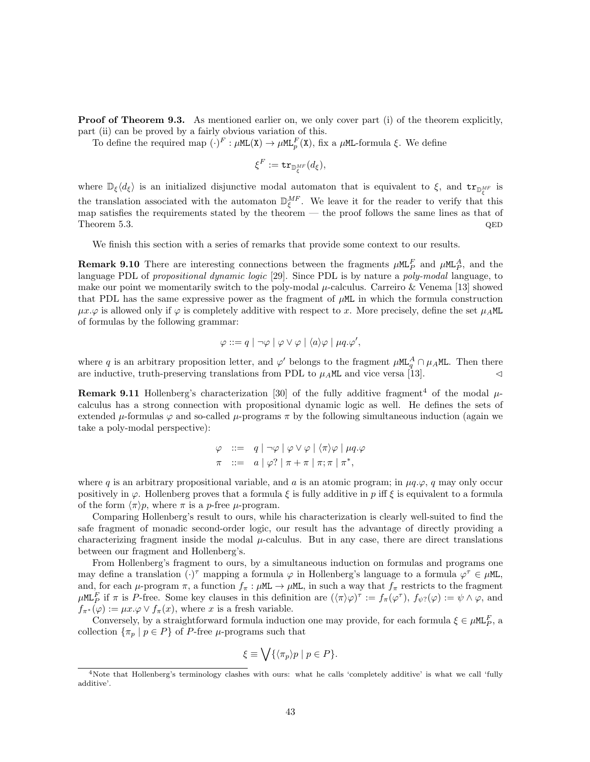**Proof of Theorem 9.3.** As mentioned earlier on, we only cover part (i) of the theorem explicitly, part (ii) can be proved by a fairly obvious variation of this.

To define the required map  $(\cdot)^F : \mu M L(X) \to \mu M L^F_p(X)$ , fix a  $\mu M L$ -formula  $\xi$ . We define

$$
\xi^F:={\rm tr}_{{\mathbb D}^{MF}_\xi}(d_\xi),
$$

where  $\mathbb{D}_{\xi}\langle d_{\xi}\rangle$  is an initialized disjunctive modal automaton that is equivalent to  $\xi$ , and  $tr_{\mathbb{D}_{\xi}^{MF}}$  is the translation associated with the automaton  $\mathbb{D}_{\xi}^{MF}$ . We leave it for the reader to verify that this map satisfies the requirements stated by the theorem — the proof follows the same lines as that of  $Theorem 5.3. QED$ 

We finish this section with a series of remarks that provide some context to our results.

**Remark 9.10** There are interesting connections between the fragments  $\mu M L_P^F$  and  $\mu M L_P^A$ , and the language PDL of propositional dynamic logic [29]. Since PDL is by nature a poly-modal language, to make our point we momentarily switch to the poly-modal  $\mu$ -calculus. Carreiro & Venema [13] showed that PDL has the same expressive power as the fragment of  $\mu$ ML in which the formula construction  $\mu x.\varphi$  is allowed only if  $\varphi$  is completely additive with respect to x. More precisely, define the set  $\mu_A M L$ of formulas by the following grammar:

$$
\varphi ::= q \mid \neg \varphi \mid \varphi \vee \varphi \mid \langle a \rangle \varphi \mid \mu q.\varphi',
$$

where q is an arbitrary proposition letter, and  $\varphi'$  belongs to the fragment  $\mu M L_q^A \cap \mu_A M L$ . Then there are inductive, truth-preserving translations from PDL to  $\mu_A M$  and vice versa [13].

**Remark 9.11** Hollenberg's characterization [30] of the fully additive fragment<sup>4</sup> of the modal  $\mu$ calculus has a strong connection with propositional dynamic logic as well. He defines the sets of extended  $\mu$ -formulas  $\varphi$  and so-called  $\mu$ -programs  $\pi$  by the following simultaneous induction (again we take a poly-modal perspective):

$$
\varphi \quad ::= \quad q \mid \neg \varphi \mid \varphi \lor \varphi \mid \langle \pi \rangle \varphi \mid \mu q. \varphi
$$
\n
$$
\pi \quad ::= \quad a \mid \varphi? \mid \pi + \pi \mid \pi; \pi \mid \pi^*,
$$

where q is an arbitrary propositional variable, and a is an atomic program; in  $\mu q.\varphi$ , q may only occur positively in  $\varphi$ . Hollenberg proves that a formula  $\xi$  is fully additive in p iff  $\xi$  is equivalent to a formula of the form  $\langle \pi \rangle p$ , where  $\pi$  is a p-free  $\mu$ -program.

Comparing Hollenberg's result to ours, while his characterization is clearly well-suited to find the safe fragment of monadic second-order logic, our result has the advantage of directly providing a characterizing fragment inside the modal  $\mu$ -calculus. But in any case, there are direct translations between our fragment and Hollenberg's.

From Hollenberg's fragment to ours, by a simultaneous induction on formulas and programs one may define a translation  $(\cdot)^{\tau}$  mapping a formula  $\varphi$  in Hollenberg's language to a formula  $\varphi^{\tau} \in \mu M L$ , and, for each  $\mu$ -program  $\pi$ , a function  $f_{\pi}$ :  $\mu$ ML  $\rightarrow \mu$ ML, in such a way that  $f_{\pi}$  restricts to the fragment  $\mu$ ML<sup>F</sup> if  $\pi$  is P-free. Some key clauses in this definition are  $({\langle \pi \rangle \varphi})^{\tau} := f_{\pi}(\varphi^{\tau}), f_{\psi^2}(\varphi) := \psi \wedge \varphi$ , and  $f_{\pi^*}(\varphi) := \mu x \cdot \varphi \vee f_{\pi}(x)$ , where x is a fresh variable.

Conversely, by a straightforward formula induction one may provide, for each formula  $\xi \in \mu M L_P^F$ , a collection  $\{\pi_p \mid p \in P\}$  of P-free  $\mu$ -programs such that

$$
\xi \equiv \bigvee \{ \langle \pi_p \rangle p \mid p \in P \}.
$$

<sup>&</sup>lt;sup>4</sup>Note that Hollenberg's terminology clashes with ours: what he calls 'completely additive' is what we call 'fully additive'.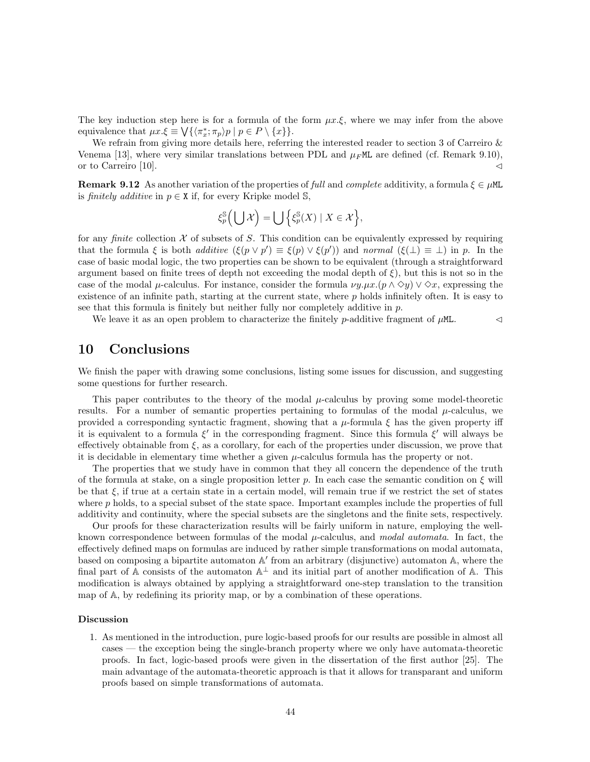The key induction step here is for a formula of the form  $\mu x.\xi$ , where we may infer from the above equivalence that  $\mu x.\xi \equiv \bigvee \{ \langle \pi_x^*; \pi_p \rangle p \mid p \in P \setminus \{x\} \}.$ 

We refrain from giving more details here, referring the interested reader to section 3 of Carreiro & Venema [13], where very similar translations between PDL and  $\mu_F$ ML are defined (cf. Remark 9.10), or to Carreiro [10].  $\triangleleft$ 

**Remark 9.12** As another variation of the properties of full and complete additivity, a formula  $\xi \in \mu M L$ is finitely additive in  $p \in X$  if, for every Kripke model S,

$$
\xi_p^{\mathbb{S}}\left(\bigcup \mathcal{X}\right) = \bigcup \left\{\xi_p^{\mathbb{S}}(X) \mid X \in \mathcal{X}\right\},\
$$

for any *finite* collection  $X$  of subsets of S. This condition can be equivalently expressed by requiring that the formula  $\xi$  is both *additive*  $(\xi(p \lor p') \equiv \xi(p) \lor \xi(p'))$  and *normal*  $(\xi(\bot) \equiv \bot)$  in p. In the case of basic modal logic, the two properties can be shown to be equivalent (through a straightforward argument based on finite trees of depth not exceeding the modal depth of  $\xi$ ), but this is not so in the case of the modal  $\mu$ -calculus. For instance, consider the formula  $\nu y.\mu x.(\rho \wedge \Diamond y) \vee \Diamond x$ , expressing the existence of an infinite path, starting at the current state, where  $p$  holds infinitely often. It is easy to see that this formula is finitely but neither fully nor completely additive in  $p$ .

We leave it as an open problem to characterize the finitely p-additive fragment of  $\mu$ ML.  $\lnot$ 

# 10 Conclusions

We finish the paper with drawing some conclusions, listing some issues for discussion, and suggesting some questions for further research.

This paper contributes to the theory of the modal  $\mu$ -calculus by proving some model-theoretic results. For a number of semantic properties pertaining to formulas of the modal  $\mu$ -calculus, we provided a corresponding syntactic fragment, showing that a  $\mu$ -formula  $\xi$  has the given property iff it is equivalent to a formula  $\xi'$  in the corresponding fragment. Since this formula  $\xi'$  will always be effectively obtainable from  $\xi$ , as a corollary, for each of the properties under discussion, we prove that it is decidable in elementary time whether a given  $\mu$ -calculus formula has the property or not.

The properties that we study have in common that they all concern the dependence of the truth of the formula at stake, on a single proposition letter p. In each case the semantic condition on  $\xi$  will be that  $\xi$ , if true at a certain state in a certain model, will remain true if we restrict the set of states where  $p$  holds, to a special subset of the state space. Important examples include the properties of full additivity and continuity, where the special subsets are the singletons and the finite sets, respectively.

Our proofs for these characterization results will be fairly uniform in nature, employing the wellknown correspondence between formulas of the modal  $\mu$ -calculus, and modal automata. In fact, the effectively defined maps on formulas are induced by rather simple transformations on modal automata, based on composing a bipartite automaton A' from an arbitrary (disjunctive) automaton A, where the final part of A consists of the automaton  $A^{\perp}$  and its initial part of another modification of A. This modification is always obtained by applying a straightforward one-step translation to the transition map of A, by redefining its priority map, or by a combination of these operations.

#### Discussion

1. As mentioned in the introduction, pure logic-based proofs for our results are possible in almost all cases — the exception being the single-branch property where we only have automata-theoretic proofs. In fact, logic-based proofs were given in the dissertation of the first author [25]. The main advantage of the automata-theoretic approach is that it allows for transparant and uniform proofs based on simple transformations of automata.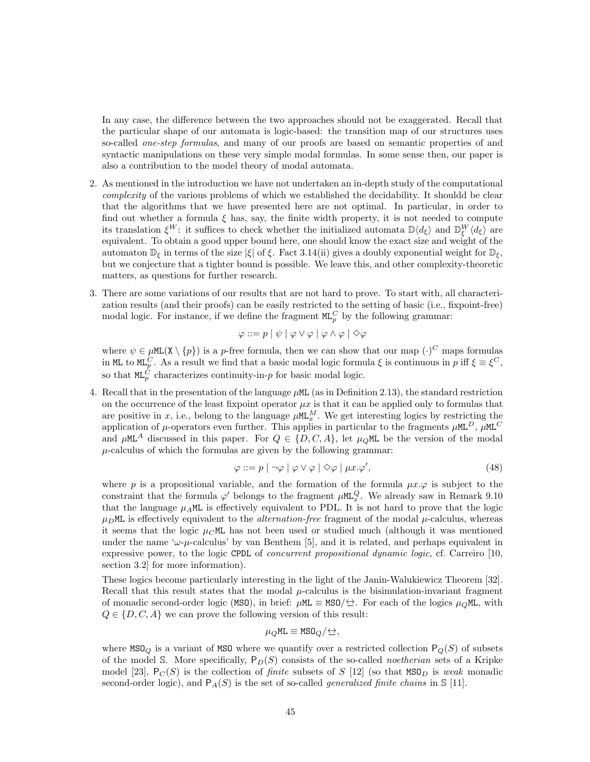In any case, the difference between the two approaches should not be exaggerated. Recall that the particular shape of our automata is logic-based: the transition map of our structures uses so-called *one-step formulas*, and many of our proofs are based on semantic properties of and syntactic manipulations on these very simple modal formulas. In some sense then, our paper is also a contribution to the model theory of modal automata.

- 2. As mentioned in the introduction we have not undertaken an in-depth study of the computational complexity of the various problems of which we established the decidability. It shouldd be clear that the algorithms that we have presented here are not optimal. In particular, in order to find out whether a formula  $\xi$  has, say, the finite width property, it is not needed to compute its translation  $\xi^W$ : it suffices to check whether the initialized automata  $\mathbb{D}\langle d_{\xi}\rangle$  and  $\mathbb{D}_{\xi}^W\langle d_{\xi}\rangle$  are equivalent. To obtain a good upper bound here, one should know the exact size and weight of the equivalent. automaton  $\mathbb{D}_{\xi}$  in terms of the size  $|\xi|$  of  $\xi$ . Fact 3.14(ii) gives a doubly exponential weight for  $\mathbb{D}_{\xi}$ , but we conjecture that a tighter bound is possible. We leave this, and other complexity-theoretic matters, as questions for further research.
- 3. There are some variations of our results that are not hard to prove. To start with, all characterization results (and their proofs) can be easily restricted to the setting of basic (i.e., fixpoint-free) modal logic. For instance, if we define the fragment  $ML_p^C$  by the following grammar:

$$
\varphi ::= p \mid \psi \mid \varphi \vee \varphi \mid \varphi \wedge \varphi \mid \Diamond \varphi
$$

where  $\psi \in \mu M L(X \setminus \{p\})$  is a p-free formula, then we can show that our map  $(\cdot)^C$  maps formulas in ML to ML<sup>C</sup>. As a result we find that a basic modal logic formula  $\xi$  is continuous in p iff  $\xi \equiv \xi^C$ , so that  $ML_p^C$  characterizes continuity-in-p for basic modal logic.

4. Recall that in the presentation of the language µML (as in Definition 2.13), the standard restriction on the occurrence of the least fixpoint operator  $\mu x$  is that it can be applied only to formulas that are positive in x, i.e., belong to the language  $\mu M L_x^M$ . We get interesting logics by restricting the application of  $\mu$ -operators even further. This applies in particular to the fragments  $\mu M L^D$ ,  $\mu M L^C$ and  $\mu$ ML<sup>A</sup> discussed in this paper. For  $Q \in \{D, C, A\}$ , let  $\mu_Q$ ML be the version of the modal  $\mu$ -calculus of which the formulas are given by the following grammar:

$$
\varphi ::= p \mid \neg \varphi \mid \varphi \lor \varphi \mid \Diamond \varphi \mid \mu x. \varphi', \tag{48}
$$

where p is a propositional variable, and the formation of the formula  $\mu x.\varphi$  is subject to the constraint that the formula  $\varphi'$  belongs to the fragment  $\mu M L_x^Q$ . We already saw in Remark 9.10 that the language  $\mu_A M L$  is effectively equivalent to PDL. It is not hard to prove that the logic  $\mu_D$ ML is effectively equivalent to the *alternation-free* fragment of the modal  $\mu$ -calculus, whereas it seems that the logic  $\mu_C M$  has not been used or studied much (although it was mentioned under the name ' $\omega$ -µ-calculus' by van Benthem [5], and it is related, and perhaps equivalent in expressive power, to the logic CPDL of *concurrent propositional dynamic logic*, cf. Carreiro [10, section 3.2] for more information).

These logics become particularly interesting in the light of the Janin-Walukiewicz Theorem [32]. Recall that this result states that the modal  $\mu$ -calculus is the bisimulation-invariant fragment of monadic second-order logic (MSO), in brief:  $\mu$ ML  $\equiv$  MSO/ $\leftrightarrow$ . For each of the logics  $\mu_Q$ ML, with  $Q \in \{D, C, A\}$  we can prove the following version of this result:

$$
\mu_Q \text{ML} \equiv \text{MSO}_Q/\bigtriangleup,
$$

where  $MSO_Q$  is a variant of MSO where we quantify over a restricted collection  $P_Q(S)$  of subsets of the model S. More specifically,  $P_D(S)$  consists of the so-called *noetherian* sets of a Kripke model [23],  $P_C(S)$  is the collection of *finite* subsets of S [12] (so that  $MSO_D$  is weak monadic second-order logic), and  $P_A(S)$  is the set of so-called *generalized finite chains* in S [11].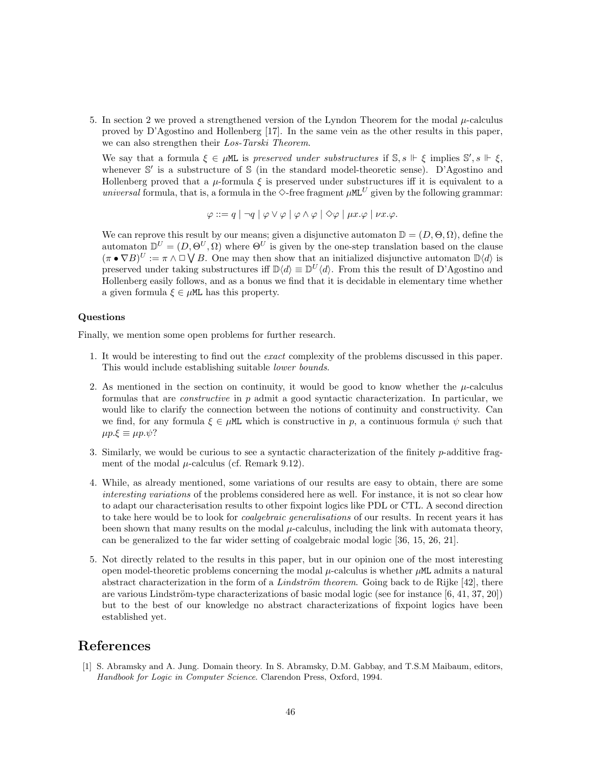5. In section 2 we proved a strengthened version of the Lyndon Theorem for the modal  $\mu$ -calculus proved by D'Agostino and Hollenberg [17]. In the same vein as the other results in this paper, we can also strengthen their Los-Tarski Theorem.

We say that a formula  $\xi \in \mu M$  is preserved under substructures if  $\mathbb{S}, s \Vdash \xi$  implies  $\mathbb{S}', s \Vdash \xi$ , whenever S' is a substructure of S (in the standard model-theoretic sense). D'Agostino and Hollenberg proved that a  $\mu$ -formula  $\xi$  is preserved under substructures iff it is equivalent to a universal formula, that is, a formula in the  $\Diamond$ -free fragment  $\mu$ ML<sup>U</sup> given by the following grammar:

$$
\varphi ::= q \mid \neg q \mid \varphi \vee \varphi \mid \varphi \wedge \varphi \mid \Diamond \varphi \mid \mu x. \varphi \mid \nu x. \varphi.
$$

We can reprove this result by our means; given a disjunctive automaton  $\mathbb{D} = (D, \Theta, \Omega)$ , define the automaton  $\mathbb{D}^U = (D, \Theta^U, \Omega)$  where  $\Theta^U$  is given by the one-step translation based on the clause  $(\pi \bullet \nabla B)^U := \pi \wedge \Box \bigvee B$ . One may then show that an initialized disjunctive automaton  $\Box \langle d \rangle$  is preserved under taking substructures iff  $\mathbb{D}\langle d \rangle \equiv \mathbb{D}^U \langle d \rangle$ . From this the result of D'Agostino and Hollenberg easily follows, and as a bonus we find that it is decidable in elementary time whether a given formula  $\xi \in \mu M$ . has this property.

#### Questions

Finally, we mention some open problems for further research.

- 1. It would be interesting to find out the exact complexity of the problems discussed in this paper. This would include establishing suitable lower bounds.
- 2. As mentioned in the section on continuity, it would be good to know whether the  $\mu$ -calculus formulas that are *constructive* in  $p$  admit a good syntactic characterization. In particular, we would like to clarify the connection between the notions of continuity and constructivity. Can we find, for any formula  $\xi \in \mu M L$  which is constructive in p, a continuous formula  $\psi$  such that  $\mu p.\xi \equiv \mu p.\psi$ ?
- 3. Similarly, we would be curious to see a syntactic characterization of the finitely p-additive fragment of the modal  $\mu$ -calculus (cf. Remark 9.12).
- 4. While, as already mentioned, some variations of our results are easy to obtain, there are some interesting variations of the problems considered here as well. For instance, it is not so clear how to adapt our characterisation results to other fixpoint logics like PDL or CTL. A second direction to take here would be to look for *coalgebraic generalisations* of our results. In recent years it has been shown that many results on the modal  $\mu$ -calculus, including the link with automata theory, can be generalized to the far wider setting of coalgebraic modal logic [36, 15, 26, 21].
- 5. Not directly related to the results in this paper, but in our opinion one of the most interesting open model-theoretic problems concerning the modal  $\mu$ -calculus is whether  $\mu$ ML admits a natural abstract characterization in the form of a Lindström theorem. Going back to de Rijke [42], there are various Lindström-type characterizations of basic modal logic (see for instance  $[6, 41, 37, 20]$ ) but to the best of our knowledge no abstract characterizations of fixpoint logics have been established yet.

# References

[1] S. Abramsky and A. Jung. Domain theory. In S. Abramsky, D.M. Gabbay, and T.S.M Maibaum, editors, Handbook for Logic in Computer Science. Clarendon Press, Oxford, 1994.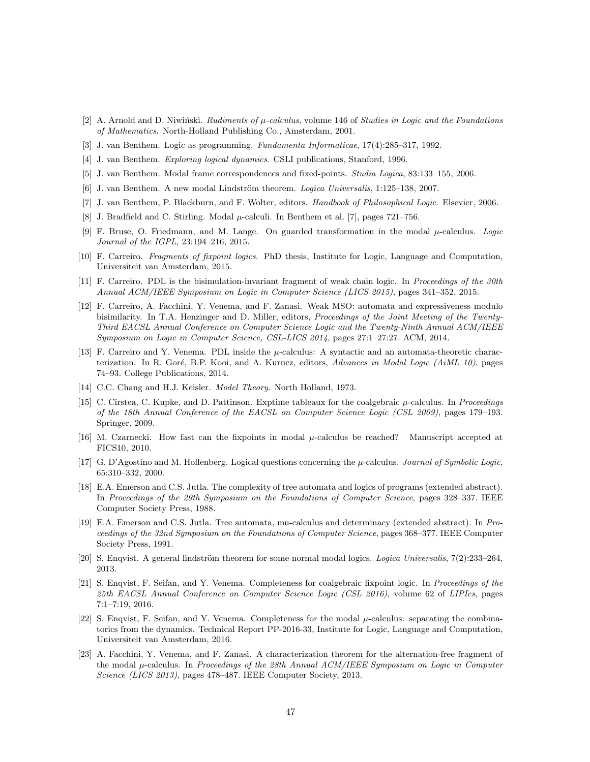- [2] A. Arnold and D. Niwiński. Rudiments of  $\mu$ -calculus, volume 146 of Studies in Logic and the Foundations of Mathematics. North-Holland Publishing Co., Amsterdam, 2001.
- [3] J. van Benthem. Logic as programming. Fundamenta Informaticae, 17(4):285–317, 1992.
- [4] J. van Benthem. Exploring logical dynamics. CSLI publications, Stanford, 1996.
- [5] J. van Benthem. Modal frame correspondences and fixed-points. Studia Logica, 83:133–155, 2006.
- [6] J. van Benthem. A new modal Lindström theorem. *Logica Universalis*, 1:125–138, 2007.
- [7] J. van Benthem, P. Blackburn, and F. Wolter, editors. Handbook of Philosophical Logic. Elsevier, 2006.
- [8] J. Bradfield and C. Stirling. Modal  $\mu$ -calculi. In Benthem et al. [7], pages 721–756.
- [9] F. Bruse, O. Friedmann, and M. Lange. On guarded transformation in the modal  $\mu$ -calculus. Logic Journal of the IGPL, 23:194–216, 2015.
- [10] F. Carreiro. Fragments of fixpoint logics. PhD thesis, Institute for Logic, Language and Computation, Universiteit van Amsterdam, 2015.
- [11] F. Carreiro. PDL is the bisimulation-invariant fragment of weak chain logic. In Proceedings of the 30th Annual ACM/IEEE Symposium on Logic in Computer Science (LICS 2015), pages 341–352, 2015.
- [12] F. Carreiro, A. Facchini, Y. Venema, and F. Zanasi. Weak MSO: automata and expressiveness modulo bisimilarity. In T.A. Henzinger and D. Miller, editors, Proceedings of the Joint Meeting of the Twenty-Third EACSL Annual Conference on Computer Science Logic and the Twenty-Ninth Annual ACM/IEEE Symposium on Logic in Computer Science, CSL-LICS 2014, pages 27:1–27:27. ACM, 2014.
- [13] F. Carreiro and Y. Venema. PDL inside the  $\mu$ -calculus: A syntactic and an automata-theoretic characterization. In R. Goré, B.P. Kooi, and A. Kurucz, editors, Advances in Modal Logic (AiML 10), pages 74–93. College Publications, 2014.
- [14] C.C. Chang and H.J. Keisler. *Model Theory*. North Holland, 1973.
- [15] C. Cîrstea, C. Kupke, and D. Pattinson. Exptime tableaux for the coalgebraic  $\mu$ -calculus. In Proceedings of the 18th Annual Conference of the EACSL on Computer Science Logic (CSL 2009), pages 179–193. Springer, 2009.
- [16] M. Czarnecki. How fast can the fixpoints in modal  $\mu$ -calculus be reached? Manuscript accepted at FICS10, 2010.
- [17] G. D'Agostino and M. Hollenberg. Logical questions concerning the  $\mu$ -calculus. Journal of Symbolic Logic, 65:310–332, 2000.
- [18] E.A. Emerson and C.S. Jutla. The complexity of tree automata and logics of programs (extended abstract). In Proceedings of the 29th Symposium on the Foundations of Computer Science, pages 328–337. IEEE Computer Society Press, 1988.
- [19] E.A. Emerson and C.S. Jutla. Tree automata, mu-calculus and determinacy (extended abstract). In Proceedings of the 32nd Symposium on the Foundations of Computer Science, pages 368–377. IEEE Computer Society Press, 1991.
- [20] S. Enqvist. A general lindström theorem for some normal modal logics. Logica Universalis,  $7(2):233-264$ , 2013.
- [21] S. Enqvist, F. Seifan, and Y. Venema. Completeness for coalgebraic fixpoint logic. In Proceedings of the 25th EACSL Annual Conference on Computer Science Logic (CSL 2016), volume 62 of LIPIcs, pages 7:1–7:19, 2016.
- [22] S. Enqvist, F. Seifan, and Y. Venema. Completeness for the modal  $\mu$ -calculus: separating the combinatorics from the dynamics. Technical Report PP-2016-33, Institute for Logic, Language and Computation, Universiteit van Amsterdam, 2016.
- [23] A. Facchini, Y. Venema, and F. Zanasi. A characterization theorem for the alternation-free fragment of the modal  $\mu$ -calculus. In Proceedings of the 28th Annual ACM/IEEE Symposium on Logic in Computer Science (LICS 2013), pages 478–487. IEEE Computer Society, 2013.